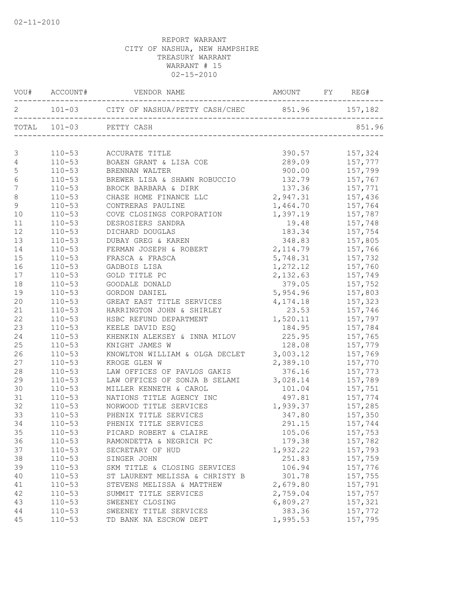|                  |            | VOU# ACCOUNT# VENDOR NAME AMOUNT FY REG#               |                                |         |
|------------------|------------|--------------------------------------------------------|--------------------------------|---------|
|                  |            | 2 101-03 CITY OF NASHUA/PETTY CASH/CHEC 851.96 157,182 |                                |         |
|                  |            | TOTAL 101-03 PETTY CASH                                |                                | 851.96  |
|                  |            |                                                        |                                |         |
| 3                | $110 - 53$ | ACCURATE TITLE<br>BOAEN GRANT & LISA COE               | 390.57                         | 157,324 |
| $\overline{4}$   | $110 - 53$ |                                                        | 289.09                         | 157,777 |
| $\mathsf S$      | $110 - 53$ | BRENNAN WALTER                                         | 900.00                         | 157,799 |
| $\sqrt{6}$       | $110 - 53$ | BREWER LISA & SHAWN ROBUCCIO                           | 132.79                         | 157,767 |
| $\boldsymbol{7}$ | $110 - 53$ | BROCK BARBARA & DIRK                                   | 137.36<br>$137.36$<br>2,947.31 | 157,771 |
| $\,8\,$          | $110 - 53$ | CHASE HOME FINANCE LLC                                 |                                | 157,436 |
| $\overline{9}$   | $110 - 53$ | CONTRERAS PAULINE                                      | 1,464.70                       | 157,764 |
| 10               | $110 - 53$ | COVE CLOSINGS CORPORATION                              | 1,397.19                       | 157,787 |
| 11               | $110 - 53$ | DESROSIERS SANDRA                                      | 19.48                          | 157,748 |
| 12               | $110 - 53$ | DICHARD DOUGLAS                                        | 183.34                         | 157,754 |
| 13               | $110 - 53$ | DUBAY GREG & KAREN                                     | 348.83                         | 157,805 |
| 14               | $110 - 53$ | FERMAN JOSEPH & ROBERT                                 | 2, 114.79                      | 157,766 |
| 15               | $110 - 53$ | FRASCA & FRASCA                                        | 5,748.31                       | 157,732 |
| 16               | $110 - 53$ | GADBOIS LISA                                           | 1,272.12                       | 157,760 |
| 17               | $110 - 53$ | GOLD TITLE PC                                          | 2,132.63                       | 157,749 |
| 18               | $110 - 53$ | GOODALE DONALD                                         | 379.05                         | 157,752 |
| 19               | $110 - 53$ | GORDON DANIEL                                          | 5,954.96                       | 157,803 |
| 20               | $110 - 53$ | GREAT EAST TITLE SERVICES 4,174.18                     |                                | 157,323 |
| 21               | $110 - 53$ | HARRINGTON JOHN & SHIRLEY                              | 23.53                          | 157,746 |
| 22               | $110 - 53$ | HSBC REFUND DEPARTMENT                                 | 1,520.11                       | 157,797 |
| 23               | $110 - 53$ | KEELE DAVID ESQ                                        | 184.95                         | 157,784 |
| 24               | $110 - 53$ | KHENKIN ALEKSEY & INNA MILOV                           | 225.95                         | 157,765 |
| 25               | $110 - 53$ | KNIGHT JAMES W                                         | 128.08                         | 157,779 |
| 26               | $110 - 53$ | KNOWLTON WILLIAM & OLGA DECLET                         | 3,003.12                       | 157,769 |
| 27               | $110 - 53$ | KROGE GLEN W                                           | 2,389.10                       | 157,770 |
| 28               | $110 - 53$ | LAW OFFICES OF PAVLOS GAKIS                            | 376.16                         | 157,773 |
| 29               | $110 - 53$ | LAW OFFICES OF SONJA B SELAMI 3,028.14                 |                                | 157,789 |
| 30               | $110 - 53$ | MILLER KENNETH & CAROL                                 | 101.04                         | 157,751 |
| 31               | $110 - 53$ | NATIONS TITLE AGENCY INC                               | 497.81                         | 157,774 |
| 32               | $110 - 53$ | NORWOOD TITLE SERVICES                                 | 1,939.37                       | 157,285 |
| 33               | $110 - 53$ | PHENIX TITLE SERVICES                                  | 347.80                         | 157,350 |
| 34               | $110 - 53$ | PHENIX TITLE SERVICES                                  | 291.15                         | 157,744 |
| 35               | $110 - 53$ | PICARD ROBERT & CLAIRE                                 | 105.06                         | 157,753 |
| 36               | $110 - 53$ | RAMONDETTA & NEGRICH PC                                | 179.38                         | 157,782 |
| 37               | $110 - 53$ | SECRETARY OF HUD                                       | 1,932.22                       | 157,793 |
| 38               | $110 - 53$ | SINGER JOHN                                            | 251.83                         | 157,759 |
| 39               | $110 - 53$ | SKM TITLE & CLOSING SERVICES                           | 106.94                         | 157,776 |
| 40               | $110 - 53$ | ST LAURENT MELISSA & CHRISTY B                         | 301.78                         | 157,755 |
| 41               | $110 - 53$ | STEVENS MELISSA & MATTHEW                              | 2,679.80                       | 157,791 |
| 42               | $110 - 53$ | SUMMIT TITLE SERVICES                                  | 2,759.04                       | 157,757 |
| 43               | $110 - 53$ | SWEENEY CLOSING                                        | 6,809.27                       | 157,321 |
| 44               | $110 - 53$ | SWEENEY TITLE SERVICES                                 | 383.36                         | 157,772 |
| 45               | $110 - 53$ | TD BANK NA ESCROW DEPT                                 | 1,995.53                       | 157,795 |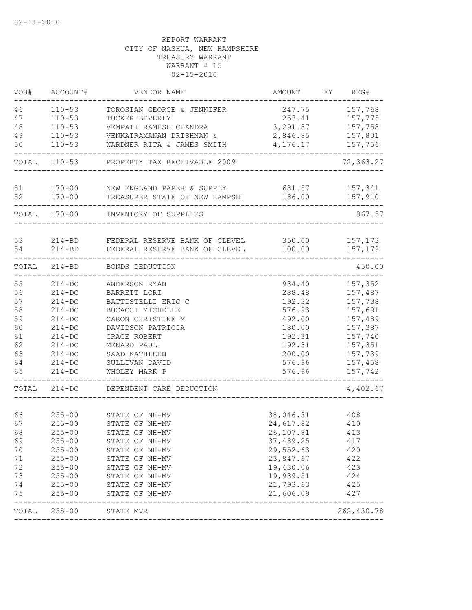| VOU#  | ACCOUNT#     | VENDOR NAME                                   | AMOUNT    | FY REG#    |
|-------|--------------|-----------------------------------------------|-----------|------------|
| 46    | $110 - 53$   | TOROSIAN GEORGE & JENNIFER                    | 247.75    | 157,768    |
| 47    | $110 - 53$   | TUCKER BEVERLY                                | 253.41    | 157,775    |
| 48    | $110 - 53$   | VEMPATI RAMESH CHANDRA                        | 3,291.87  | 157,758    |
| 49    | $110 - 53$   | VENKATRAMANAN DRISHNAN &                      | 2,846.85  | 157,801    |
| 50    | $110 - 53$   | WARDNER RITA & JAMES SMITH                    | 4,176.17  | 157,756    |
|       | TOTAL 110-53 | PROPERTY TAX RECEIVABLE 2009                  |           | 72,363.27  |
| 51    |              | 170-00 NEW ENGLAND PAPER & SUPPLY             | 681.57    | 157,341    |
| 52    |              | 170-00 TREASURER STATE OF NEW HAMPSHI         | 186.00    | 157,910    |
|       | TOTAL 170-00 | INVENTORY OF SUPPLIES                         |           | 867.57     |
| 53    |              | 214-BD FEDERAL RESERVE BANK OF CLEVEL 350.00  |           | 157,173    |
| 54    | $214 - BD$   | FEDERAL RESERVE BANK OF CLEVEL                | 100.00    | 157,179    |
| TOTAL | $214 - BD$   | BONDS DEDUCTION                               |           | 450.00     |
| 55    | $214 - DC$   | ANDERSON RYAN                                 | 934.40    | 157,352    |
| 56    | $214 - DC$   | BARRETT LORI                                  | 288.48    | 157,487    |
| 57    | $214 - DC$   | BATTISTELLI ERIC C                            | 192.32    | 157,738    |
| 58    | $214 - DC$   | BUCACCI MICHELLE                              | 576.93    | 157,691    |
| 59    | $214-DC$     | CARON CHRISTINE M                             | 492.00    | 157,489    |
| 60    | $214-DC$     | DAVIDSON PATRICIA                             | 180.00    | 157,387    |
| 61    | $214-DC$     | GRACE ROBERT                                  | 192.31    | 157,740    |
| 62    | $214 - DC$   | MENARD PAUL                                   | 192.31    | 157,351    |
| 63    | $214-DC$     | SAAD KATHLEEN                                 | 200.00    | 157,739    |
| 64    | $214 - DC$   | SULLIVAN DAVID                                | 576.96    | 157,458    |
| 65    | $214 - DC$   | WHOLEY MARK P                                 | 576.96    | 157,742    |
| TOTAL | $214 - DC$   | DEPENDENT CARE DEDUCTION                      |           | 4,402.67   |
|       |              |                                               |           |            |
| 66    | $255 - 00$   | STATE OF NH-MV                                | 38,046.31 | 408        |
| 67    | $255 - 00$   | STATE OF NH-MV                                | 24,617.82 | 410        |
| 68    | $255 - 00$   | STATE OF NH-MV                                | 26,107.81 | 413        |
| 69    | $255 - 00$   | STATE OF NH-MV                                | 37,489.25 | 417        |
| 70    | $255 - 00$   | STATE OF NH-MV                                | 29,552.63 | 420        |
| 71    | $255 - 00$   | STATE OF NH-MV                                | 23,847.67 | 422        |
| 72    | $255 - 00$   | STATE OF NH-MV                                | 19,430.06 | 423        |
| 73    | $255 - 00$   | STATE OF NH-MV                                | 19,939.51 | 424        |
| 74    | $255 - 00$   | STATE OF NH-MV                                | 21,793.63 | 425        |
| 75    | $255 - 00$   | STATE OF NH-MV<br>--------------------------- | 21,606.09 | 427        |
| TOTAL | $255 - 00$   | STATE MVR                                     |           | 262,430.78 |
|       |              |                                               |           |            |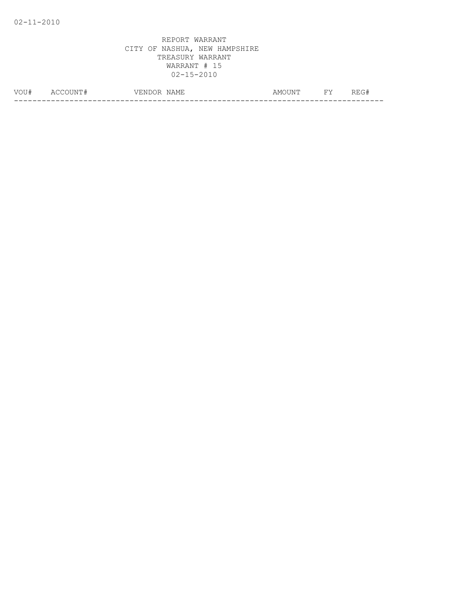| VOU# | -----<br>7 E N .<br>◝ | $-$<br>NAME.<br>ᅭᆇ<br>. | . $N^{\mathrm{rr}}$<br>A M' | $\overline{\phantom{a}}$<br><b></b> | ---<br>______ |
|------|-----------------------|-------------------------|-----------------------------|-------------------------------------|---------------|
|      |                       |                         |                             |                                     | __            |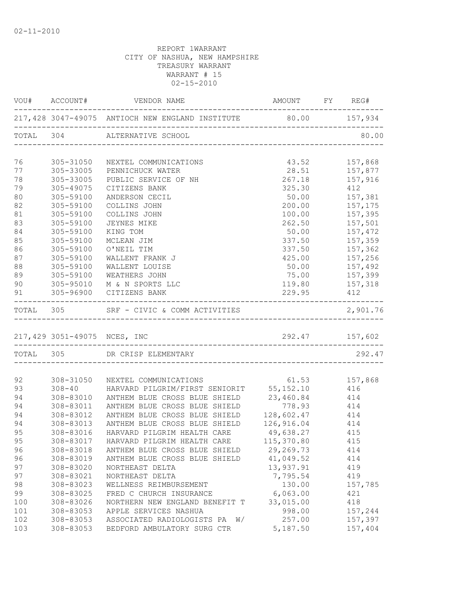|     |           | VOU# ACCOUNT# VENDOR NAME                                                                  | AMOUNT FY REG#      |                                |
|-----|-----------|--------------------------------------------------------------------------------------------|---------------------|--------------------------------|
|     |           | 217,428 3047-49075 ANTIOCH NEW ENGLAND INSTITUTE 80.00 157,934                             |                     |                                |
|     |           | TOTAL 304 ALTERNATIVE SCHOOL                                                               |                     | 80.00                          |
| 76  |           | 305-31050 NEXTEL COMMUNICATIONS                                                            |                     |                                |
| 77  |           | 305-33005 PENNICHUCK WATER                                                                 |                     | 43.52 157,868<br>28.51 157,877 |
| 78  | 305-33005 | PUBLIC SERVICE OF NH                                                                       |                     | $267.18$ $157,916$             |
| 79  | 305-49075 | CITIZENS BANK                                                                              | 325.30 412          |                                |
| 80  | 305-59100 | ANDERSON CECIL                                                                             |                     | 50.00    157,381               |
| 82  | 305-59100 | COLLINS JOHN                                                                               |                     | 200.00 157,175                 |
| 81  | 305-59100 | COLLINS JOHN                                                                               |                     | 100.00 157,395                 |
| 83  | 305-59100 | JEYNES MIKE                                                                                | 262.50              | 157,501                        |
| 84  | 305-59100 | KING TOM                                                                                   | 50.00               | 157,472                        |
| 85  | 305-59100 | MCLEAN JIM                                                                                 | 337.50              | 157,359                        |
| 86  | 305-59100 | O'NEIL TIM                                                                                 | 337.50              | 157,362                        |
| 87  | 305-59100 | WALLENT FRANK J                                                                            | 425.00              | 157,256                        |
| 88  | 305-59100 | WALLENT LOUISE                                                                             | 50.00               | 157,492                        |
| 89  | 305-59100 | WEATHERS JOHN                                                                              | 75.00 157,399       |                                |
| 90  |           | 305-95010 M & N SPORTS LLC                                                                 | 119.80 157,318      |                                |
| 91  |           | 305-96900 CITIZENS BANK                                                                    | 229.95 412          |                                |
|     |           |                                                                                            |                     | 2,901.76                       |
|     |           |                                                                                            |                     |                                |
|     |           |                                                                                            |                     |                                |
|     |           | TOTAL 305 DR CRISP ELEMENTARY                                                              |                     | 292.47                         |
| 92  |           | 308-31050 NEXTEL COMMUNICATIONS                                                            | 61.53               | 157,868                        |
| 93  |           |                                                                                            |                     | 416                            |
| 94  |           | 308-40 HARVARD PILGRIM/FIRST SENIORIT 55,152.10<br>308-83010 ANTHEM BLUE CROSS BLUE SHIELD |                     |                                |
| 94  | 308-83011 | ANTHEM BLUE CROSS BLUE SHIELD                                                              | 23,460.84<br>778.93 | $414$<br>$414$                 |
| 94  |           | 308-83012 ANTHEM BLUE CROSS BLUE SHIELD                                                    | $128,602.47$ 414    |                                |
| 94  |           | 308-83013 ANTHEM BLUE CROSS BLUE SHIELD                                                    | 126,916.04 414      |                                |
| 95  | 308-83016 | HARVARD PILGRIM HEALTH CARE 49,638.27 415                                                  |                     |                                |
| 95  |           | 308-83017 HARVARD PILGRIM HEALTH CARE                                                      | 115,370.80          | 415                            |
| 96  | 308-83018 | ANTHEM BLUE CROSS BLUE SHIELD                                                              | 29,269.73           | 414                            |
| 96  | 308-83019 | ANTHEM BLUE CROSS BLUE SHIELD                                                              | 41,049.52           | 414                            |
| 97  | 308-83020 | NORTHEAST DELTA                                                                            | 13,937.91           | 419                            |
| 97  | 308-83021 | NORTHEAST DELTA                                                                            | 7,795.54            | 419                            |
| 98  | 308-83023 | WELLNESS REIMBURSEMENT                                                                     | 130.00              | 157,785                        |
| 99  | 308-83025 | FRED C CHURCH INSURANCE                                                                    | 6,063.00            | 421                            |
| 100 | 308-83026 | NORTHERN NEW ENGLAND BENEFIT T                                                             | 33,015.00           | 418                            |
| 101 | 308-83053 | APPLE SERVICES NASHUA                                                                      | 998.00              | 157,244                        |
| 102 | 308-83053 | ASSOCIATED RADIOLOGISTS PA<br>W/                                                           | 257.00              | 157,397                        |
| 103 | 308-83053 | BEDFORD AMBULATORY SURG CTR                                                                | 5,187.50            | 157,404                        |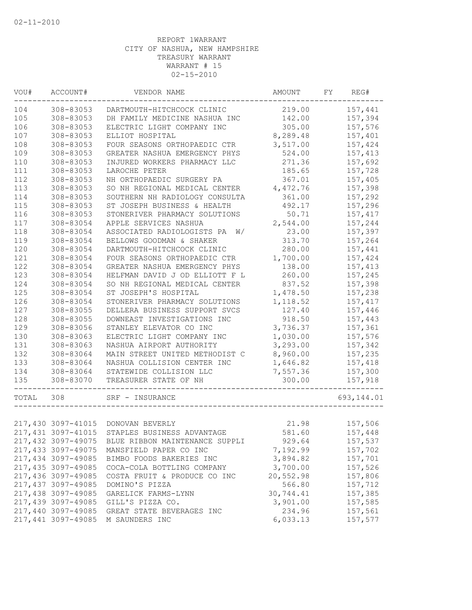| VOU#      | ACCOUNT#           | VENDOR NAME                      | AMOUNT    | FY | REG#        |
|-----------|--------------------|----------------------------------|-----------|----|-------------|
| 104       | 308-83053          | DARTMOUTH-HITCHCOCK CLINIC       | 219.00    |    | 157,441     |
| 105       | 308-83053          | DH FAMILY MEDICINE NASHUA INC    | 142.00    |    | 157,394     |
| 106       | 308-83053          | ELECTRIC LIGHT COMPANY INC       | 305.00    |    | 157,576     |
| 107       | 308-83053          | ELLIOT HOSPITAL                  | 8,289.48  |    | 157,401     |
| 108       | 308-83053          | FOUR SEASONS ORTHOPAEDIC CTR     | 3,517.00  |    | 157,424     |
| 109       | 308-83053          | GREATER NASHUA EMERGENCY PHYS    | 524.00    |    | 157,413     |
| 110       | 308-83053          | INJURED WORKERS PHARMACY LLC     | 271.36    |    | 157,692     |
| 111       | 308-83053          | LAROCHE PETER                    | 185.65    |    | 157,728     |
| 112       | 308-83053          | NH ORTHOPAEDIC SURGERY PA        | 367.01    |    | 157,405     |
| 113       | 308-83053          | SO NH REGIONAL MEDICAL CENTER    | 4,472.76  |    | 157,398     |
| 114       | 308-83053          | SOUTHERN NH RADIOLOGY CONSULTA   | 361.00    |    | 157,292     |
| 115       | 308-83053          | ST JOSEPH BUSINESS & HEALTH      | 492.17    |    | 157,296     |
| 116       | 308-83053          | STONERIVER PHARMACY SOLUTIONS    | 50.71     |    | 157,417     |
| 117       | 308-83054          | APPLE SERVICES NASHUA            | 2,544.00  |    | 157,244     |
| 118       | 308-83054          | ASSOCIATED RADIOLOGISTS PA<br>W/ | 23.00     |    | 157,397     |
| 119       | 308-83054          | BELLOWS GOODMAN & SHAKER         | 313.70    |    | 157,264     |
| 120       | 308-83054          | DARTMOUTH-HITCHCOCK CLINIC       | 280.00    |    | 157,441     |
| 121       | 308-83054          | FOUR SEASONS ORTHOPAEDIC CTR     | 1,700.00  |    | 157,424     |
| 122       | 308-83054          | GREATER NASHUA EMERGENCY PHYS    | 138.00    |    | 157,413     |
| 123       | 308-83054          | HELFMAN DAVID J OD ELLIOTT F L   | 260.00    |    | 157,245     |
| 124       | 308-83054          | SO NH REGIONAL MEDICAL CENTER    | 837.52    |    | 157,398     |
| 125       | 308-83054          | ST JOSEPH'S HOSPITAL             | 1,478.50  |    | 157,238     |
| 126       | 308-83054          | STONERIVER PHARMACY SOLUTIONS    | 1,118.52  |    | 157,417     |
| 127       | 308-83055          | DELLERA BUSINESS SUPPORT SVCS    | 127.40    |    | 157,446     |
| 128       | 308-83055          | DOWNEAST INVESTIGATIONS INC      | 918.50    |    | 157,443     |
| 129       | 308-83056          | STANLEY ELEVATOR CO INC          | 3,736.37  |    | 157,361     |
| 130       | 308-83063          | ELECTRIC LIGHT COMPANY INC       | 1,030.00  |    | 157,576     |
| 131       | 308-83063          | NASHUA AIRPORT AUTHORITY         | 3,293.00  |    | 157,342     |
| 132       | 308-83064          | MAIN STREET UNITED METHODIST C   | 8,960.00  |    | 157,235     |
| 133       | 308-83064          | NASHUA COLLISION CENTER INC      | 1,646.82  |    | 157,418     |
| 134       | 308-83064          | STATEWIDE COLLISION LLC          | 7,557.36  |    | 157,300     |
| 135       | 308-83070          | TREASURER STATE OF NH            | 300.00    |    | 157,918     |
|           |                    |                                  |           |    |             |
| TOTAL 308 |                    | SRF - INSURANCE                  |           |    | 693, 144.01 |
|           |                    |                                  |           |    |             |
|           | 217,430 3097-41015 | DONOVAN BEVERLY                  | 21.98     |    | 157,506     |
|           | 217,431 3097-41015 | STAPLES BUSINESS ADVANTAGE       | 581.60    |    | 157,448     |
|           | 217,432 3097-49075 | BLUE RIBBON MAINTENANCE SUPPLI   | 929.64    |    | 157,537     |
|           | 217,433 3097-49075 | MANSFIELD PAPER CO INC           | 7,192.99  |    | 157,702     |
|           | 217,434 3097-49085 | BIMBO FOODS BAKERIES INC         | 3,894.82  |    | 157,701     |
|           | 217,435 3097-49085 | COCA-COLA BOTTLING COMPANY       | 3,700.00  |    | 157,526     |
|           | 217,436 3097-49085 | COSTA FRUIT & PRODUCE CO INC     | 20,552.98 |    | 157,806     |
|           | 217,437 3097-49085 | DOMINO'S PIZZA                   | 566.80    |    | 157,712     |
|           | 217,438 3097-49085 | GARELICK FARMS-LYNN              | 30,744.41 |    | 157,385     |
|           | 217,439 3097-49085 | GILL'S PIZZA CO.                 | 3,901.00  |    | 157,585     |
|           | 217,440 3097-49085 | GREAT STATE BEVERAGES INC        | 234.96    |    | 157,561     |
|           | 217,441 3097-49085 | M SAUNDERS INC                   | 6,033.13  |    | 157,577     |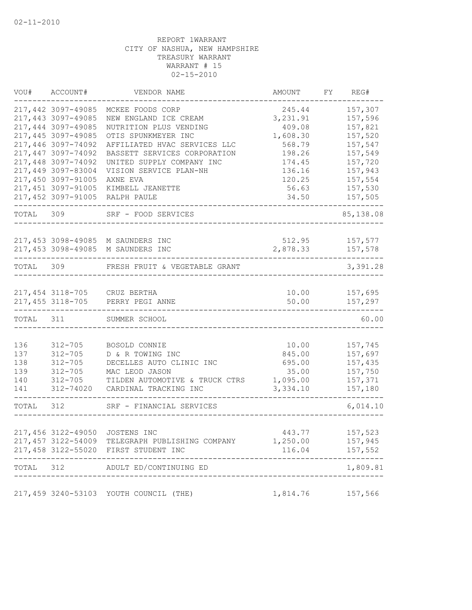|           | VOU# ACCOUNT#      | VENDOR NAME                                     | AMOUNT           | FY REG#   |
|-----------|--------------------|-------------------------------------------------|------------------|-----------|
|           | 217,442 3097-49085 | MCKEE FOODS CORP                                | 245.44           | 157,307   |
|           | 217,443 3097-49085 | NEW ENGLAND ICE CREAM                           | 3, 231.91        | 157,596   |
|           | 217,444 3097-49085 | NUTRITION PLUS VENDING                          | 409.08           | 157,821   |
|           | 217,445 3097-49085 | OTIS SPUNKMEYER INC                             | 1,608.30         | 157,520   |
|           | 217,446 3097-74092 | AFFILIATED HVAC SERVICES LLC                    | 568.79           | 157,547   |
|           | 217,447 3097-74092 | BASSETT SERVICES CORPORATION                    | 198.26           | 157,549   |
|           | 217,448 3097-74092 | UNITED SUPPLY COMPANY INC                       | 174.45           | 157,720   |
|           | 217,449 3097-83004 | VISION SERVICE PLAN-NH                          | 136.16           | 157,943   |
|           | 217,450 3097-91005 | AXNE EVA                                        | 120.25           | 157,554   |
|           | 217,451 3097-91005 | KIMBELL JEANETTE                                | 56.63            | 157,530   |
|           | 217,452 3097-91005 | RALPH PAULE                                     | 34.50            | 157,505   |
| TOTAL 309 |                    | SRF - FOOD SERVICES                             |                  | 85,138.08 |
|           |                    |                                                 |                  |           |
|           |                    | 217,453 3098-49085 M SAUNDERS INC               | 512.95           | 157,577   |
|           |                    | 217,453 3098-49085 M SAUNDERS INC               | 2,878.33         | 157,578   |
| TOTAL 309 |                    | FRESH FRUIT & VEGETABLE GRANT                   |                  | 3,391.28  |
|           |                    |                                                 |                  |           |
|           |                    | 217,454 3118-705 CRUZ BERTHA                    | 10.00            | 157,695   |
|           |                    | 217,455 3118-705 PERRY PEGI ANNE                | 50.00            | 157,297   |
| TOTAL     | 311                | SUMMER SCHOOL                                   |                  | 60.00     |
|           |                    |                                                 |                  |           |
| 136       | $312 - 705$        | BOSOLD CONNIE                                   | 10.00            | 157,745   |
| 137       | $312 - 705$        | D & R TOWING INC                                | 845.00           | 157,697   |
| 138       | $312 - 705$        | DECELLES AUTO CLINIC INC                        | 695.00           | 157,435   |
| 139       | $312 - 705$        | MAC LEOD JASON                                  | 35.00            | 157,750   |
| 140       | $312 - 705$        | TILDEN AUTOMOTIVE & TRUCK CTRS                  | 1,095.00         | 157,371   |
| 141       | 312-74020          | CARDINAL TRACKING INC                           | 3,334.10         | 157,180   |
| TOTAL     | 312                | SRF - FINANCIAL SERVICES                        |                  | 6,014.10  |
|           |                    |                                                 |                  |           |
|           |                    | 217,456 3122-49050 JOSTENS INC                  | 443.77           | 157,523   |
|           |                    | 217,457 3122-54009 TELEGRAPH PUBLISHING COMPANY | 1,250.00         | 157,945   |
|           |                    | 217,458 3122-55020 FIRST STUDENT INC            | 116.04           | 157,552   |
|           |                    | TOTAL 312 ADULT ED/CONTINUING ED                |                  | 1,809.81  |
|           |                    | 217,459 3240-53103 YOUTH COUNCIL (THE)          | 1,814.76 157,566 |           |
|           |                    |                                                 |                  |           |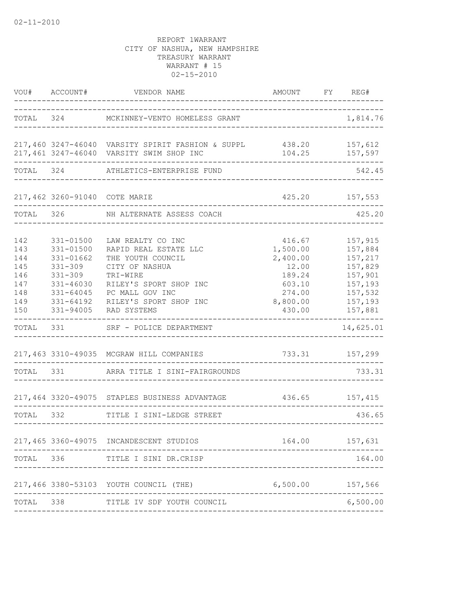|                                                             | VOU# ACCOUNT#                                                                                                         | VENDOR NAME                                                                                                                                                                         | AMOUNT                                                                                      | FY | REG#                                                                                            |
|-------------------------------------------------------------|-----------------------------------------------------------------------------------------------------------------------|-------------------------------------------------------------------------------------------------------------------------------------------------------------------------------------|---------------------------------------------------------------------------------------------|----|-------------------------------------------------------------------------------------------------|
| TOTAL                                                       |                                                                                                                       | 324 MCKINNEY-VENTO HOMELESS GRANT                                                                                                                                                   |                                                                                             |    | 1,814.76                                                                                        |
|                                                             |                                                                                                                       | 217,460 3247-46040 VARSITY SPIRIT FASHION & SUPPL 438.20 157,612<br>217,461 3247-46040 VARSITY SWIM SHOP INC                                                                        |                                                                                             |    | 104.25 157,597                                                                                  |
| TOTAL                                                       |                                                                                                                       | 324 ATHLETICS-ENTERPRISE FUND                                                                                                                                                       |                                                                                             |    | 542.45                                                                                          |
|                                                             | 217,462 3260-91040 COTE MARIE                                                                                         | ----------------------                                                                                                                                                              |                                                                                             |    | 425.20 157,553                                                                                  |
| TOTAL                                                       |                                                                                                                       | 326 NH ALTERNATE ASSESS COACH                                                                                                                                                       |                                                                                             |    | 425.20                                                                                          |
| 142<br>143<br>144<br>145<br>146<br>147<br>148<br>149<br>150 | 331-01500<br>331-01500<br>331-01662<br>$331 - 309$<br>$331 - 309$<br>331-46030<br>331-64045<br>331-64192<br>331-94005 | LAW REALTY CO INC<br>RAPID REAL ESTATE LLC<br>THE YOUTH COUNCIL<br>CITY OF NASHUA<br>TRI-WIRE<br>RILEY'S SPORT SHOP INC<br>PC MALL GOV INC<br>RILEY'S SPORT SHOP INC<br>RAD SYSTEMS | 416.67<br>1,500.00<br>2,400.00<br>12.00<br>189.24<br>603.10<br>274.00<br>8,800.00<br>430.00 |    | 157,915<br>157,884<br>157,217<br>157,829<br>157,901<br>157,193<br>157,532<br>157,193<br>157,881 |
| TOTAL                                                       | 331                                                                                                                   | SRF - POLICE DEPARTMENT                                                                                                                                                             |                                                                                             |    | 14,625.01                                                                                       |
| TOTAL                                                       |                                                                                                                       | 217,463 3310-49035 MCGRAW HILL COMPANIES<br>331 ARRA TITLE I SINI-FAIRGROUNDS                                                                                                       | 733.31 157,299                                                                              |    | 733.31                                                                                          |
|                                                             |                                                                                                                       | 217,464 3320-49075 STAPLES BUSINESS ADVANTAGE                                                                                                                                       |                                                                                             |    | 436.65 157,415                                                                                  |
| TOTAL 332                                                   |                                                                                                                       | TITLE I SINI-LEDGE STREET                                                                                                                                                           |                                                                                             |    | 436.65                                                                                          |
|                                                             |                                                                                                                       | 217,465 3360-49075 INCANDESCENT STUDIOS                                                                                                                                             | 164.00                                                                                      |    | 157,631                                                                                         |
| TOTAL                                                       | 336 11                                                                                                                | TITLE I SINI DR.CRISP                                                                                                                                                               |                                                                                             |    | 164.00                                                                                          |
|                                                             |                                                                                                                       | 217,466 3380-53103 YOUTH COUNCIL (THE)                                                                                                                                              | 6,500.00 157,566                                                                            |    |                                                                                                 |
| TOTAL                                                       | 338                                                                                                                   | TITLE IV SDF YOUTH COUNCIL                                                                                                                                                          |                                                                                             |    | 6,500.00                                                                                        |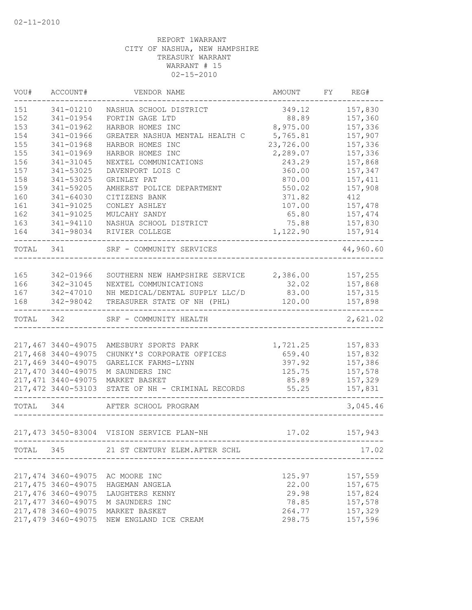| VOU#      | ACCOUNT#            | VENDOR NAME                                     | AMOUNT        | FY REG#      |
|-----------|---------------------|-------------------------------------------------|---------------|--------------|
| 151       | 341-01210           | NASHUA SCHOOL DISTRICT                          | 349.12        | 157,830      |
| 152       | 341-01954           | FORTIN GAGE LTD                                 | 88.89         | 157,360      |
| 153       | 341-01962           | HARBOR HOMES INC                                | 8,975.00      | 157,336      |
| 154       | 341-01966           | GREATER NASHUA MENTAL HEALTH C                  | 5,765.81      | 157,907      |
| 155       | 341-01968           | HARBOR HOMES INC                                | 23,726.00     | 157,336      |
| 155       | 341-01969           | HARBOR HOMES INC                                | 2,289.07      | 157,336      |
| 156       | 341-31045           | NEXTEL COMMUNICATIONS                           | 243.29        | 157,868      |
| 157       | 341-53025           | DAVENPORT LOIS C                                | 360.00        | 157,347      |
| 158       | 341-53025           | GRINLEY PAT                                     | 870.00        | 157,411      |
| 159       | 341-59205           | AMHERST POLICE DEPARTMENT                       | 550.02        | 157,908      |
| 160       | 341-64030           | CITIZENS BANK                                   | 371.82        | 412          |
| 161       | 341-91025           | CONLEY ASHLEY                                   | 107.00        | 157,478      |
| 162       | 341-91025           | MULCAHY SANDY                                   | 65.80         | 157,474      |
| 163       | 341-94110           | NASHUA SCHOOL DISTRICT                          | 75.88         | 157,830      |
| 164       | 341-98034           | RIVIER COLLEGE                                  | 1,122.90      | 157,914<br>. |
| TOTAL 341 |                     | SRF - COMMUNITY SERVICES                        |               | 44,960.60    |
|           |                     |                                                 |               |              |
| 165       | 342-01966           | SOUTHERN NEW HAMPSHIRE SERVICE 2,386.00 157,255 |               |              |
| 166       | 342-31045           | NEXTEL COMMUNICATIONS                           | 32.02 157,868 |              |
| 167       | 342-47010           | NH MEDICAL/DENTAL SUPPLY LLC/D                  | 83.00         | 157,315      |
| 168       | 342-98042           | TREASURER STATE OF NH (PHL)                     | 120.00        | 157,898      |
| TOTAL 342 |                     | SRF - COMMUNITY HEALTH                          |               | 2,621.02     |
|           |                     |                                                 |               |              |
|           | 217,467 3440-49075  | AMESBURY SPORTS PARK                            | 1,721.25      | 157,833      |
|           | 217,468 3440-49075  | CHUNKY'S CORPORATE OFFICES                      | 659.40        | 157,832      |
|           | 217,469 3440-49075  | GARELICK FARMS-LYNN                             | 397.92        | 157,386      |
|           | 217,470 3440-49075  | M SAUNDERS INC                                  | 125.75        | 157,578      |
|           | 217, 471 3440-49075 | MARKET BASKET                                   | 85.89         | 157,329      |
|           | 217,472 3440-53103  | STATE OF NH - CRIMINAL RECORDS                  | 55.25         | 157,831      |
| TOTAL 344 |                     | AFTER SCHOOL PROGRAM                            |               | 3,045.46     |
|           |                     | 217,473 3450-83004 VISION SERVICE PLAN-NH       | 17.02         | 157,943      |
|           |                     | TOTAL 345 21 ST CENTURY ELEM. AFTER SCHL        |               | 17.02        |
|           |                     |                                                 |               |              |
|           | 217,474 3460-49075  | AC MOORE INC                                    | 125.97        | 157,559      |
|           | 217,475 3460-49075  | HAGEMAN ANGELA                                  | 22.00         | 157,675      |
|           | 217,476 3460-49075  | LAUGHTERS KENNY                                 | 29.98         | 157,824      |
|           | 217, 477 3460-49075 | M SAUNDERS INC                                  | 78.85         | 157,578      |
|           | 217,478 3460-49075  | MARKET BASKET                                   | 264.77        | 157,329      |
|           | 217,479 3460-49075  | NEW ENGLAND ICE CREAM                           | 298.75        | 157,596      |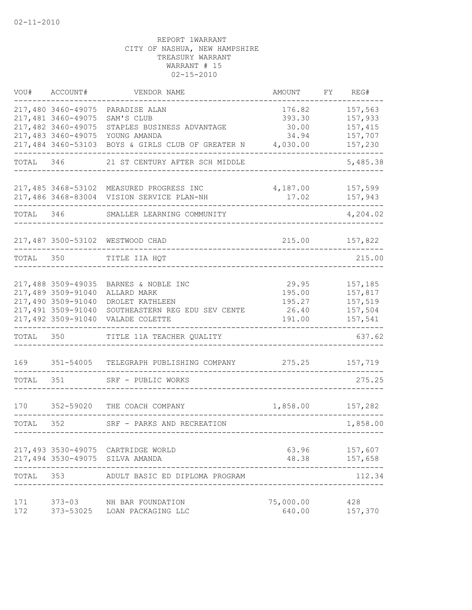| VOU#      | ACCOUNT#                                 | VENDOR NAME                                                           | AMOUNT                            | FY | REG#               |
|-----------|------------------------------------------|-----------------------------------------------------------------------|-----------------------------------|----|--------------------|
|           | 217,480 3460-49075<br>217,481 3460-49075 | PARADISE ALAN<br>SAM'S CLUB                                           | 176.82<br>393.30                  |    | 157,563<br>157,933 |
|           | 217,482 3460-49075                       | STAPLES BUSINESS ADVANTAGE                                            | 30.00                             |    | 157,415            |
|           | 217,483 3460-49075                       | YOUNG AMANDA                                                          | 34.94                             |    | 157,707            |
|           | 217,484 3460-53103                       | BOYS & GIRLS CLUB OF GREATER N                                        | 4,030.00                          |    | 157,230            |
| TOTAL     | 346                                      | 21 ST CENTURY AFTER SCH MIDDLE                                        |                                   |    | 5,485.38           |
|           |                                          | 217,485 3468-53102 MEASURED PROGRESS INC                              | 4,187.00                          |    | 157,599            |
|           |                                          | 217,486 3468-83004 VISION SERVICE PLAN-NH                             | 17.02                             |    | 157,943            |
| TOTAL     | 346                                      | SMALLER LEARNING COMMUNITY                                            |                                   |    | 4,204.02           |
|           |                                          | 217,487 3500-53102 WESTWOOD CHAD                                      | 215.00                            |    | 157,822            |
| TOTAL 350 |                                          | TITLE IIA HQT                                                         |                                   |    | 215.00             |
|           |                                          |                                                                       |                                   |    |                    |
|           | 217,488 3509-49035                       | BARNES & NOBLE INC                                                    | 29.95                             |    | 157,185            |
|           | 217,489 3509-91040                       | ALLARD MARK                                                           | 195.00                            |    | 157,817            |
|           | 217,490 3509-91040<br>217,491 3509-91040 | DROLET KATHLEEN<br>SOUTHEASTERN REG EDU SEV CENTE                     | 195.27<br>26.40                   |    | 157,519<br>157,504 |
|           | 217,492 3509-91040                       | VALADE COLETTE                                                        | 191.00                            |    | 157,541            |
| TOTAL     | 350                                      | TITLE 11A TEACHER QUALITY                                             |                                   |    | 637.62             |
| 169       | 351-54005                                | TELEGRAPH PUBLISHING COMPANY                                          | 275.25                            |    | 157,719            |
| TOTAL     | 351                                      | SRF - PUBLIC WORKS                                                    |                                   |    | 275.25             |
| 170       | 352-59020                                | THE COACH COMPANY                                                     | 1,858.00                          |    | 157,282            |
| TOTAL     | 352                                      | SRF - PARKS AND RECREATION                                            |                                   |    | 1,858.00           |
|           |                                          |                                                                       | --------------------------------- |    |                    |
|           |                                          | 217,493 3530-49075 CARTRIDGE WORLD<br>217,494 3530-49075 SILVA AMANDA | 63.96<br>48.38                    |    | 157,607<br>157,658 |
| TOTAL     | 353                                      | ADULT BASIC ED DIPLOMA PROGRAM                                        |                                   |    | 112.34             |
| 171       | $373 - 03$                               | NH BAR FOUNDATION                                                     | 75,000.00                         |    | 428                |
| 172       | 373-53025                                | LOAN PACKAGING LLC                                                    | 640.00                            |    | 157,370            |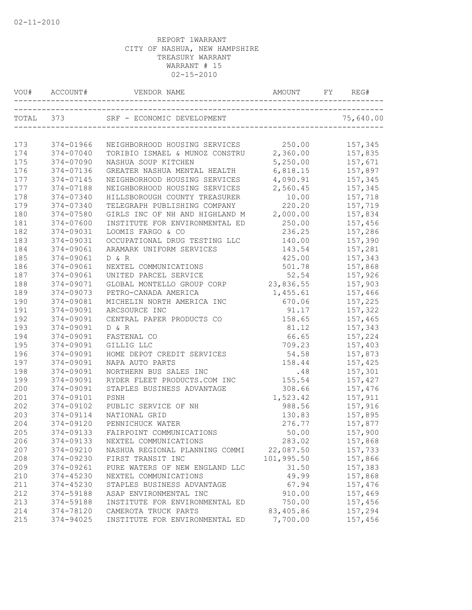| VOU# |           |                                                                |            | REG#      |
|------|-----------|----------------------------------------------------------------|------------|-----------|
|      | TOTAL 373 | SRF - ECONOMIC DEVELOPMENT<br>________________________________ |            | 75,640.00 |
|      |           |                                                                |            |           |
| 173  | 374-01966 | NEIGHBORHOOD HOUSING SERVICES 250.00                           |            | 157,345   |
| 174  | 374-07040 | TORIBIO ISMAEL & MUNOZ CONSTRU 2,360.00                        |            | 157,835   |
| 175  | 374-07090 | NASHUA SOUP KITCHEN                                            | 5,250.00   | 157,671   |
| 176  | 374-07136 | GREATER NASHUA MENTAL HEALTH                                   | 6,818.15   | 157,897   |
| 177  | 374-07145 | NEIGHBORHOOD HOUSING SERVICES                                  | 4,090.91   | 157,345   |
| 177  | 374-07188 | NEIGHBORHOOD HOUSING SERVICES                                  | 2,560.45   | 157,345   |
| 178  | 374-07340 | HILLSBOROUGH COUNTY TREASURER                                  | 10.00      | 157,718   |
| 179  | 374-07340 | TELEGRAPH PUBLISHING COMPANY                                   | 220.20     | 157,719   |
| 180  | 374-07580 | GIRLS INC OF NH AND HIGHLAND M 2,000.00                        |            | 157,834   |
| 181  | 374-07600 | INSTITUTE FOR ENVIRONMENTAL ED                                 | 250.00     | 157,456   |
| 182  | 374-09031 | LOOMIS FARGO & CO                                              | 236.25     | 157,286   |
| 183  | 374-09031 | OCCUPATIONAL DRUG TESTING LLC                                  | 140.00     | 157,390   |
| 184  | 374-09061 | ARAMARK UNIFORM SERVICES                                       | 143.54     | 157,281   |
| 185  | 374-09061 | D & R                                                          | 425.00     | 157,343   |
| 186  | 374-09061 | NEXTEL COMMUNICATIONS                                          | 501.78     | 157,868   |
| 187  | 374-09061 | UNITED PARCEL SERVICE                                          | 52.54      | 157,926   |
| 188  | 374-09071 | GLOBAL MONTELLO GROUP CORP 23,836.55                           |            | 157,903   |
| 189  | 374-09073 | PETRO-CANADA AMERICA                                           | 1,455.61   | 157,466   |
| 190  | 374-09081 | MICHELIN NORTH AMERICA INC                                     | 670.06     | 157,225   |
| 191  | 374-09091 | ARCSOURCE INC                                                  | 91.17      | 157,322   |
| 192  | 374-09091 | CENTRAL PAPER PRODUCTS CO                                      | 158.65     | 157,465   |
| 193  | 374-09091 | D & R                                                          | 81.12      | 157,343   |
| 194  | 374-09091 | FASTENAL CO                                                    | 66.65      | 157,224   |
| 195  | 374-09091 | GILLIG LLC                                                     | 709.23     | 157,403   |
| 196  | 374-09091 | HOME DEPOT CREDIT SERVICES                                     | 54.58      | 157,873   |
| 197  | 374-09091 | NAPA AUTO PARTS                                                | 158.44     | 157,425   |
| 198  | 374-09091 | NORTHERN BUS SALES INC                                         | .48        | 157,301   |
| 199  | 374-09091 | RYDER FLEET PRODUCTS.COM INC                                   | 155.54     | 157,427   |
| 200  | 374-09091 | STAPLES BUSINESS ADVANTAGE                                     | 308.66     | 157,476   |
| 201  | 374-09101 | PSNH                                                           | 1,523.42   | 157,911   |
| 202  | 374-09102 | PUBLIC SERVICE OF NH                                           | 988.56     | 157,916   |
| 203  | 374-09114 | NATIONAL GRID                                                  | 130.83     | 157,895   |
| 204  | 374-09120 | PENNICHUCK WATER                                               | 276.77     | 157,877   |
| 205  | 374-09133 | FAIRPOINT COMMUNICATIONS                                       | 50.00      | 157,900   |
| 206  | 374-09133 | NEXTEL COMMUNICATIONS                                          | 283.02     | 157,868   |
| 207  | 374-09210 | NASHUA REGIONAL PLANNING COMMI                                 | 22,087.50  | 157,733   |
| 208  | 374-09230 | FIRST TRANSIT INC                                              | 101,995.50 | 157,866   |
| 209  | 374-09261 | PURE WATERS OF NEW ENGLAND LLC                                 | 31.50      | 157,383   |
| 210  | 374-45230 | NEXTEL COMMUNICATIONS                                          | 49.99      | 157,868   |
| 211  | 374-45230 | STAPLES BUSINESS ADVANTAGE                                     | 67.94      | 157,476   |
| 212  | 374-59188 | ASAP ENVIRONMENTAL INC                                         | 910.00     | 157,469   |
| 213  | 374-59188 | INSTITUTE FOR ENVIRONMENTAL ED                                 | 750.00     | 157,456   |
| 214  | 374-78120 | CAMEROTA TRUCK PARTS                                           | 83,405.86  | 157,294   |
| 215  | 374-94025 | INSTITUTE FOR ENVIRONMENTAL ED                                 | 7,700.00   | 157,456   |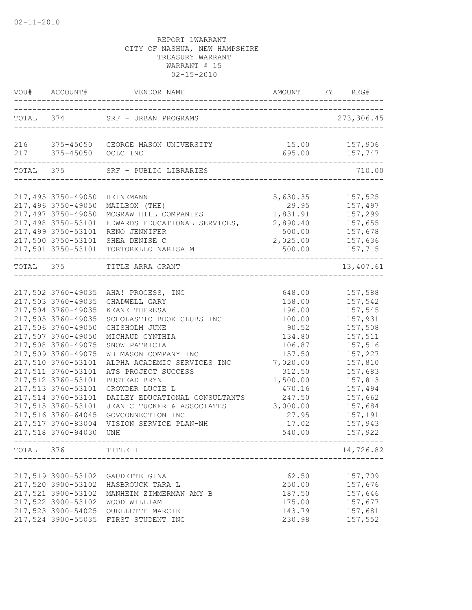|                                                                                                                                                                                                                                                                                                                                                              | VOU# ACCOUNT# VENDOR NAME AND AMOUNT FY REG#                                                                                                                                                                                                                                                                                                                                                    |                                                                                                                                                                           |                                                                                                                                                                                         |
|--------------------------------------------------------------------------------------------------------------------------------------------------------------------------------------------------------------------------------------------------------------------------------------------------------------------------------------------------------------|-------------------------------------------------------------------------------------------------------------------------------------------------------------------------------------------------------------------------------------------------------------------------------------------------------------------------------------------------------------------------------------------------|---------------------------------------------------------------------------------------------------------------------------------------------------------------------------|-----------------------------------------------------------------------------------------------------------------------------------------------------------------------------------------|
|                                                                                                                                                                                                                                                                                                                                                              | TOTAL 374 SRF - URBAN PROGRAMS                                                                                                                                                                                                                                                                                                                                                                  |                                                                                                                                                                           | 273,306.45                                                                                                                                                                              |
| 217 375-45050 OCLC INC                                                                                                                                                                                                                                                                                                                                       | 216 375-45050 GEORGE MASON UNIVERSITY                                                                                                                                                                                                                                                                                                                                                           |                                                                                                                                                                           | 15.00 157,906<br>695.00 157,747                                                                                                                                                         |
| ---------------------------                                                                                                                                                                                                                                                                                                                                  | TOTAL 375 SRF - PUBLIC LIBRARIES                                                                                                                                                                                                                                                                                                                                                                |                                                                                                                                                                           | 710.00                                                                                                                                                                                  |
| 217,495 3750-49050<br>217,496 3750-49050<br>217,497 3750-49050<br>217,498 3750-53101<br>217,499 3750-53101                                                                                                                                                                                                                                                   | HEINEMANN<br>MAILBOX (THE)<br>MCGRAW HILL COMPANIES<br>EDWARDS EDUCATIONAL SERVICES,<br>RENO JENNIFER                                                                                                                                                                                                                                                                                           | 5,630.35<br>29.95<br>1,831.91<br>500.00                                                                                                                                   | 157,525<br>157,497<br>157,299<br>2,890.40 157,655<br>157,678                                                                                                                            |
|                                                                                                                                                                                                                                                                                                                                                              | 217,500 3750-53101 SHEA DENISE C<br>217,501 3750-53101 TORTORELLO NARISA M                                                                                                                                                                                                                                                                                                                      | 2,025.00<br>500.00                                                                                                                                                        | 157,636<br>157, 715                                                                                                                                                                     |
|                                                                                                                                                                                                                                                                                                                                                              | TOTAL 375 TITLE ARRA GRANT<br>_________________________                                                                                                                                                                                                                                                                                                                                         |                                                                                                                                                                           | 13,407.61                                                                                                                                                                               |
| 217,503 3760-49035<br>217,504 3760-49035<br>217,505 3760-49035<br>217,506 3760-49050<br>217,507 3760-49050<br>217,508 3760-49075<br>217,509 3760-49075<br>217,510 3760-53101<br>217,511 3760-53101<br>217,512 3760-53101<br>217,513 3760-53101<br>217,514 3760-53101<br>217,515 3760-53101<br>217,516 3760-64045<br>217,517 3760-83004<br>217,518 3760-94030 | 217,502 3760-49035 AHA! PROCESS, INC<br>CHADWELL GARY<br>KEANE THERESA<br>SCHOLASTIC BOOK CLUBS INC<br>CHISHOLM JUNE<br>MICHAUD CYNTHIA<br>SNOW PATRICIA<br>WB MASON COMPANY INC<br>ALPHA ACADEMIC SERVICES INC<br>ATS PROJECT SUCCESS<br>BUSTEAD BRYN<br>CROWDER LUCIE L<br>DAILEY EDUCATIONAL CONSULTANTS<br>JEAN C TUCKER & ASSOCIATES<br>GOVCONNECTION INC<br>VISION SERVICE PLAN-NH<br>UNH | 648.00<br>158.00<br>196.00<br>100.00<br>90.52<br>134.80<br>106.87<br>157.50<br>7,020.00<br>312.50<br>1,500.00<br>470.16<br>247.50<br>3,000.00<br>27.95<br>17.02<br>540.00 | 157,588<br>157,542<br>157,545<br>157,931<br>157,508<br>157,511<br>157,516<br>157,227<br>157,810<br>157,683<br>157,813<br>157,494<br>157,662<br>157,684<br>157,191<br>157,943<br>157,922 |
| TOTAL 376 TITLE I                                                                                                                                                                                                                                                                                                                                            | _____________________________                                                                                                                                                                                                                                                                                                                                                                   |                                                                                                                                                                           | 14,726.82                                                                                                                                                                               |
| 217,519 3900-53102<br>217,520 3900-53102<br>217,521 3900-53102<br>217,522 3900-53102<br>217,523 3900-54025<br>217,524 3900-55035                                                                                                                                                                                                                             | GAUDETTE GINA<br>HASBROUCK TARA L<br>MANHEIM ZIMMERMAN AMY B<br>WOOD WILLIAM<br>OUELLETTE MARCIE<br>FIRST STUDENT INC                                                                                                                                                                                                                                                                           | 62.50<br>250.00<br>187.50<br>175.00<br>143.79<br>230.98                                                                                                                   | 157,709<br>157,676<br>157,646<br>157,677<br>157,681<br>157,552                                                                                                                          |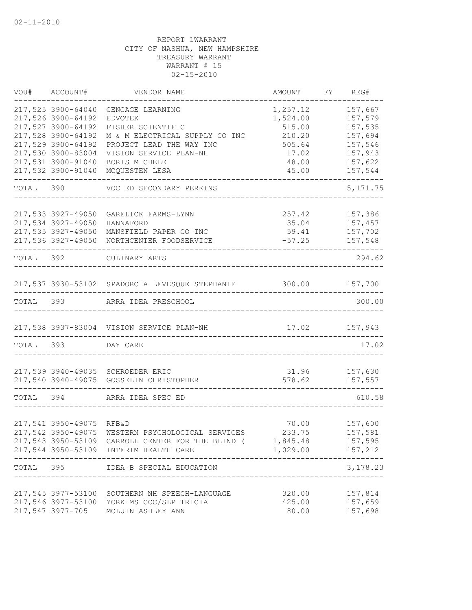|           | VOU# ACCOUNT#             | VENDOR NAME                                                | AMOUNT           | FY REG#                 |
|-----------|---------------------------|------------------------------------------------------------|------------------|-------------------------|
|           | 217,525 3900-64040        | CENGAGE LEARNING                                           | 1,257.12         | 157,667                 |
|           | 217,526 3900-64192        | <b>EDVOTEK</b>                                             | 1,524.00         | 157,579                 |
|           | 217,527 3900-64192        | FISHER SCIENTIFIC                                          | 515.00           | 157,535                 |
|           | 217,528 3900-64192        | M & M ELECTRICAL SUPPLY CO INC                             | 210.20           | 157,694                 |
|           | 217,529 3900-64192        | PROJECT LEAD THE WAY INC                                   | 505.64           | 157,546                 |
|           | 217,530 3900-83004        | VISION SERVICE PLAN-NH                                     | 17.02            | 157,943                 |
|           | 217,531 3900-91040        | BORIS MICHELE                                              | 48.00            | 157,622                 |
|           | 217,532 3900-91040        | MCQUESTEN LESA                                             | 45.00            | 157,544                 |
| TOTAL 390 |                           | VOC ED SECONDARY PERKINS                                   |                  | 5, 171.75               |
|           |                           |                                                            |                  |                         |
|           | 217,533 3927-49050        | GARELICK FARMS-LYNN                                        | 257.42           | 157,386                 |
|           | 217,534 3927-49050        | HANNAFORD                                                  | 35.04            | 157,457                 |
|           | 217,535 3927-49050        | MANSFIELD PAPER CO INC                                     | 59.41            | 157,702                 |
|           | 217,536 3927-49050        | NORTHCENTER FOODSERVICE                                    | $-57.25$         | 157,548                 |
| TOTAL 392 |                           | CULINARY ARTS                                              |                  | 294.62                  |
|           |                           |                                                            |                  |                         |
|           |                           | 217,537 3930-53102 SPADORCIA LEVESQUE STEPHANIE 300.00     |                  | 157,700                 |
|           | TOTAL 393                 | ARRA IDEA PRESCHOOL                                        |                  | 300.00                  |
|           |                           | 217,538 3937-83004 VISION SERVICE PLAN-NH                  | 17.02 157,943    |                         |
| TOTAL 393 |                           | DAY CARE                                                   |                  | 17.02                   |
|           |                           | 217,539 3940-49035 SCHROEDER ERIC                          |                  |                         |
|           |                           | 217,540 3940-49075 GOSSELIN CHRISTOPHER                    | 31.96<br>578.62  | 157,630<br>157,557      |
| TOTAL     | 394                       | ARRA IDEA SPEC ED                                          |                  | 610.58                  |
|           | 217,541 3950-49075        | <b>RFB&amp;D</b>                                           |                  | 70.00 157,600           |
|           |                           | 217,542 3950-49075 WESTERN PSYCHOLOGICAL SERVICES          | 233.75           | 157,581                 |
|           |                           | 217,543 3950-53109 CARROLL CENTER FOR THE BLIND ( 1,845.48 |                  | 157,595                 |
|           |                           | 217,544 3950-53109 INTERIM HEALTH CARE                     | 1,029.00 157,212 |                         |
|           |                           | TOTAL 395 IDEA B SPECIAL EDUCATION                         |                  | $- - - - -$<br>3,178.23 |
|           | ------------------------- |                                                            |                  |                         |
|           |                           | 217,545 3977-53100 SOUTHERN NH SPEECH-LANGUAGE             | 320.00           | 157,814                 |
|           |                           | 217,546 3977-53100 YORK MS CCC/SLP TRICIA                  | 425.00           | 157,659                 |
|           |                           | 217,547 3977-705 MCLUIN ASHLEY ANN                         | 80.00            | 157,698                 |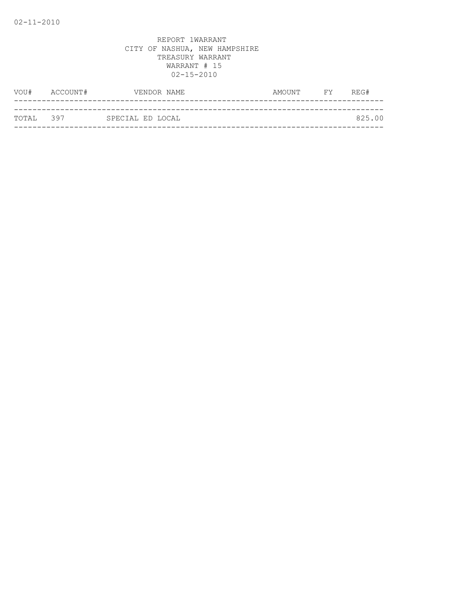|            | VOU# ACCOUNT# | VENDOR NAME      | AMOUNT FY REG# |        |
|------------|---------------|------------------|----------------|--------|
|            |               |                  |                |        |
| ТОТАІ. 397 |               | SPECIAL ED LOCAL |                | 825.00 |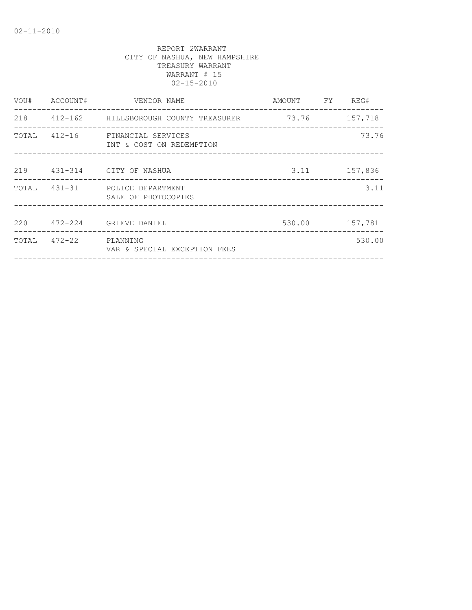| VOU# | ACCOUNT#              | VENDOR NAME                                                 | AMOUNT FY REG# |                |
|------|-----------------------|-------------------------------------------------------------|----------------|----------------|
|      |                       | 218 412-162 HILLSBOROUGH COUNTY TREASURER 73.76 157,718     |                |                |
|      |                       | TOTAL 412-16 FINANCIAL SERVICES<br>INT & COST ON REDEMPTION |                | 73.76          |
|      |                       | 219 431-314 CITY OF NASHUA                                  |                | 3.11 157,836   |
|      |                       | TOTAL 431-31 POLICE DEPARTMENT<br>SALE OF PHOTOCOPIES       |                | 3.11           |
|      |                       | 220 472-224 GRIEVE DANIEL                                   |                | 530.00 157,781 |
|      | TOTAL 472-22 PLANNING | VAR & SPECIAL EXCEPTION FEES                                |                | 530.00         |
|      |                       |                                                             |                |                |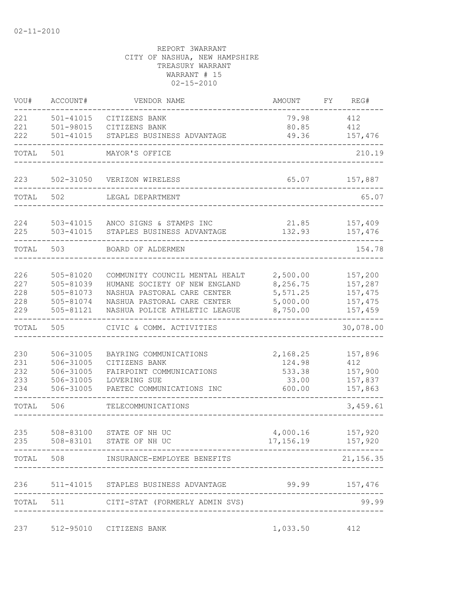| VOU#       | ACCOUNT#               | VENDOR NAME                                                | AMOUNT                | FY REG#            |
|------------|------------------------|------------------------------------------------------------|-----------------------|--------------------|
| 221<br>221 | 501-41015<br>501-98015 | CITIZENS BANK<br>CITIZENS BANK                             | 79.98<br>80.85        | 412<br>412         |
| 222        | 501-41015              | STAPLES BUSINESS ADVANTAGE                                 | 49.36                 | 157,476            |
| TOTAL      | 501                    | MAYOR'S OFFICE                                             |                       | 210.19             |
| 223        | 502-31050              | VERIZON WIRELESS                                           | 65.07                 | 157,887            |
| TOTAL      | 502                    | LEGAL DEPARTMENT                                           |                       | 65.07              |
|            |                        |                                                            |                       |                    |
| 224<br>225 | 503-41015<br>503-41015 | ANCO SIGNS & STAMPS INC<br>STAPLES BUSINESS ADVANTAGE      | 21.85<br>132.93       | 157,409<br>157,476 |
| TOTAL      | 503                    | BOARD OF ALDERMEN                                          |                       | 154.78             |
| 226        | 505-81020              | COMMUNITY COUNCIL MENTAL HEALT                             | 2,500.00              | 157,200            |
| 227        | 505-81039              | HUMANE SOCIETY OF NEW ENGLAND                              | 8,256.75              | 157,287            |
| 228<br>228 | 505-81073<br>505-81074 | NASHUA PASTORAL CARE CENTER<br>NASHUA PASTORAL CARE CENTER | 5, 571.25<br>5,000.00 | 157,475<br>157,475 |
| 229        | 505-81121              | NASHUA POLICE ATHLETIC LEAGUE                              | 8,750.00              | 157,459            |
| TOTAL      | 505                    | CIVIC & COMM. ACTIVITIES                                   |                       | 30,078.00          |
| 230        | 506-31005              | BAYRING COMMUNICATIONS                                     | 2,168.25              | 157,896            |
| 231        | 506-31005              | CITIZENS BANK                                              | 124.98                | 412                |
| 232<br>233 | 506-31005<br>506-31005 | FAIRPOINT COMMUNICATIONS<br>LOVERING SUE                   | 533.38<br>33.00       | 157,900<br>157,837 |
| 234        | 506-31005              | PAETEC COMMUNICATIONS INC                                  | 600.00                | 157,863            |
| TOTAL      | 506                    | TELECOMMUNICATIONS                                         |                       | 3,459.61           |
| 235        | 508-83100              | STATE OF NH UC                                             | 4,000.16              | 157,920            |
| 235        | 508-83101              | STATE OF NH UC                                             | 17,156.19             | 157,920            |
|            |                        | TOTAL 508 INSURANCE-EMPLOYEE BENEFITS                      |                       | 21, 156.35         |
| 236        |                        | 511-41015 STAPLES BUSINESS ADVANTAGE                       | 99.99 157,476         |                    |
|            |                        | TOTAL 511 CITI-STAT (FORMERLY ADMIN SVS)                   |                       | 99.99              |
|            |                        |                                                            |                       |                    |
|            |                        | 237 512-95010 CITIZENS BANK                                | 1,033.50 412          |                    |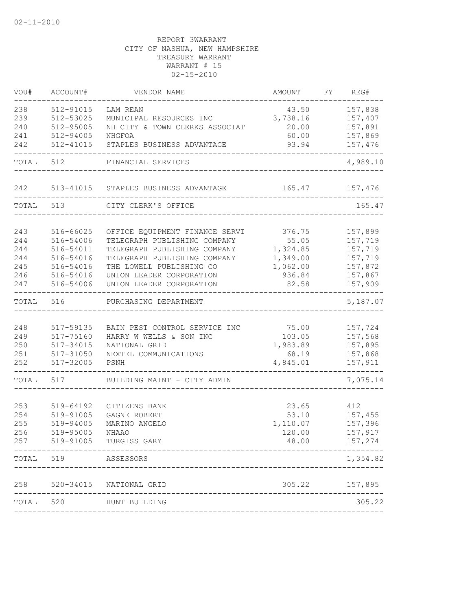| VOU#       | ACCOUNT#               | VENDOR NAME                    | AMOUNT         | FY | REG#           |
|------------|------------------------|--------------------------------|----------------|----|----------------|
| 238        | 512-91015              | LAM REAN                       | 43.50          |    | 157,838        |
| 239        | 512-53025              | MUNICIPAL RESOURCES INC        | 3,738.16       |    | 157,407        |
| 240        | 512-95005              | NH CITY & TOWN CLERKS ASSOCIAT | 20.00          |    | 157,891        |
| 241        | 512-94005              | NHGFOA                         | 60.00          |    | 157,869        |
| 242        | 512-41015              | STAPLES BUSINESS ADVANTAGE     | 93.94          |    | 157,476        |
| TOTAL      | 512                    | FINANCIAL SERVICES             |                |    | 4,989.10       |
| 242        | 513-41015              | STAPLES BUSINESS ADVANTAGE     | 165.47         |    | 157,476        |
| TOTAL      | 513                    | CITY CLERK'S OFFICE            |                |    | 165.47         |
|            |                        |                                |                |    |                |
| 243        | 516-66025              | OFFICE EQUIPMENT FINANCE SERVI | 376.75         |    | 157,899        |
| 244        | 516-54006              | TELEGRAPH PUBLISHING COMPANY   | 55.05          |    | 157,719        |
| 244        | 516-54011              | TELEGRAPH PUBLISHING COMPANY   | 1,324.85       |    | 157,719        |
| 244        | 516-54016              | TELEGRAPH PUBLISHING COMPANY   | 1,349.00       |    | 157,719        |
| 245        | 516-54016              | THE LOWELL PUBLISHING CO       | 1,062.00       |    | 157,872        |
| 246        | 516-54016              | UNION LEADER CORPORATION       | 936.84         |    | 157,867        |
| 247        | 516-54006              | UNION LEADER CORPORATION       | 82.58          |    | 157,909        |
| TOTAL      | 516                    | PURCHASING DEPARTMENT          |                |    | 5,187.07       |
|            |                        |                                |                |    |                |
| 248        | 517-59135              | BAIN PEST CONTROL SERVICE INC  | 75.00          |    | 157,724        |
| 249        | 517-75160              | HARRY W WELLS & SON INC        | 103.05         |    | 157,568        |
| 250        | 517-34015              | NATIONAL GRID                  | 1,983.89       |    | 157,895        |
| 251        | 517-31050              | NEXTEL COMMUNICATIONS          | 68.19          |    | 157,868        |
| 252        | 517-32005              | PSNH                           | 4,845.01       |    | 157,911        |
| TOTAL      | 517                    | BUILDING MAINT - CITY ADMIN    |                |    | 7,075.14       |
|            |                        |                                |                |    |                |
| 253<br>254 | 519-64192              | CITIZENS BANK<br>GAGNE ROBERT  | 23.65<br>53.10 |    | 412<br>157,455 |
| 255        | 519-91005<br>519-94005 | MARINO ANGELO                  | 1,110.07       |    | 157,396        |
| 256        | 519-95005              | NHAAO                          | 120.00         |    | 157,917        |
| 257        | 519-91005              | TURGISS GARY                   | 48.00          |    | 157,274        |
| TOTAL      | 519                    | ASSESSORS                      |                |    | 1,354.82       |
|            |                        |                                |                |    |                |
| 258        | $520 - 34015$          | NATIONAL GRID                  | 305.22         |    | 157,895        |
| TOTAL      | 520                    | HUNT BUILDING                  |                |    | 305.22         |
|            |                        |                                |                |    |                |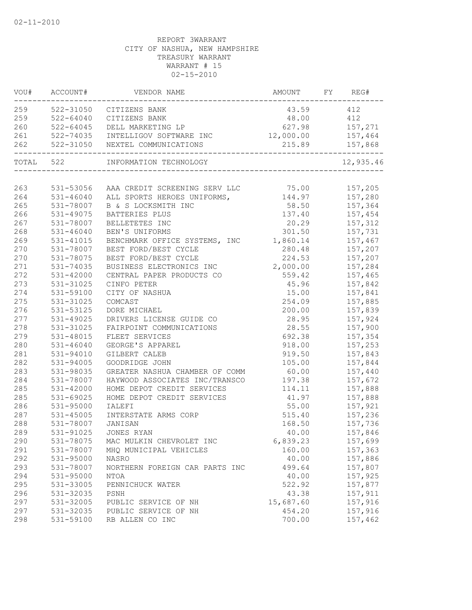|     | VOU# ACCOUNT# | VENDOR NAME                                                     | AMOUNT FY REG#    |                |
|-----|---------------|-----------------------------------------------------------------|-------------------|----------------|
|     |               | 259 522-31050 CITIZENS BANK                                     | 43.59 412         |                |
| 259 | $522 - 64040$ | CITIZENS BANK                                                   | 48.00 412         |                |
| 260 | 522-64045     | DELL MARKETING LP                                               |                   | 627.98 157,271 |
| 261 |               | 522-74035 INTELLIGOV SOFTWARE INC                               | 12,000.00 157,464 |                |
| 262 | 522-31050     | NEXTEL COMMUNICATIONS<br>-------------------------------------- |                   | 215.89 157,868 |
|     | TOTAL 522     | INFORMATION TECHNOLOGY                                          |                   | 12,935.46      |
|     |               |                                                                 |                   |                |
| 263 |               | 531-53056 AAA CREDIT SCREENING SERV LLC 75.00 157,205           |                   |                |
| 264 |               | 531-46040 ALL SPORTS HEROES UNIFORMS,                           | 144.97 157,280    |                |
| 265 | 531-78007     | B & S LOCKSMITH INC                                             |                   | 58.50 157,364  |
| 266 | 531-49075     | BATTERIES PLUS                                                  |                   |                |
| 267 | 531-78007     | BELLETETES INC                                                  |                   | 20.29 157,312  |
| 268 | 531-46040     | BEN'S UNIFORMS                                                  |                   | 301.50 157,731 |
| 269 | 531-41015     | BENCHMARK OFFICE SYSTEMS, INC                                   | 1,860.14          | 157,467        |
| 270 | 531-78007     | BEST FORD/BEST CYCLE                                            | 280.48            | 157,207        |
| 270 | 531-78075     | BEST FORD/BEST CYCLE                                            | 224.53            | 157,207        |
| 271 | 531-74035     | BUSINESS ELECTRONICS INC                                        | 2,000.00          | 157,284        |
| 272 | 531-42000     | CENTRAL PAPER PRODUCTS CO                                       | 559.42            | 157,465        |
| 273 | 531-31025     | CINFO PETER                                                     | 45.96             | 157,842        |
| 274 | 531-59100     | CITY OF NASHUA                                                  | 15.00             | 157,841        |
| 275 | 531-31025     | COMCAST                                                         | 254.09            | 157,885        |
| 276 | 531-53125     | DORE MICHAEL                                                    | 200.00            | 157,839        |
| 277 | 531-49025     | DRIVERS LICENSE GUIDE CO                                        | 28.95             | 157,924        |
| 278 | 531-31025     | FAIRPOINT COMMUNICATIONS                                        | 28.55             | 157,900        |
| 279 | 531-48015     | FLEET SERVICES                                                  | 692.38            | 157,354        |
| 280 | $531 - 46040$ | GEORGE'S APPAREL                                                | 918.00            | 157,253        |
| 281 | 531-94010     | GILBERT CALEB                                                   | 919.50            | 157,843        |
| 282 | 531-94005     | GOODRIDGE JOHN                                                  | 105.00            | 157,844        |
| 283 | 531-98035     | GREATER NASHUA CHAMBER OF COMM                                  | 60.00             | 157,440        |
| 284 | 531-78007     | HAYWOOD ASSOCIATES INC/TRANSCO                                  | 197.38            | 157,672        |
| 285 | 531-42000     | HOME DEPOT CREDIT SERVICES                                      | 114.11            | 157,888        |
| 285 | 531-69025     | HOME DEPOT CREDIT SERVICES                                      | 41.97             | 157,888        |
| 286 | 531-95000     | <b>IALEFI</b>                                                   | 55.00             | 157,921        |
| 287 | 531-45005     | INTERSTATE ARMS CORP                                            | 515.40            | 157,236        |
| 288 | 531-78007     | JANISAN                                                         | 168.50            | 157,736        |
| 289 | 531-91025     | JONES RYAN                                                      | 40.00             | 157,846        |
| 290 | 531-78075     | MAC MULKIN CHEVROLET INC                                        | 6,839.23          | 157,699        |
| 291 | 531-78007     | MHQ MUNICIPAL VEHICLES                                          | 160.00            | 157,363        |
| 292 | 531-95000     | <b>NASRO</b>                                                    | 40.00             | 157,886        |
| 293 | 531-78007     | NORTHERN FOREIGN CAR PARTS INC                                  | 499.64            | 157,807        |
| 294 | 531-95000     | NTOA                                                            | 40.00             | 157,925        |
| 295 | 531-33005     | PENNICHUCK WATER                                                | 522.92            | 157,877        |
| 296 | 531-32035     | PSNH                                                            | 43.38             | 157,911        |
| 297 | 531-32005     | PUBLIC SERVICE OF NH                                            | 15,687.60         | 157,916        |
| 297 | 531-32035     | PUBLIC SERVICE OF NH                                            | 454.20            | 157,916        |
| 298 | 531-59100     | RB ALLEN CO INC                                                 | 700.00            | 157,462        |
|     |               |                                                                 |                   |                |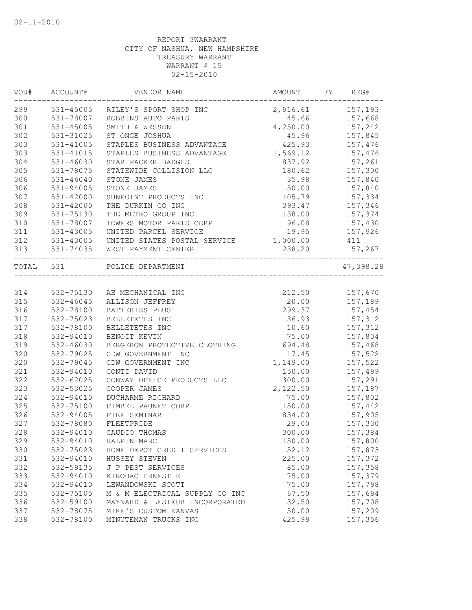|           | VOU# ACCOUNT#<br>------------ | VENDOR NAME                                         | AMOUNT           | FY<br>REG#       |
|-----------|-------------------------------|-----------------------------------------------------|------------------|------------------|
| 299       |                               | 531-45005 RILEY'S SPORT SHOP INC                    | 2,916.61 157,193 |                  |
| 300       | 531-78007                     | ROBBINS AUTO PARTS                                  |                  | 45.66 157,668    |
| 301       | 531-45005                     | SMITH & WESSON                                      | 4,250.00 157,242 |                  |
| 302       | 531-31025                     | ST ONGE JOSHUA                                      |                  | 45.96 157,845    |
| 303       | 531-41005                     | STAPLES BUSINESS ADVANTAGE                          | 425.93           | 157,476          |
| 303       | 531-41015                     | STAPLES BUSINESS ADVANTAGE                          | 1,569.12         | 157,476          |
| 304       | 531-46030                     | STAR PACKER BADGES                                  | 837.92           | 157,261          |
| 305       | 531-78075                     | STATEWIDE COLLISION LLC                             | 180.62           | 157,300          |
| 306       | $531 - 46040$                 | STONE JAMES                                         |                  | 35.98 157,840    |
| 306       | 531-94005                     | STONE JAMES                                         |                  | 50.00    157,840 |
| 307       | 531-42000                     | SUNPOINT PRODUCTS INC                               |                  | 105.79 157,334   |
| 308       | 531-42000                     | THE DURKIN CO INC                                   | 393.47           | 157,346          |
| 309       | 531-75130                     | THE METRO GROUP INC                                 | 138.00           | 157,374          |
| 310       | 531-78007                     | TOWERS MOTOR PARTS CORP                             | 96.08            | 157,430          |
| 311       | 531-43005                     | UNITED PARCEL SERVICE                               | 19.95            | 157,926          |
| 312       | 531-43005<br>531-43005        | UNITED STATES POSTAL SERVICE                        | 1,000.00         | 411              |
| 313       | $531 - 74035$                 | WEST PAYMENT CENTER                                 | 238.20           | 157,267          |
| TOTAL 531 |                               | ------------------------------<br>POLICE DEPARTMENT |                  | 47,398.28        |
|           |                               |                                                     |                  |                  |
| 314       | 532-75130                     | AE MECHANICAL INC                                   | 212.50           | 157,670          |
| 315       | $532 - 46045$                 | ALLISON JEFFREY                                     | 20.00            | 157,189          |
| 316       | 532-78100                     | BATTERIES PLUS                                      | 299.37           | 157,454          |
| 317       | 532-75023                     | BELLETETES INC                                      | 36.93            | 157,312          |
| 317       | 532-78100                     | BELLETETES INC                                      | 10.60            | 157,312          |
| 318       | 532-94010                     | BENOIT KEVIN                                        |                  | 75.00 157,804    |
| 319       | 532-46030                     | BERGERON PROTECTIVE CLOTHING 694.48 157,468         |                  |                  |
| 320       | 532-79025                     | CDW GOVERNMENT INC                                  | 17.45            | 157,522          |
| 320       | 532-79045                     | CDW GOVERNMENT INC                                  | 1,149.00         | 157,522          |
| 321       | 532-94010                     | CONTI DAVID                                         | 150.00           | 157,499          |
| 322       | 532-62025                     | CONWAY OFFICE PRODUCTS LLC                          | 300.00           | 157,291          |
| 323       | 532-53025                     | COOPER JAMES                                        | 2,122.50         | 157,187          |
| 324       | 532-94010                     | DUCHARME RICHARD                                    | 75.00            | 157,802          |
| 325       | 532-75100                     | FIMBEL PAUNET CORP                                  | 150.00           | 157,442          |
| 326       | 532-94005                     | FIRE SEMINAR                                        | 834.00           | 157,905          |
| 327       | 532-78080                     | FLEETPRIDE                                          |                  | 29.00 157,330    |
| 328       | 532-94010                     | GAUDIO THOMAS                                       | 300.00           | 157,384          |
| 329       | 532-94010                     | HALPIN MARC                                         | 150.00           | 157,800          |
| 330       | 532-75023                     | HOME DEPOT CREDIT SERVICES                          | 52.12            | 157,873          |
| 331       | 532-94010                     | HUSSEY STEVEN                                       | 225.00           | 157,372          |
| 332       | 532-59135                     | J P PEST SERVICES                                   | 85.00            | 157,358          |
| 333       | 532-94010                     | KIROUAC ERNEST E                                    | 75.00            | 157,379          |
| 334       |                               | LEWANDOWSKI SCOTT                                   | 75.00            | 157,798          |
|           | 532-94010                     |                                                     |                  |                  |
| 335       | 532-75105                     | M & M ELECTRICAL SUPPLY CO INC                      | 67.50            | 157,694          |
| 336       | 532-59100                     | MAYNARD & LESIEUR INCORPORATED                      | 32.50            | 157,708          |
| 337       | 532-78075                     | MIKE'S CUSTOM KANVAS                                | 50.00            | 157,209          |
| 338       | 532-78100                     | MINUTEMAN TRUCKS INC                                | 425.99           | 157,356          |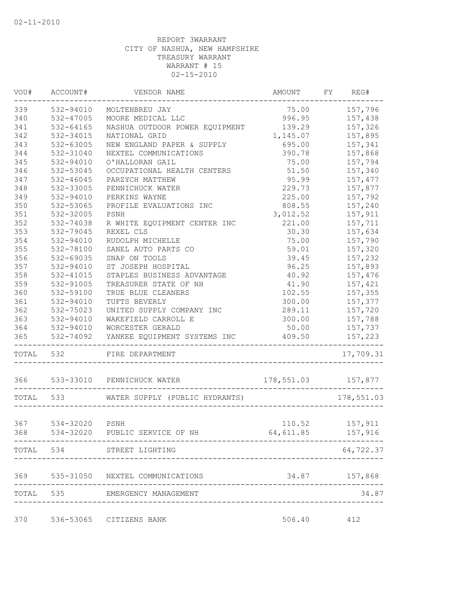| VOU# | ACCOUNT#                 | VENDOR NAME                                         | AMOUNT                             | FY REG#        |
|------|--------------------------|-----------------------------------------------------|------------------------------------|----------------|
| 339  | 532-94010                | MOLTENBREU JAY                                      | 75.00                              | 157,796        |
| 340  | 532-47005                | MOORE MEDICAL LLC                                   | 996.95                             | 157,438        |
| 341  | 532-64165                | NASHUA OUTDOOR POWER EQUIPMENT                      | 139.29                             | 157,326        |
| 342  | 532-34015                | NATIONAL GRID                                       | 1,145.07                           | 157,895        |
| 343  | 532-63005                | NEW ENGLAND PAPER & SUPPLY                          | 695.00                             | 157,341        |
| 344  | 532-31040                | NEXTEL COMMUNICATIONS                               | 390.78                             | 157,868        |
| 345  | 532-94010                | O'HALLORAN GAIL                                     | 75.00                              | 157,794        |
| 346  | 532-53045                | OCCUPATIONAL HEALTH CENTERS                         | 51.50                              | 157,340        |
| 347  | 532-46045                | PARZYCH MATTHEW                                     | 95.99                              | 157,477        |
| 348  | 532-33005                | PENNICHUCK WATER                                    | 229.73                             | 157,877        |
| 349  | 532-94010                | PERKINS WAYNE                                       | 225.00                             | 157,792        |
| 350  | 532-53065                | PROFILE EVALUATIONS INC                             | 808.55                             | 157,240        |
| 351  | 532-32005                | PSNH                                                | 3,012.52                           | 157,911        |
| 352  | 532-74038                | R WHITE EQUIPMENT CENTER INC                        | 221.00                             | 157,711        |
| 353  | 532-79045                | REXEL CLS                                           | 30.30                              | 157,634        |
| 354  | 532-94010                | RUDOLPH MICHELLE                                    | 75.00                              | 157,790        |
| 355  | 532-78100                | SANEL AUTO PARTS CO                                 | 59.01                              | 157,320        |
| 356  | 532-69035                | SNAP ON TOOLS                                       | 39.45                              | 157,232        |
| 357  | 532-94010                | ST JOSEPH HOSPITAL                                  | 96.25                              | 157,893        |
| 358  | 532-41015                | STAPLES BUSINESS ADVANTAGE                          | 40.92                              | 157,476        |
| 359  | 532-91005                | TREASURER STATE OF NH                               | 41.90                              | 157,421        |
| 360  | 532-59100                | TRUE BLUE CLEANERS                                  | 102.55                             | 157,355        |
| 361  | 532-94010                | TUFTS BEVERLY                                       | 300.00                             | 157,377        |
| 362  | 532-75023                | UNITED SUPPLY COMPANY INC                           | 289.11                             | 157,720        |
| 363  | 532-94010                | WAKEFIELD CARROLL E                                 | 300.00                             | 157,788        |
| 364  |                          | 532-94010 WORCESTER GERALD                          | 50.00                              | 157,737        |
| 365  | ------------------------ | 532-74092 YANKEE EQUIPMENT SYSTEMS INC              | 409.50                             | 157,223        |
|      | TOTAL 532                | FIRE DEPARTMENT                                     |                                    | 17,709.31      |
|      |                          |                                                     |                                    |                |
|      |                          | TOTAL 533 WATER SUPPLY (PUBLIC HYDRANTS) 178,551.03 |                                    |                |
|      |                          |                                                     |                                    |                |
| 367  | 534-32020                | PSNH                                                |                                    | 110.52 157,911 |
| 368  |                          | 534-32020 PUBLIC SERVICE OF NH                      | 64,611.85 157,916                  |                |
|      |                          |                                                     |                                    |                |
|      |                          | TOTAL 534 STREET LIGHTING                           |                                    | 64,722.37      |
|      |                          | 369 535-31050 NEXTEL COMMUNICATIONS                 |                                    | 34.87 157,868  |
|      |                          | TOTAL 535 EMERGENCY MANAGEMENT                      |                                    | 34.87          |
|      |                          |                                                     | ---------------------------------- |                |
| 370  |                          | 536-53065 CITIZENS BANK                             | 506.40                             | 412            |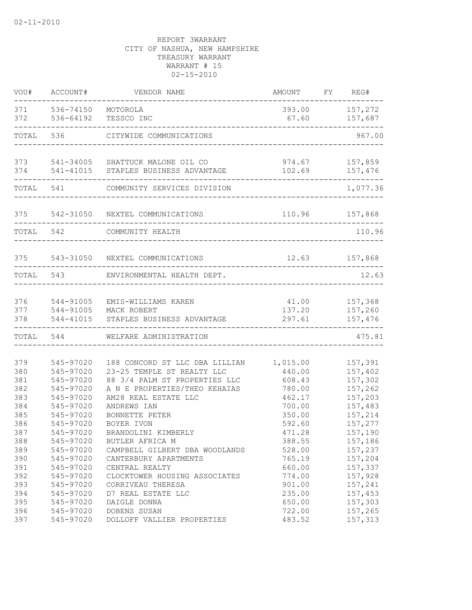| VOU#                            | ACCOUNT#                                                      | VENDOR NAME                                                                                                                                            | AMOUNT                                           | FY REG#                                             |
|---------------------------------|---------------------------------------------------------------|--------------------------------------------------------------------------------------------------------------------------------------------------------|--------------------------------------------------|-----------------------------------------------------|
| 371<br>372                      | 536-74150<br>536-64192                                        | MOTOROLA<br>TESSCO INC                                                                                                                                 | 393.00<br>67.60                                  | 157,272<br>157,687                                  |
| TOTAL                           | 536                                                           | CITYWIDE COMMUNICATIONS                                                                                                                                |                                                  | 967.00                                              |
| 373<br>374                      | 541-41015                                                     | 541-34005 SHATTUCK MALONE OIL CO<br>STAPLES BUSINESS ADVANTAGE                                                                                         | 974.67<br>102.69                                 | 157,859<br>157,476                                  |
| TOTAL                           | 541                                                           | COMMUNITY SERVICES DIVISION                                                                                                                            |                                                  | 1,077.36                                            |
| 375                             | 542-31050                                                     | NEXTEL COMMUNICATIONS                                                                                                                                  | 110.96                                           | 157,868                                             |
| TOTAL                           | 542                                                           | COMMUNITY HEALTH                                                                                                                                       |                                                  | 110.96                                              |
| 375                             |                                                               | 543-31050 NEXTEL COMMUNICATIONS                                                                                                                        | 12.63                                            | 157,868                                             |
| TOTAL                           | 543                                                           | ENVIRONMENTAL HEALTH DEPT.                                                                                                                             |                                                  | 12.63                                               |
| 376<br>377<br>378               | 544-91005<br>544-91005<br>544-41015                           | EMIS-WILLIAMS KAREN<br>MACK ROBERT<br>STAPLES BUSINESS ADVANTAGE                                                                                       | 41.00<br>137.20<br>297.61                        | 157,368<br>157,260<br>157,476                       |
| TOTAL                           | 544                                                           | WELFARE ADMINISTRATION                                                                                                                                 |                                                  | 475.81                                              |
| 379<br>380<br>381<br>382<br>383 | 545-97020<br>545-97020<br>545-97020<br>545-97020<br>545-97020 | 188 CONCORD ST LLC DBA LILLIAN<br>23-25 TEMPLE ST REALTY LLC<br>88 3/4 PALM ST PROPERTIES LLC<br>A N E PROPERTIES/THEO KEHAIAS<br>AM28 REAL ESTATE LLC | 1,015.00<br>440.00<br>608.43<br>780.00<br>462.17 | 157,391<br>157,402<br>157,302<br>157,262<br>157,203 |
| 384<br>385<br>386<br>387        | 545-97020<br>545-97020<br>545-97020<br>545-97020              | ANDREWS IAN<br>BONNETTE PETER<br>BOYER IVON<br>BRANDOLINI KIMBERLY                                                                                     | 700.00<br>350.00<br>592.60<br>471.28             | 157,483<br>157,214<br>157,277<br>157,190            |
| 388<br>389<br>390<br>391<br>392 | 545-97020<br>545-97020<br>545-97020<br>545-97020<br>545-97020 | BUTLER AFRICA M<br>CAMPBELL GILBERT DBA WOODLANDS<br>CANTERBURY APARTMENTS<br>CENTRAL REALTY<br>CLOCKTOWER HOUSING ASSOCIATES                          | 388.55<br>528.00<br>765.19<br>660.00<br>774.00   | 157,186<br>157,237<br>157,204<br>157,337<br>157,928 |
| 393<br>394<br>395<br>396<br>397 | 545-97020<br>545-97020<br>545-97020<br>545-97020<br>545-97020 | CORRIVEAU THERESA<br>D7 REAL ESTATE LLC<br>DAIGLE DONNA<br>DOBENS SUSAN<br>DOLLOFF VALLIER PROPERTIES                                                  | 901.00<br>235.00<br>650.00<br>722.00<br>483.52   | 157,241<br>157,453<br>157,303<br>157,265<br>157,313 |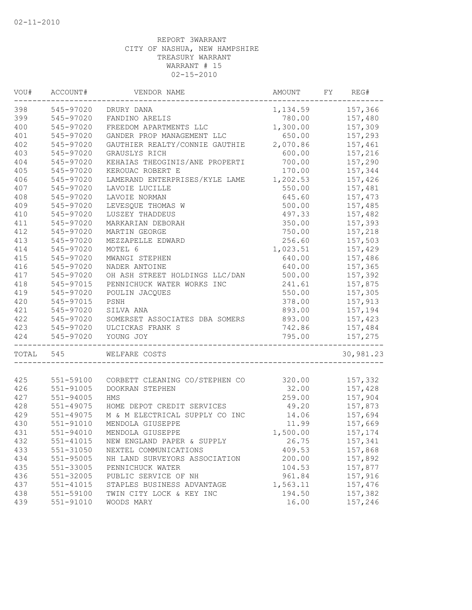| VOU#  | ACCOUNT#  | VENDOR NAME                                  | AMOUNT             | FY | REG#      |
|-------|-----------|----------------------------------------------|--------------------|----|-----------|
| 398   | 545-97020 | DRURY DANA                                   | 1, 134.59 157, 366 |    |           |
| 399   | 545-97020 | FANDINO ARELIS                               | 780.00             |    | 157,480   |
| 400   | 545-97020 | FREEDOM APARTMENTS LLC                       | 1,300.00           |    | 157,309   |
| 401   | 545-97020 | GANDER PROP MANAGEMENT LLC                   | 650.00             |    | 157,293   |
| 402   | 545-97020 | GAUTHIER REALTY/CONNIE GAUTHIE               | 2,070.86           |    | 157,461   |
| 403   | 545-97020 | GRAUSLYS RICH                                | 600.00             |    | 157,216   |
| 404   | 545-97020 | KEHAIAS THEOGINIS/ANE PROPERTI               | 700.00             |    | 157,290   |
| 405   | 545-97020 | KEROUAC ROBERT E                             | 170.00             |    | 157,344   |
| 406   | 545-97020 | LAMERAND ENTERPRISES/KYLE LAME               | 1,202.53           |    | 157,426   |
| 407   | 545-97020 | LAVOIE LUCILLE                               | 550.00             |    | 157,481   |
| 408   | 545-97020 | LAVOIE NORMAN                                | 645.60             |    | 157,473   |
| 409   | 545-97020 | LEVESQUE THOMAS W                            | 500.00             |    | 157,485   |
| 410   | 545-97020 | LUSZEY THADDEUS                              | 497.33             |    | 157,482   |
| 411   | 545-97020 | MARKARIAN DEBORAH                            | 350.00             |    | 157,393   |
| 412   | 545-97020 | MARTIN GEORGE                                | 750.00             |    | 157,218   |
| 413   | 545-97020 | MEZZAPELLE EDWARD                            | 256.60             |    | 157,503   |
| 414   | 545-97020 | MOTEL 6                                      | 1,023.51           |    | 157,429   |
| 415   | 545-97020 | MWANGI STEPHEN                               | 640.00             |    | 157,486   |
| 416   | 545-97020 | NADER ANTOINE                                | 640.00             |    | 157,365   |
| 417   | 545-97020 | OH ASH STREET HOLDINGS LLC/DAN               | 500.00             |    | 157,392   |
| 418   | 545-97015 | PENNICHUCK WATER WORKS INC                   | 241.61             |    | 157,875   |
| 419   | 545-97020 | POULIN JACQUES                               | 550.00             |    | 157,305   |
| 420   | 545-97015 | PSNH                                         | 378.00             |    | 157,913   |
| 421   | 545-97020 | SILVA ANA                                    | 893.00             |    | 157,194   |
| 422   | 545-97020 | SOMERSET ASSOCIATES DBA SOMERS               | 893.00             |    | 157,423   |
| 423   | 545-97020 | ULCICKAS FRANK S                             | 742.86             |    | 157,484   |
| 424   | 545-97020 | YOUNG JOY<br>_______________________________ | 795.00             |    | 157,275   |
| TOTAL | 545       | WELFARE COSTS                                |                    |    | 30,981.23 |
|       |           |                                              |                    |    |           |
| 425   | 551-59100 | CORBETT CLEANING CO/STEPHEN CO               | 320.00             |    | 157,332   |
| 426   | 551-91005 | DOOKRAN STEPHEN                              | 32.00              |    | 157,428   |
| 427   | 551-94005 | HMS                                          | 259.00             |    | 157,904   |
| 428   | 551-49075 | HOME DEPOT CREDIT SERVICES                   | 49.20              |    | 157,873   |
| 429   | 551-49075 | M & M ELECTRICAL SUPPLY CO INC               | 14.06              |    | 157,694   |
| 430   | 551-91010 | MENDOLA GIUSEPPE                             | 11.99              |    | 157,669   |
| 431   | 551-94010 | MENDOLA GIUSEPPE                             | 1,500.00           |    | 157,174   |
| 432   | 551-41015 | NEW ENGLAND PAPER & SUPPLY                   | 26.75              |    | 157,341   |
| 433   | 551-31050 | NEXTEL COMMUNICATIONS                        | 409.53             |    | 157,868   |
| 434   | 551-95005 | NH LAND SURVEYORS ASSOCIATION                | 200.00             |    | 157,892   |
| 435   | 551-33005 | PENNICHUCK WATER                             | 104.53             |    | 157,877   |
| 436   | 551-32005 | PUBLIC SERVICE OF NH                         | 961.84             |    | 157,916   |
| 437   | 551-41015 | STAPLES BUSINESS ADVANTAGE                   | 1,563.11           |    | 157,476   |
| 438   | 551-59100 | TWIN CITY LOCK & KEY INC                     | 194.50             |    | 157,382   |
| 439   | 551-91010 | WOODS MARY                                   | 16.00              |    | 157,246   |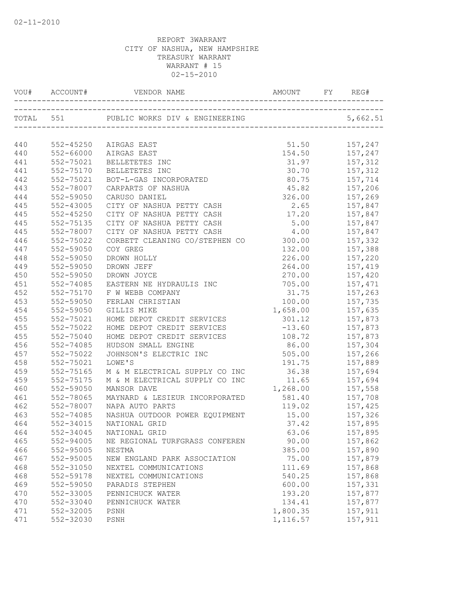|     | VOU# ACCOUNT# |                                |                |                               |
|-----|---------------|--------------------------------|----------------|-------------------------------|
|     | TOTAL 551     |                                |                | 5,662.51                      |
|     |               |                                |                |                               |
| 440 |               |                                | 51.50          |                               |
|     | 552-45250     | AIRGAS EAST                    |                | 157,247                       |
| 440 | 552-66000     | AIRGAS EAST                    |                | 154.50 157,247                |
| 441 | 552-75021     | BELLETETES INC                 | 31.97          | 157,312<br>157,312<br>157,714 |
| 441 | 552-75170     | BELLETETES INC                 | 30.70          |                               |
| 442 | 552-75021     | BOT-L-GAS INCORPORATED         | 80.75          |                               |
| 443 | 552-78007     | CARPARTS OF NASHUA             |                | 45.82 157,206                 |
| 444 | 552-59050     | CARUSO DANIEL                  | 326.00 157,269 |                               |
| 445 | 552-43005     | CITY OF NASHUA PETTY CASH      | 2.65 157,847   |                               |
| 445 | $552 - 45250$ | CITY OF NASHUA PETTY CASH      |                |                               |
| 445 | 552-75135     | CITY OF NASHUA PETTY CASH      | 5.00           | 157,847                       |
| 445 | 552-78007     | CITY OF NASHUA PETTY CASH      | 4.00           | 157,847                       |
| 446 | 552-75022     | CORBETT CLEANING CO/STEPHEN CO | 300.00         | 157,332                       |
| 447 | 552-59050     | COY GREG                       | 132.00         | 157,388                       |
| 448 | 552-59050     | DROWN HOLLY                    | 226.00         | 157,220                       |
| 449 | 552-59050     | DROWN JEFF                     | 264.00         | 157,419                       |
| 450 | 552-59050     | DROWN JOYCE                    | 270.00         | 157,420                       |
| 451 | 552-74085     | EASTERN NE HYDRAULIS INC       | 705.00         | 157,471                       |
| 452 | 552-75170     | F W WEBB COMPANY               | 31.75          | 157,263                       |
| 453 | 552-59050     | FERLAN CHRISTIAN               | 100.00         | 157,735                       |
| 454 | 552-59050     | GILLIS MIKE                    | 1,658.00       | 157,635                       |
| 455 | 552-75021     | HOME DEPOT CREDIT SERVICES     | 301.12         | 157,873                       |
| 455 | 552-75022     | HOME DEPOT CREDIT SERVICES     | $-13.60$       | 157,873                       |
| 455 | 552-75040     | HOME DEPOT CREDIT SERVICES     | 108.72         | 157,873                       |
| 456 | 552-74085     | HUDSON SMALL ENGINE            | 86.00 157,304  |                               |
| 457 | 552-75022     | JOHNSON'S ELECTRIC INC         |                | 505.00 157,266                |
| 458 | 552-75021     | LOWE'S                         | 191.75         | 157,889                       |
| 459 | 552-75165     | M & M ELECTRICAL SUPPLY CO INC |                | 36.38 157,694                 |
| 459 | 552-75175     | M & M ELECTRICAL SUPPLY CO INC | 11.65          | 157,694                       |
| 460 | 552-59050     | MANSOR DAVE                    | 1,268.00       | 157,558                       |
| 461 | 552-78065     | MAYNARD & LESIEUR INCORPORATED | 581.40         | 157,708                       |
| 462 | 552-78007     | NAPA AUTO PARTS                | 119.02         | 157,425                       |
| 463 | 552-74085     | NASHUA OUTDOOR POWER EQUIPMENT | 15.00          | 157,326                       |
| 464 | 552-34015     | NATIONAL GRID                  | 37.42          | 157,895                       |
| 464 | 552-34045     | NATIONAL GRID                  | 63.06          | 157,895                       |
| 465 | 552-94005     | NE REGIONAL TURFGRASS CONFEREN | 90.00          | 157,862                       |
| 466 | 552-95005     | NESTMA                         | 385.00         | 157,890                       |
| 467 | 552-95005     | NEW ENGLAND PARK ASSOCIATION   | 75.00          | 157,879                       |
| 468 | 552-31050     | NEXTEL COMMUNICATIONS          | 111.69         | 157,868                       |
| 468 | 552-59178     | NEXTEL COMMUNICATIONS          | 540.25         | 157,868                       |
| 469 | 552-59050     | PARADIS STEPHEN                | 600.00         | 157,331                       |
| 470 | 552-33005     | PENNICHUCK WATER               | 193.20         | 157,877                       |
| 470 | 552-33040     | PENNICHUCK WATER               | 134.41         | 157,877                       |
| 471 | 552-32005     | PSNH                           | 1,800.35       | 157,911                       |
| 471 | 552-32030     | PSNH                           | 1,116.57       | 157,911                       |
|     |               |                                |                |                               |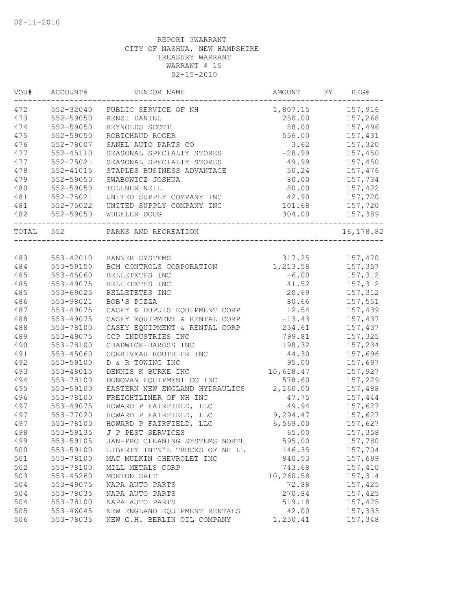| WOU#  | ACCOUNT#      | VENDOR NAME                    | AMOUNT           | FY | REG#       |
|-------|---------------|--------------------------------|------------------|----|------------|
| 472   | 552-32040     | PUBLIC SERVICE OF NH           | 1,807.15 157,916 |    |            |
| 473   | 552-59050     | RENZI DANIEL                   | 250.00           |    | 157,268    |
| 474   | 552-59050     | REYNOLDS SCOTT                 | 88.00            |    | 157,496    |
| 475   | 552-59050     | ROBICHAUD ROGER                | 556.00           |    | 157,431    |
| 476   | 552-78007     | SANEL AUTO PARTS CO            | 3.62             |    | 157,320    |
| 477   | $552 - 45110$ | SEASONAL SPECIALTY STORES      | $-28.99$         |    | 157,450    |
| 477   | 552-75021     | SEASONAL SPECIALTY STORES      | 49.99            |    | 157,450    |
| 478   | $552 - 41015$ | STAPLES BUSINESS ADVANTAGE     | 50.24            |    | 157,476    |
| 479   | 552-59050     | SWABOWICZ JOSHUA               | 80.00            |    | 157,734    |
| 480   | 552-59050     | TOLLNER NEIL                   | 80.00            |    | 157,422    |
| 481   | 552-75021     | UNITED SUPPLY COMPANY INC      | 42.90            |    | 157,720    |
| 481   | 552-75022     | UNITED SUPPLY COMPANY INC      | 101.68           |    | 157,720    |
| 482   | 552-59050     | WHEELER DOUG                   | 304.00           |    | 157,389    |
| TOTAL | 552           | PARKS AND RECREATION           |                  |    | 16, 178.82 |
|       |               |                                |                  |    |            |
| 483   |               | 553-42010 BANNER SYSTEMS       | 317.25           |    | 157,470    |
| 484   | 553-59150     | BCM CONTROLS CORPORATION       | 1,213.58         |    | 157,357    |
| 485   | 553-45060     | BELLETETES INC                 | $-6.00$          |    | 157,312    |
| 485   | 553-49075     | BELLETETES INC                 | 41.52            |    | 157,312    |
| 485   | 553-69025     | BELLETETES INC                 | 20.69            |    | 157,312    |
| 486   | 553-98021     | BOB'S PIZZA                    | 80.66            |    | 157,551    |
| 487   | 553-49075     | CASEY & DUPUIS EQUIPMENT CORP  | 12.54            |    | 157,439    |
| 488   | 553-49075     | CASEY EQUIPMENT & RENTAL CORP  | $-13.43$         |    | 157,437    |
| 488   | 553-78100     | CASEY EQUIPMENT & RENTAL CORP  | 234.61           |    | 157,437    |
| 489   | 553-49075     | CCP INDUSTRIES INC             | 799.81           |    | 157,325    |
| 490   | 553-78100     | CHADWICK-BAROSS INC            | 198.32           |    | 157,234    |
| 491   | 553-45060     | CORRIVEAU ROUTHIER INC         | 44.30            |    | 157,696    |
| 492   | 553-59100     | D & R TOWING INC               | 95.00            |    | 157,697    |
| 493   | 553-48015     | DENNIS K BURKE INC             | 10,618.47        |    | 157,927    |
| 494   | 553-78100     | DONOVAN EQUIPMENT CO INC       | 578.60           |    | 157,229    |
| 495   | 553-59100     | EASTERN NEW ENGLAND HYDRAULICS | 2,160.00         |    | 157,488    |
| 496   | 553-78100     | FREIGHTLINER OF NH INC         | 47.75            |    | 157,444    |
| 497   | 553-49075     | HOWARD P FAIRFIELD, LLC        | 49.94            |    | 157,627    |
| 497   | 553-77020     | HOWARD P FAIRFIELD, LLC        | 9,294.47         |    | 157,627    |
| 497   | 553-78100     | HOWARD P FAIRFIELD, LLC        | 6,569.00         |    | 157,627    |
| 498   | 553-59135     | J P PEST SERVICES              | 65.00            |    | 157,358    |
| 499   | 553-59105     | JAN-PRO CLEANING SYSTEMS NORTH | 595.00           |    | 157,780    |
| 500   | 553-59100     | LIBERTY INTN'L TRUCKS OF NH LL | 146.35           |    | 157,704    |
| 501   | 553-78100     | MAC MULKIN CHEVROLET INC       | 940.53           |    | 157,699    |
| 502   | 553-78100     | MILL METALS CORP               | 743.68           |    | 157,410    |
| 503   | 553-45260     | MORTON SALT                    | 10,260.58        |    | 157,314    |
| 504   | 553-49075     | NAPA AUTO PARTS                | 72.88            |    | 157,425    |
| 504   | 553-78035     | NAPA AUTO PARTS                | 270.84           |    | 157,425    |
| 504   | 553-78100     | NAPA AUTO PARTS                | 519.18           |    | 157,425    |
| 505   | $553 - 46045$ | NEW ENGLAND EQUIPMENT RENTALS  | 42.00            |    | 157,333    |
| 506   | 553-78035     | NEW G.H. BERLIN OIL COMPANY    | 1,250.41         |    | 157,348    |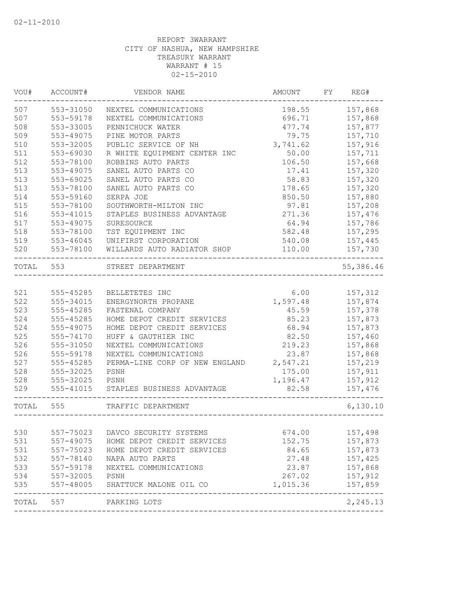| VOU#  | ACCOUNT#      | VENDOR NAME                                 | AMOUNT   | FY | REG#      |
|-------|---------------|---------------------------------------------|----------|----|-----------|
| 507   | 553-31050     | NEXTEL COMMUNICATIONS                       | 198.55   |    | 157,868   |
| 507   | 553-59178     | NEXTEL COMMUNICATIONS                       | 696.71   |    | 157,868   |
| 508   | 553-33005     | PENNICHUCK WATER                            | 477.74   |    | 157,877   |
| 509   | 553-49075     | PINE MOTOR PARTS                            | 79.75    |    | 157,710   |
| 510   | 553-32005     | PUBLIC SERVICE OF NH                        | 3,741.62 |    | 157,916   |
| 511   | 553-69030     | R WHITE EQUIPMENT CENTER INC                | 50.00    |    | 157,711   |
| 512   | 553-78100     | ROBBINS AUTO PARTS                          | 106.50   |    | 157,668   |
| 513   | 553-49075     | SANEL AUTO PARTS CO                         | 17.41    |    | 157,320   |
| 513   | 553-69025     | SANEL AUTO PARTS CO                         | 58.83    |    | 157,320   |
| 513   | 553-78100     | SANEL AUTO PARTS CO                         | 178.65   |    | 157,320   |
| 514   | 553-59160     | SERPA JOE                                   | 850.50   |    | 157,880   |
| 515   | 553-78100     | SOUTHWORTH-MILTON INC                       | 97.81    |    | 157,208   |
| 516   | 553-41015     | STAPLES BUSINESS ADVANTAGE                  | 271.36   |    | 157,476   |
| 517   | 553-49075     | SURESOURCE                                  | 64.94    |    | 157,786   |
| 518   | 553-78100     | TST EQUIPMENT INC                           | 582.48   |    | 157,295   |
| 519   | 553-46045     | UNIFIRST CORPORATION                        | 540.08   |    | 157,445   |
| 520   | 553-78100     | WILLARDS AUTO RADIATOR SHOP<br>____________ | 110.00   |    | 157,730   |
| TOTAL | 553           | STREET DEPARTMENT                           |          |    | 55,386.46 |
|       |               |                                             |          |    |           |
| 521   | 555-45285     | BELLETETES INC                              | 6.00     |    | 157,312   |
| 522   | 555-34015     | ENERGYNORTH PROPANE                         | 1,597.48 |    | 157,874   |
| 523   | 555-45285     | FASTENAL COMPANY                            | 45.59    |    | 157,378   |
| 524   | 555-45285     | HOME DEPOT CREDIT SERVICES                  | 85.23    |    | 157,873   |
| 524   | 555-49075     | HOME DEPOT CREDIT SERVICES                  | 68.94    |    | 157,873   |
| 525   | 555-74170     | HUFF & GAUTHIER INC                         | 82.50    |    | 157,460   |
| 526   | 555-31050     | NEXTEL COMMUNICATIONS                       | 219.23   |    | 157,868   |
| 526   | 555-59178     | NEXTEL COMMUNICATIONS                       | 23.87    |    | 157,868   |
| 527   | 555-45285     | PERMA-LINE CORP OF NEW ENGLAND              | 2,547.21 |    | 157,219   |
| 528   | 555-32025     | PSNH                                        | 175.00   |    | 157,911   |
| 528   | 555-32025     | PSNH                                        | 1,196.47 |    | 157,912   |
| 529   | 555-41015     | STAPLES BUSINESS ADVANTAGE                  | 82.58    |    | 157,476   |
| TOTAL | 555           | TRAFFIC DEPARTMENT<br>_____________________ |          |    | 6,130.10  |
|       |               |                                             |          |    |           |
| 530   | 557-75023     | DAVCO SECURITY SYSTEMS                      | 674.00   |    | 157,498   |
| 531   | 557-49075     | HOME DEPOT CREDIT SERVICES                  | 152.75   |    | 157,873   |
| 531   | 557-75023     | HOME DEPOT CREDIT SERVICES                  | 84.65    |    | 157,873   |
| 532   | 557-78140     | NAPA AUTO PARTS                             | 27.48    |    | 157,425   |
| 533   | 557-59178     | NEXTEL COMMUNICATIONS                       | 23.87    |    | 157,868   |
| 534   | $557 - 32005$ | PSNH                                        | 267.02   |    | 157,912   |
| 535   | 557-48005     | SHATTUCK MALONE OIL CO<br>_______________   | 1,015.36 |    | 157,859   |
| TOTAL | 557           | PARKING LOTS                                |          |    | 2,245.13  |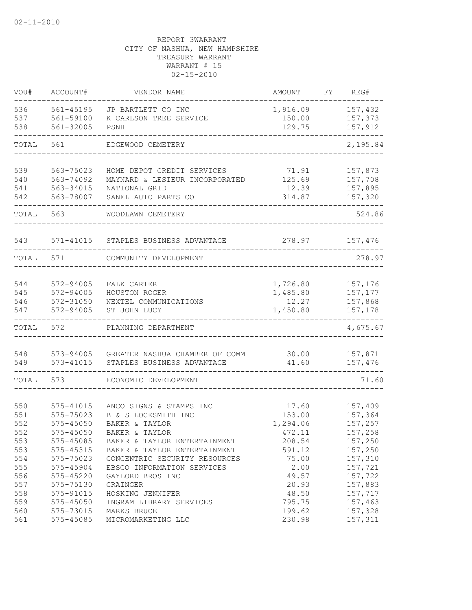| VOU#                                   | ACCOUNT#                                                                       | VENDOR NAME                                                                                                                                        | AMOUNT                                                    | FY | REG#                                                           |
|----------------------------------------|--------------------------------------------------------------------------------|----------------------------------------------------------------------------------------------------------------------------------------------------|-----------------------------------------------------------|----|----------------------------------------------------------------|
| 536<br>537<br>538                      | 561-45195<br>561-59100<br>561-32005                                            | JP BARTLETT CO INC<br>K CARLSON TREE SERVICE<br>PSNH                                                                                               | 1,916.09<br>150.00<br>129.75                              |    | 157,432<br>157,373<br>157,912                                  |
| TOTAL                                  | 561                                                                            | EDGEWOOD CEMETERY                                                                                                                                  |                                                           |    | 2,195.84                                                       |
|                                        |                                                                                |                                                                                                                                                    |                                                           |    |                                                                |
| 539<br>540<br>541<br>542               | 563-75023<br>563-74092<br>563-34015<br>563-78007                               | HOME DEPOT CREDIT SERVICES<br>MAYNARD & LESIEUR INCORPORATED<br>NATIONAL GRID<br>SANEL AUTO PARTS CO                                               | 71.91<br>125.69<br>12.39<br>314.87                        |    | 157,873<br>157,708<br>157,895<br>157,320                       |
| TOTAL                                  | 563                                                                            | WOODLAWN CEMETERY                                                                                                                                  |                                                           |    | 524.86                                                         |
| 543                                    | 571-41015                                                                      | STAPLES BUSINESS ADVANTAGE                                                                                                                         | 278.97                                                    |    | 157,476                                                        |
| TOTAL                                  | 571                                                                            | COMMUNITY DEVELOPMENT                                                                                                                              |                                                           |    | 278.97                                                         |
| 544<br>545<br>546<br>547               | 572-94005<br>572-94005<br>572-31050<br>572-94005                               | FALK CARTER<br>HOUSTON ROGER<br>NEXTEL COMMUNICATIONS<br>ST JOHN LUCY                                                                              | 1,726.80<br>1,485.80<br>12.27<br>1,450.80                 |    | 157,176<br>157,177<br>157,868<br>157,178                       |
| TOTAL                                  | 572                                                                            | PLANNING DEPARTMENT                                                                                                                                |                                                           |    | 4,675.67                                                       |
| 548<br>549                             | 573-94005<br>573-41015                                                         | GREATER NASHUA CHAMBER OF COMM<br>STAPLES BUSINESS ADVANTAGE                                                                                       | 30.00<br>41.60                                            |    | 157,871<br>157,476                                             |
| TOTAL                                  | 573                                                                            | ECONOMIC DEVELOPMENT                                                                                                                               |                                                           |    | 71.60                                                          |
| 550<br>551<br>552<br>552<br>553<br>553 | 575-41015<br>575-75023<br>$575 - 45050$<br>575-45050<br>575-45085<br>575-45315 | ANCO SIGNS & STAMPS INC<br>B & S LOCKSMITH INC<br>BAKER & TAYLOR<br>BAKER & TAYLOR<br>BAKER & TAYLOR ENTERTAINMENT<br>BAKER & TAYLOR ENTERTAINMENT | 17.60<br>153.00<br>1,294.06<br>472.11<br>208.54<br>591.12 |    | 157,409<br>157,364<br>157,257<br>157,258<br>157,250<br>157,250 |
| 554<br>555<br>556<br>557<br>558<br>559 | 575-75023<br>575-45904<br>$575 - 45220$<br>575-75130<br>575-91015<br>575-45050 | CONCENTRIC SECURITY RESOURCES<br>EBSCO INFORMATION SERVICES<br>GAYLORD BROS INC<br>GRAINGER<br>HOSKING JENNIFER<br>INGRAM LIBRARY SERVICES         | 75.00<br>2.00<br>49.57<br>20.93<br>48.50<br>795.75        |    | 157,310<br>157,721<br>157,722<br>157,883<br>157,717<br>157,463 |
| 560<br>561                             | 575-73015<br>575-45085                                                         | MARKS BRUCE<br>MICROMARKETING LLC                                                                                                                  | 199.62<br>230.98                                          |    | 157,328<br>157,311                                             |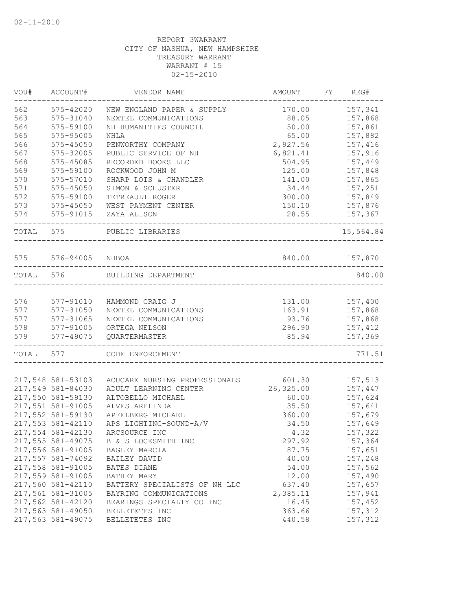| VOU#      | ACCOUNT#          | VENDOR NAME                                | AMOUNT                        | FY | REG#      |
|-----------|-------------------|--------------------------------------------|-------------------------------|----|-----------|
| 562       | 575-42020         | NEW ENGLAND PAPER & SUPPLY                 | 170.00                        |    | 157,341   |
| 563       | 575-31040         | NEXTEL COMMUNICATIONS                      | 88.05                         |    | 157,868   |
| 564       | 575-59100         | NH HUMANITIES COUNCIL                      | 50.00                         |    | 157,861   |
| 565       | 575-95005         | NHLA                                       | 65.00                         |    | 157,882   |
| 566       | $575 - 45050$     | PENWORTHY COMPANY                          | 2,927.56                      |    | 157,416   |
| 567       | 575-32005         | PUBLIC SERVICE OF NH                       | 6,821.41                      |    | 157,916   |
| 568       | 575-45085         | RECORDED BOOKS LLC                         | 504.95                        |    | 157,449   |
| 569       | 575-59100         | ROCKWOOD JOHN M                            | 125.00                        |    | 157,848   |
| 570       | 575-57010         | SHARP LOIS & CHANDLER                      | 141.00                        |    | 157,865   |
| 571       | $575 - 45050$     | SIMON & SCHUSTER                           | 34.44                         |    | 157,251   |
| 572       | 575-59100         | TETREAULT ROGER                            | 300.00                        |    | 157,849   |
| 573       | $575 - 45050$     | WEST PAYMENT CENTER                        | 150.10                        |    | 157,876   |
| 574       | 575-91015         | ZAYA ALISON<br>_______________             | 28.55                         |    | 157,367   |
| TOTAL 575 |                   | PUBLIC LIBRARIES<br>---------------------- |                               |    | 15,564.84 |
| 575       | 576-94005 NHBOA   |                                            | 840.00                        |    | 157,870   |
|           |                   | --------------------------------           |                               |    |           |
| TOTAL 576 |                   | BUILDING DEPARTMENT                        |                               |    | 840.00    |
| 576       | 577-91010         | HAMMOND CRAIG J                            | 131.00                        |    | 157,400   |
| 577       | 577-31050         | NEXTEL COMMUNICATIONS                      | 163.91                        |    | 157,868   |
| 577       | 577-31065         | NEXTEL COMMUNICATIONS                      | 93.76                         |    | 157,868   |
| 578       | 577-91005         | ORTEGA NELSON                              | 296.90                        |    | 157,412   |
| 579       | 577-49075         | QUARTERMASTER                              | 85.94<br>-------------------- |    | 157,369   |
| TOTAL 577 |                   | CODE ENFORCEMENT                           |                               |    | 771.51    |
|           | 217,548 581-53103 | ACUCARE NURSING PROFESSIONALS              | 601.30                        |    | 157,513   |
|           | 217,549 581-84030 | ADULT LEARNING CENTER                      | 26,325.00                     |    | 157,447   |
|           | 217,550 581-59130 | ALTOBELLO MICHAEL                          | 60.00                         |    | 157,624   |
|           | 217,551 581-91005 | ALVES ARELINDA                             | 35.50                         |    | 157,641   |
|           | 217,552 581-59130 | APFELBERG MICHAEL                          | 360.00                        |    | 157,679   |
|           | 217,553 581-42110 | APS LIGHTING-SOUND-A/V                     | 34.50                         |    | 157,649   |
|           | 217,554 581-42130 | ARCSOURCE INC                              | 4.32                          |    | 157,322   |
|           |                   |                                            |                               |    |           |
|           | 217,555 581-49075 | B & S LOCKSMITH INC                        | 297.92                        |    | 157,364   |
|           | 217,556 581-91005 | BAGLEY MARCIA                              | 87.75                         |    | 157,651   |
|           | 217,557 581-74092 | BAILEY DAVID                               | 40.00                         |    | 157,248   |
|           | 217,558 581-91005 | BATES DIANE                                | 54.00                         |    | 157,562   |
|           | 217,559 581-91005 | BATHEY MARY                                | 12.00                         |    | 157,490   |
|           | 217,560 581-42110 | BATTERY SPECIALISTS OF NH LLC              | 637.40                        |    | 157,657   |
|           | 217,561 581-31005 | BAYRING COMMUNICATIONS                     | 2,385.11                      |    | 157,941   |
|           | 217,562 581-42120 | BEARINGS SPECIALTY CO INC                  | 16.45                         |    | 157,452   |
|           | 217,563 581-49050 | BELLETETES INC                             | 363.66                        |    | 157,312   |
|           | 217,563 581-49075 | BELLETETES INC                             | 440.58                        |    | 157,312   |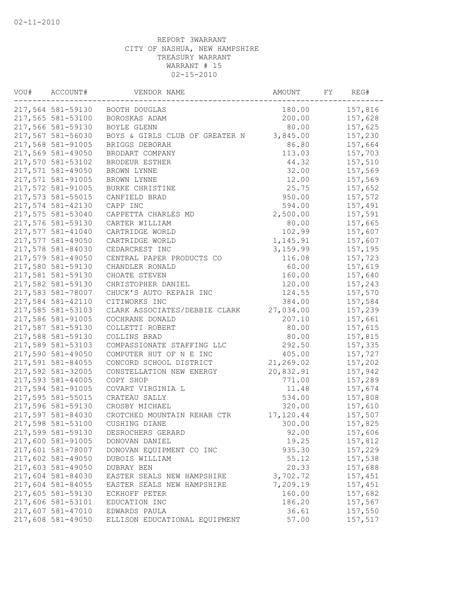| VOU# | ACCOUNT#          | VENDOR NAME                     | AMOUNT    | FY | REG#    |
|------|-------------------|---------------------------------|-----------|----|---------|
|      |                   | 217,564 581-59130 BOOTH DOUGLAS | 180.00    |    | 157,816 |
|      | 217,565 581-53100 | BOROSKAS ADAM                   | 200.00    |    | 157,628 |
|      | 217,566 581-59130 | BOYLE GLENN                     | 80.00     |    | 157,625 |
|      | 217,567 581-56030 | BOYS & GIRLS CLUB OF GREATER N  | 3,845.00  |    | 157,230 |
|      | 217,568 581-91005 | BRIGGS DEBORAH                  | 86.80     |    | 157,664 |
|      | 217,569 581-49050 | BRODART COMPANY                 | 113.03    |    | 157,703 |
|      | 217,570 581-53102 | BRODEUR ESTHER                  | 44.32     |    | 157,510 |
|      | 217,571 581-49050 | BROWN LYNNE                     | 32.00     |    | 157,569 |
|      | 217,571 581-91005 | BROWN LYNNE                     | 12.00     |    | 157,569 |
|      | 217,572 581-91005 | BURKE CHRISTINE                 | 25.75     |    | 157,652 |
|      | 217,573 581-55015 | CANFIELD BRAD                   | 950.00    |    | 157,572 |
|      | 217,574 581-42130 | CAPP INC                        | 594.00    |    | 157,491 |
|      | 217,575 581-53040 | CAPPETTA CHARLES MD             | 2,500.00  |    | 157,591 |
|      | 217,576 581-59130 | CARTER WILLIAM                  | 80.00     |    | 157,665 |
|      | 217,577 581-41040 | CARTRIDGE WORLD                 | 102.99    |    | 157,607 |
|      | 217,577 581-49050 | CARTRIDGE WORLD                 | 1,145.91  |    | 157,607 |
|      | 217,578 581-84030 | CEDARCREST INC                  | 3,159.99  |    | 157,195 |
|      | 217,579 581-49050 | CENTRAL PAPER PRODUCTS CO       | 116.08    |    | 157,723 |
|      | 217,580 581-59130 | CHANDLER RONALD                 | 60.00     |    | 157,619 |
|      | 217,581 581-59130 | CHOATE STEVEN                   | 160.00    |    | 157,640 |
|      | 217,582 581-59130 | CHRISTOPHER DANIEL              | 120.00    |    | 157,243 |
|      | 217,583 581-78007 | CHUCK'S AUTO REPAIR INC         | 124.55    |    | 157,570 |
|      | 217,584 581-42110 | CITIWORKS INC                   | 384.00    |    | 157,584 |
|      | 217,585 581-53103 | CLARK ASSOCIATES/DEBBIE CLARK   | 27,034.00 |    | 157,239 |
|      | 217,586 581-91005 | COCHRANE DONALD                 | 207.10    |    | 157,661 |
|      | 217,587 581-59130 | COLLETTI ROBERT                 | 80.00     |    | 157,615 |
|      | 217,588 581-59130 | COLLINS BRAD                    | 80.00     |    | 157,815 |
|      | 217,589 581-53103 | COMPASSIONATE STAFFING LLC      | 292.50    |    | 157,335 |
|      | 217,590 581-49050 | COMPUTER HUT OF N E INC         | 405.00    |    | 157,727 |
|      | 217,591 581-84055 | CONCORD SCHOOL DISTRICT         | 21,269.02 |    | 157,202 |
|      | 217,592 581-32005 | CONSTELLATION NEW ENERGY        | 20,832.91 |    | 157,942 |
|      | 217,593 581-44005 | COPY SHOP                       | 771.00    |    | 157,289 |
|      | 217,594 581-91005 | COVART VIRGINIA L               | 11.48     |    | 157,674 |
|      | 217,595 581-55015 | CRATEAU SALLY                   | 534.00    |    | 157,808 |
|      | 217,596 581-59130 | CROSBY MICHAEL                  | 320.00    |    | 157,610 |
|      | 217,597 581-84030 | CROTCHED MOUNTAIN REHAB CTR     | 17,120.44 |    | 157,507 |
|      | 217,598 581-53100 | CUSHING DIANE                   | 300.00    |    | 157,825 |
|      | 217,599 581-59130 | DESROCHERS GERARD               | 92.00     |    | 157,606 |
|      | 217,600 581-91005 | DONOVAN DANIEL                  | 19.25     |    | 157,812 |
|      | 217,601 581-78007 | DONOVAN EQUIPMENT CO INC        | 935.30    |    | 157,229 |
|      | 217,602 581-49050 | DUBOIS WILLIAM                  | 55.12     |    | 157,538 |
|      | 217,603 581-49050 | DUBRAY BEN                      | 20.33     |    | 157,688 |
|      | 217,604 581-84030 | EASTER SEALS NEW HAMPSHIRE      | 3,702.72  |    | 157,451 |
|      | 217,604 581-84055 | EASTER SEALS NEW HAMPSHIRE      | 7,209.19  |    | 157,451 |
|      | 217,605 581-59130 | ECKHOFF PETER                   | 160.00    |    | 157,682 |
|      | 217,606 581-53101 | EDUCATION INC                   | 186.20    |    | 157,567 |
|      | 217,607 581-47010 | EDWARDS PAULA                   | 36.61     |    | 157,550 |
|      | 217,608 581-49050 | ELLISON EDUCATIONAL EQUIPMENT   | 57.00     |    | 157,517 |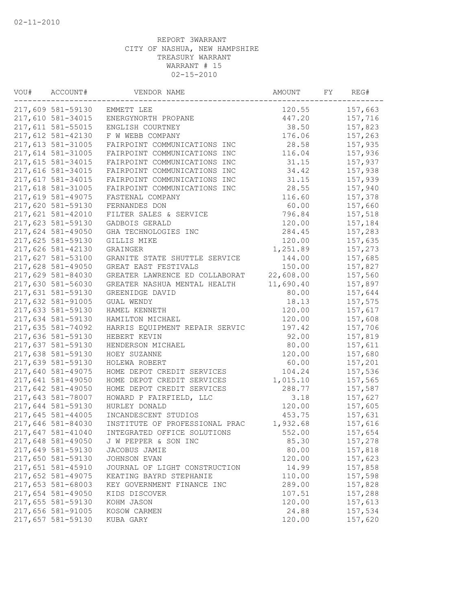| VOU# | ACCOUNT#          | VENDOR NAME                    | AMOUNT    | FY | REG#    |
|------|-------------------|--------------------------------|-----------|----|---------|
|      | 217,609 581-59130 | EMMETT LEE                     | 120.55    |    | 157,663 |
|      | 217,610 581-34015 | ENERGYNORTH PROPANE            | 447.20    |    | 157,716 |
|      | 217,611 581-55015 | ENGLISH COURTNEY               | 38.50     |    | 157,823 |
|      | 217,612 581-42130 | F W WEBB COMPANY               | 176.06    |    | 157,263 |
|      | 217,613 581-31005 | FAIRPOINT COMMUNICATIONS INC   | 28.58     |    | 157,935 |
|      | 217,614 581-31005 | FAIRPOINT COMMUNICATIONS INC   | 116.04    |    | 157,936 |
|      | 217,615 581-34015 | FAIRPOINT COMMUNICATIONS INC   | 31.15     |    | 157,937 |
|      | 217,616 581-34015 | FAIRPOINT COMMUNICATIONS INC   | 34.42     |    | 157,938 |
|      | 217,617 581-34015 | FAIRPOINT COMMUNICATIONS INC   | 31.15     |    | 157,939 |
|      | 217,618 581-31005 | FAIRPOINT COMMUNICATIONS INC   | 28.55     |    | 157,940 |
|      | 217,619 581-49075 | FASTENAL COMPANY               | 116.60    |    | 157,378 |
|      | 217,620 581-59130 | FERNANDES DON                  | 60.00     |    | 157,660 |
|      | 217,621 581-42010 | FILTER SALES & SERVICE         | 796.84    |    | 157,518 |
|      | 217,623 581-59130 | GADBOIS GERALD                 | 120.00    |    | 157,184 |
|      | 217,624 581-49050 | GHA TECHNOLOGIES INC           | 284.45    |    | 157,283 |
|      | 217,625 581-59130 | GILLIS MIKE                    | 120.00    |    | 157,635 |
|      | 217,626 581-42130 | GRAINGER                       | 1,251.89  |    | 157,273 |
|      | 217,627 581-53100 | GRANITE STATE SHUTTLE SERVICE  | 144.00    |    | 157,685 |
|      | 217,628 581-49050 | GREAT EAST FESTIVALS           | 150.00    |    | 157,827 |
|      | 217,629 581-84030 | GREATER LAWRENCE ED COLLABORAT | 22,608.00 |    | 157,560 |
|      | 217,630 581-56030 | GREATER NASHUA MENTAL HEALTH   | 11,690.40 |    | 157,897 |
|      | 217,631 581-59130 | GREENIDGE DAVID                | 80.00     |    | 157,644 |
|      | 217,632 581-91005 | GUAL WENDY                     | 18.13     |    | 157,575 |
|      | 217,633 581-59130 | HAMEL KENNETH                  | 120.00    |    | 157,617 |
|      | 217,634 581-59130 | HAMILTON MICHAEL               | 120.00    |    | 157,608 |
|      | 217,635 581-74092 | HARRIS EQUIPMENT REPAIR SERVIC | 197.42    |    | 157,706 |
|      | 217,636 581-59130 | HEBERT KEVIN                   | 92.00     |    | 157,819 |
|      | 217,637 581-59130 | HENDERSON MICHAEL              | 80.00     |    | 157,611 |
|      | 217,638 581-59130 | HOEY SUZANNE                   | 120.00    |    | 157,680 |
|      | 217,639 581-59130 | HOLEWA ROBERT                  | 60.00     |    | 157,201 |
|      | 217,640 581-49075 | HOME DEPOT CREDIT SERVICES     | 104.24    |    | 157,536 |
|      | 217,641 581-49050 | HOME DEPOT CREDIT SERVICES     | 1,015.10  |    | 157,565 |
|      | 217,642 581-49050 | HOME DEPOT CREDIT SERVICES     | 288.77    |    | 157,587 |
|      | 217,643 581-78007 | HOWARD P FAIRFIELD, LLC        | 3.18      |    | 157,627 |
|      | 217,644 581-59130 | HURLEY DONALD                  | 120.00    |    | 157,605 |
|      | 217,645 581-44005 | INCANDESCENT STUDIOS           | 453.75    |    | 157,631 |
|      | 217,646 581-84030 | INSTITUTE OF PROFESSIONAL PRAC | 1,932.68  |    | 157,616 |
|      | 217,647 581-41040 | INTEGRATED OFFICE SOLUTIONS    | 552.00    |    | 157,654 |
|      | 217,648 581-49050 | J W PEPPER & SON INC           | 85.30     |    | 157,278 |
|      | 217,649 581-59130 | JACOBUS JAMIE                  | 80.00     |    | 157,818 |
|      | 217,650 581-59130 | <b>JOHNSON EVAN</b>            | 120.00    |    | 157,623 |
|      | 217,651 581-45910 | JOURNAL OF LIGHT CONSTRUCTION  | 14.99     |    | 157,858 |
|      | 217,652 581-49075 | KEATING BAYRD STEPHANIE        | 110.00    |    | 157,598 |
|      | 217,653 581-68003 | KEY GOVERNMENT FINANCE INC     | 289.00    |    | 157,828 |
|      | 217,654 581-49050 | KIDS DISCOVER                  | 107.51    |    | 157,288 |
|      | 217,655 581-59130 | KOHM JASON                     | 120.00    |    | 157,613 |
|      | 217,656 581-91005 | KOSOW CARMEN                   | 24.88     |    | 157,534 |
|      | 217,657 581-59130 | KUBA GARY                      | 120.00    |    | 157,620 |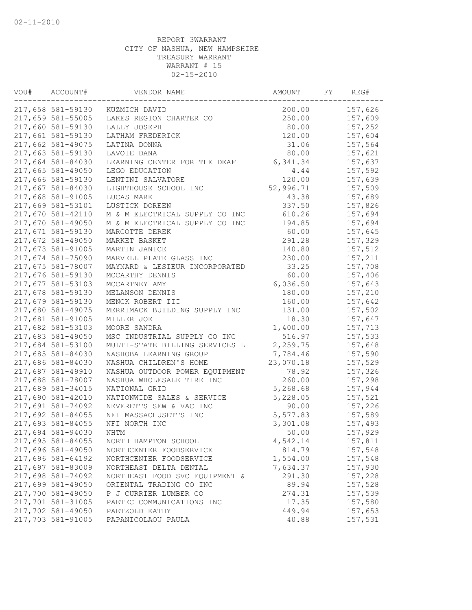| VOU# | ACCOUNT#          | VENDOR NAME                    | AMOUNT    | FY | REG#    |
|------|-------------------|--------------------------------|-----------|----|---------|
|      | 217,658 581-59130 | KUZMICH DAVID                  | 200.00    |    | 157,626 |
|      | 217,659 581-55005 | LAKES REGION CHARTER CO        | 250.00    |    | 157,609 |
|      | 217,660 581-59130 | LALLY JOSEPH                   | 80.00     |    | 157,252 |
|      | 217,661 581-59130 | LATHAM FREDERICK               | 120.00    |    | 157,604 |
|      | 217,662 581-49075 | LATINA DONNA                   | 31.06     |    | 157,564 |
|      | 217,663 581-59130 | LAVOIE DANA                    | 80.00     |    | 157,621 |
|      | 217,664 581-84030 | LEARNING CENTER FOR THE DEAF   | 6,341.34  |    | 157,637 |
|      | 217,665 581-49050 | LEGO EDUCATION                 | 4.44      |    | 157,592 |
|      | 217,666 581-59130 | LENTINI SALVATORE              | 120.00    |    | 157,639 |
|      | 217,667 581-84030 | LIGHTHOUSE SCHOOL INC          | 52,996.71 |    | 157,509 |
|      | 217,668 581-91005 | LUCAS MARK                     | 43.38     |    | 157,689 |
|      | 217,669 581-53101 | LUSTICK DOREEN                 | 337.50    |    | 157,826 |
|      | 217,670 581-42110 | M & M ELECTRICAL SUPPLY CO INC | 610.26    |    | 157,694 |
|      | 217,670 581-49050 | M & M ELECTRICAL SUPPLY CO INC | 194.85    |    | 157,694 |
|      | 217,671 581-59130 | MARCOTTE DEREK                 | 60.00     |    | 157,645 |
|      | 217,672 581-49050 | MARKET BASKET                  | 291.28    |    | 157,329 |
|      | 217,673 581-91005 | MARTIN JANICE                  | 140.80    |    | 157,512 |
|      | 217,674 581-75090 | MARVELL PLATE GLASS INC        | 230.00    |    | 157,211 |
|      | 217,675 581-78007 | MAYNARD & LESIEUR INCORPORATED | 33.25     |    | 157,708 |
|      | 217,676 581-59130 | MCCARTHY DENNIS                | 60.00     |    | 157,406 |
|      | 217,677 581-53103 | MCCARTNEY AMY                  | 6,036.50  |    | 157,643 |
|      | 217,678 581-59130 | MELANSON DENNIS                | 180.00    |    | 157,210 |
|      | 217,679 581-59130 | MENCK ROBERT III               | 160.00    |    | 157,642 |
|      | 217,680 581-49075 | MERRIMACK BUILDING SUPPLY INC  | 131.00    |    | 157,502 |
|      | 217,681 581-91005 | MILLER JOE                     | 18.30     |    | 157,647 |
|      | 217,682 581-53103 | MOORE SANDRA                   | 1,400.00  |    | 157,713 |
|      | 217,683 581-49050 | MSC INDUSTRIAL SUPPLY CO INC   | 516.97    |    | 157,533 |
|      | 217,684 581-53100 | MULTI-STATE BILLING SERVICES L | 2,259.75  |    | 157,648 |
|      | 217,685 581-84030 | NASHOBA LEARNING GROUP         | 7,784.46  |    | 157,590 |
|      | 217,686 581-84030 | NASHUA CHILDREN'S HOME         | 23,070.18 |    | 157,529 |
|      | 217,687 581-49910 | NASHUA OUTDOOR POWER EQUIPMENT | 78.92     |    | 157,326 |
|      | 217,688 581-78007 | NASHUA WHOLESALE TIRE INC      | 260.00    |    | 157,298 |
|      | 217,689 581-34015 | NATIONAL GRID                  | 5,268.68  |    | 157,944 |
|      | 217,690 581-42010 | NATIONWIDE SALES & SERVICE     | 5,228.05  |    | 157,521 |
|      | 217,691 581-74092 | NEVERETTS SEW & VAC INC        | 90.00     |    | 157,226 |
|      | 217,692 581-84055 | NFI MASSACHUSETTS INC          | 5,577.83  |    | 157,589 |
|      | 217,693 581-84055 | NFI NORTH INC                  | 3,301.08  |    | 157,493 |
|      | 217,694 581-94030 | NHTM                           | 50.00     |    | 157,929 |
|      | 217,695 581-84055 | NORTH HAMPTON SCHOOL           | 4,542.14  |    | 157,811 |
|      | 217,696 581-49050 | NORTHCENTER FOODSERVICE        | 814.79    |    | 157,548 |
|      | 217,696 581-64192 | NORTHCENTER FOODSERVICE        | 1,554.00  |    | 157,548 |
|      | 217,697 581-83009 | NORTHEAST DELTA DENTAL         | 7,634.37  |    | 157,930 |
|      | 217,698 581-74092 | NORTHEAST FOOD SVC EQUIPMENT & | 291.30    |    | 157,228 |
|      | 217,699 581-49050 | ORIENTAL TRADING CO INC        | 89.94     |    | 157,528 |
|      | 217,700 581-49050 | P J CURRIER LUMBER CO          | 274.31    |    | 157,539 |
|      | 217,701 581-31005 | PAETEC COMMUNICATIONS INC      | 17.35     |    | 157,580 |
|      | 217,702 581-49050 | PAETZOLD KATHY                 | 449.94    |    | 157,653 |
|      | 217,703 581-91005 | PAPANICOLAOU PAULA             | 40.88     |    | 157,531 |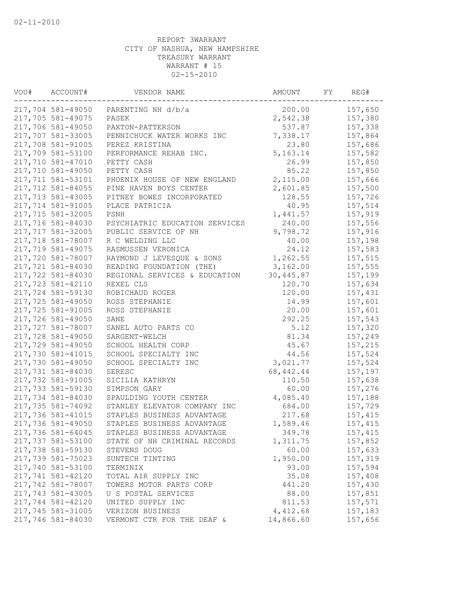| VOU# | ACCOUNT#          | VENDOR NAME                          | AMOUNT     | FY | REG#    |
|------|-------------------|--------------------------------------|------------|----|---------|
|      |                   | 217,704 581-49050 PARENTING NH d/b/a | 200.00     |    | 157,650 |
|      | 217,705 581-49075 | PASEK                                | 2,542.38   |    | 157,380 |
|      | 217,706 581-49050 | PAXTON-PATTERSON                     | 537.87     |    | 157,338 |
|      | 217,707 581-33005 | PENNICHUCK WATER WORKS INC           | 7,338.17   |    | 157,864 |
|      | 217,708 581-91005 | PEREZ KRISTINA                       | 23.80      |    | 157,686 |
|      | 217,709 581-53100 | PERFORMANCE REHAB INC.               | 5, 163. 14 |    | 157,582 |
|      | 217,710 581-47010 | PETTY CASH                           | 26.99      |    | 157,850 |
|      | 217,710 581-49050 | PETTY CASH                           | 85.22      |    | 157,850 |
|      | 217,711 581-53101 | PHOENIX HOUSE OF NEW ENGLAND         | 2,115.00   |    | 157,666 |
|      | 217,712 581-84055 | PINE HAVEN BOYS CENTER               | 2,601.85   |    | 157,500 |
|      | 217,713 581-43005 | PITNEY BOWES INCORPORATED            | 128.55     |    | 157,726 |
|      | 217,714 581-91005 | PLACE PATRICIA                       | 40.95      |    | 157,514 |
|      | 217,715 581-32005 | PSNH                                 | 1,441.57   |    | 157,919 |
|      | 217,716 581-84030 | PSYCHIATRIC EDUCATION SERVICES       | 240.00     |    | 157,556 |
|      | 217,717 581-32005 | PUBLIC SERVICE OF NH                 | 9,798.72   |    | 157,916 |
|      | 217,718 581-78007 | R C WELDING LLC                      | 40.00      |    | 157,198 |
|      | 217,719 581-49075 | RASMUSSEN VERONICA                   | 24.12      |    | 157,583 |
|      | 217,720 581-78007 | RAYMOND J LEVESQUE & SONS            | 1,262.55   |    | 157,515 |
|      | 217,721 581-84030 | READING FOUNDATION (THE)             | 3,162.00   |    | 157,555 |
|      | 217,722 581-84030 | REGIONAL SERVICES & EDUCATION        | 30,445.87  |    | 157,199 |
|      | 217,723 581-42110 | REXEL CLS                            | 120.70     |    | 157,634 |
|      | 217,724 581-59130 | ROBICHAUD ROGER                      | 120.00     |    | 157,431 |
|      | 217,725 581-49050 | ROSS STEPHANIE                       | 14.99      |    | 157,601 |
|      | 217,725 581-91005 | ROSS STEPHANIE                       | 20.00      |    | 157,601 |
|      | 217,726 581-49050 | SANE                                 | 292.25     |    | 157,543 |
|      | 217,727 581-78007 | SANEL AUTO PARTS CO                  | 5.12       |    | 157,320 |
|      | 217,728 581-49050 | SARGENT-WELCH                        | 81.34      |    | 157,249 |
|      | 217,729 581-49050 | SCHOOL HEALTH CORP                   | 45.67      |    | 157,215 |
|      | 217,730 581-41015 | SCHOOL SPECIALTY INC                 | 44.56      |    | 157,524 |
|      | 217,730 581-49050 | SCHOOL SPECIALTY INC                 | 3,021.77   |    | 157,524 |
|      | 217,731 581-84030 | SERESC                               | 68, 442.44 |    | 157,197 |
|      | 217,732 581-91005 | SICILIA KATHRYN                      | 110.50     |    | 157,638 |
|      | 217,733 581-59130 | SIMPSON GARY                         | 60.00      |    | 157,276 |
|      | 217,734 581-84030 | SPAULDING YOUTH CENTER               | 4,085.40   |    | 157,188 |
|      | 217,735 581-74092 | STANLEY ELEVATOR COMPANY INC         | 684.00     |    | 157,729 |
|      | 217,736 581-41015 | STAPLES BUSINESS ADVANTAGE           | 217.68     |    | 157,415 |
|      | 217,736 581-49050 | STAPLES BUSINESS ADVANTAGE           | 1,589.46   |    | 157,415 |
|      | 217,736 581-64045 | STAPLES BUSINESS ADVANTAGE           | 349.78     |    | 157,415 |
|      | 217,737 581-53100 | STATE OF NH CRIMINAL RECORDS         | 1,311.75   |    | 157,852 |
|      | 217,738 581-59130 | STEVENS DOUG                         | 60.00      |    | 157,633 |
|      | 217,739 581-75023 | SUNTECH TINTING                      | 1,950.00   |    | 157,319 |
|      | 217,740 581-53100 | TERMINIX                             | 93.00      |    | 157,594 |
|      | 217,741 581-42120 | TOTAL AIR SUPPLY INC                 | 35.08      |    | 157,408 |
|      | 217,742 581-78007 | TOWERS MOTOR PARTS CORP              | 441.20     |    | 157,430 |
|      | 217,743 581-43005 | U S POSTAL SERVICES                  | 88.00      |    | 157,851 |
|      | 217,744 581-42120 | UNITED SUPPLY INC                    | 811.53     |    | 157,571 |
|      | 217,745 581-31005 | VERIZON BUSINESS                     | 4,412.68   |    | 157,183 |
|      | 217,746 581-84030 | VERMONT CTR FOR THE DEAF &           | 14,866.60  |    | 157,656 |
|      |                   |                                      |            |    |         |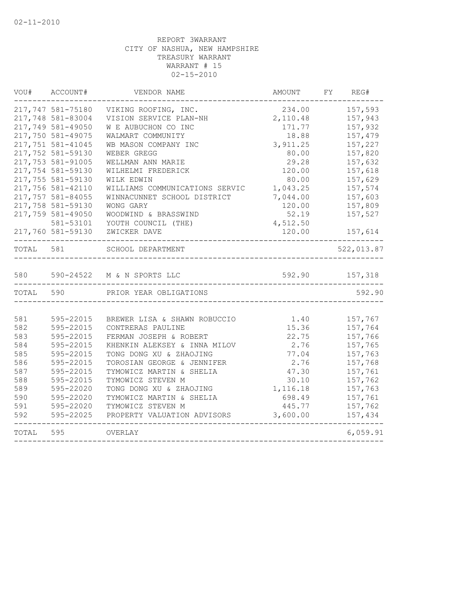| VOU#  | ACCOUNT#          | VENDOR NAME                    | AMOUNT   | FY<br>REG# |
|-------|-------------------|--------------------------------|----------|------------|
|       | 217,747 581-75180 | VIKING ROOFING, INC.           | 234.00   | 157,593    |
|       | 217,748 581-83004 | VISION SERVICE PLAN-NH         | 2,110.48 | 157,943    |
|       | 217,749 581-49050 | W E AUBUCHON CO INC            | 171.77   | 157,932    |
|       | 217,750 581-49075 | WALMART COMMUNITY              | 18.88    | 157,479    |
|       | 217,751 581-41045 | WB MASON COMPANY INC           | 3,911.25 | 157,227    |
|       | 217,752 581-59130 | WEBER GREGG                    | 80.00    | 157,820    |
|       | 217,753 581-91005 | WELLMAN ANN MARIE              | 29.28    | 157,632    |
|       | 217,754 581-59130 | WILHELMI FREDERICK             | 120.00   | 157,618    |
|       | 217,755 581-59130 | WILK EDWIN                     | 80.00    | 157,629    |
|       | 217,756 581-42110 | WILLIAMS COMMUNICATIONS SERVIC | 1,043.25 | 157,574    |
|       | 217,757 581-84055 | WINNACUNNET SCHOOL DISTRICT    | 7,044.00 | 157,603    |
|       | 217,758 581-59130 | WONG GARY                      | 120.00   | 157,809    |
|       | 217,759 581-49050 | WOODWIND & BRASSWIND           | 52.19    | 157,527    |
|       | 581-53101         | YOUTH COUNCIL (THE)            | 4,512.50 |            |
|       | 217,760 581-59130 | ZWICKER DAVE                   | 120.00   | 157,614    |
| TOTAL | 581               | SCHOOL DEPARTMENT              |          | 522,013.87 |
| 580   |                   | 590-24522 M & N SPORTS LLC     | 592.90   | 157,318    |
| TOTAL | 590               | PRIOR YEAR OBLIGATIONS         |          | 592.90     |
| 581   | 595-22015         | BREWER LISA & SHAWN ROBUCCIO   | 1.40     | 157,767    |
| 582   | 595-22015         | CONTRERAS PAULINE              | 15.36    | 157,764    |
| 583   | 595-22015         | FERMAN JOSEPH & ROBERT         | 22.75    | 157,766    |
| 584   | 595-22015         | KHENKIN ALEKSEY & INNA MILOV   | 2.76     | 157,765    |
| 585   | 595-22015         | TONG DONG XU & ZHAOJING        | 77.04    | 157,763    |
| 586   | 595-22015         | TOROSIAN GEORGE & JENNIFER     | 2.76     | 157,768    |
| 587   | 595-22015         | TYMOWICZ MARTIN & SHELIA       | 47.30    | 157,761    |
| 588   | 595-22015         | TYMOWICZ STEVEN M              | 30.10    | 157,762    |
| 589   | 595-22020         | TONG DONG XU & ZHAOJING        | 1,116.18 | 157,763    |
| 590   | 595-22020         | TYMOWICZ MARTIN & SHELIA       | 698.49   | 157,761    |
| 591   | 595-22020         | TYMOWICZ STEVEN M              | 445.77   | 157,762    |
| 592   | 595-22025         | PROPERTY VALUATION ADVISORS    | 3,600.00 | 157,434    |
| TOTAL | 595               | OVERLAY                        |          | 6,059.91   |
|       |                   |                                |          |            |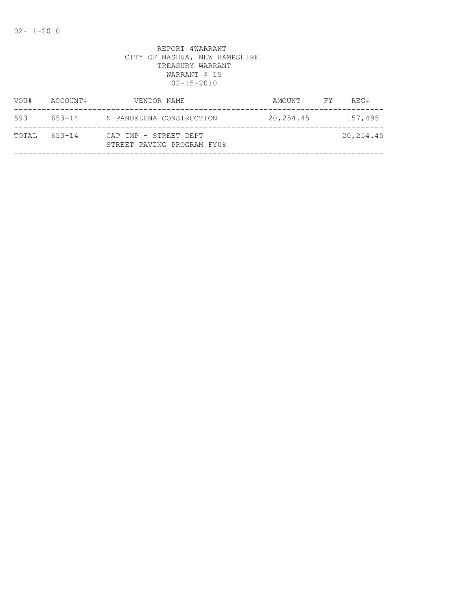| VOU#  | ACCOUNT# | VENDOR NAME                                         | AMOUNT    | FY | REG#      |
|-------|----------|-----------------------------------------------------|-----------|----|-----------|
| 593   | 653-14   | N PANDELENA CONSTRUCTION                            | 20,254.45 |    | 157,495   |
| TOTAL | 653-14   | CAP IMP - STREET DEPT<br>STREET PAVING PROGRAM FY08 |           |    | 20,254.45 |
|       |          |                                                     |           |    |           |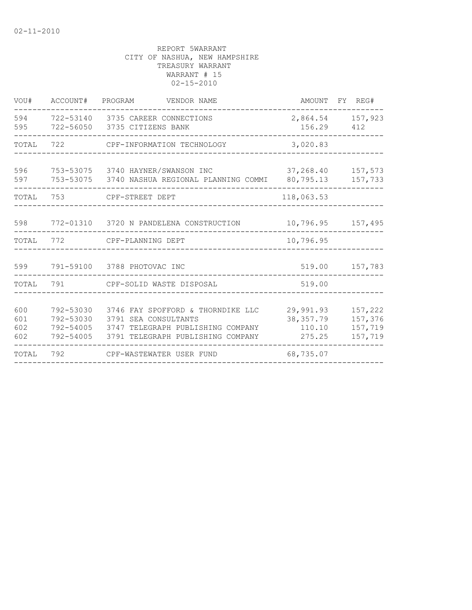| VOU#                     | ACCOUNT#                                         | PROGRAM<br>VENDOR NAME                                                                                                              |                                             | AMOUNT FY REG#                           |
|--------------------------|--------------------------------------------------|-------------------------------------------------------------------------------------------------------------------------------------|---------------------------------------------|------------------------------------------|
| 594<br>595               |                                                  | 722-53140 3735 CAREER CONNECTIONS<br>722-56050 3735 CITIZENS BANK                                                                   | 156.29                                      | 2,864.54 157,923<br>412                  |
| TOTAL 722                |                                                  | CPF-INFORMATION TECHNOLOGY                                                                                                          | 3,020.83                                    |                                          |
| 596<br>597               |                                                  | 753-53075 3740 HAYNER/SWANSON INC<br>753-53075   3740 NASHUA REGIONAL PLANNING COMMI                                                | 37,268.40<br>80,795.13                      | 157,573<br>157,733                       |
| TOTAL                    | 753                                              | CPF-STREET DEPT                                                                                                                     | 118,063.53                                  |                                          |
| 598                      |                                                  | 772-01310 3720 N PANDELENA CONSTRUCTION                                                                                             |                                             | 10,796.95 157,495                        |
| TOTAL                    | 772                                              | CPF-PLANNING DEPT                                                                                                                   | 10,796.95                                   |                                          |
|                          |                                                  | 599 791-59100 3788 PHOTOVAC INC                                                                                                     |                                             | 519.00 157,783                           |
| TOTAL                    | 791                                              | CPF-SOLID WASTE DISPOSAL                                                                                                            | 519.00                                      |                                          |
| 600<br>601<br>602<br>602 | 792-53030<br>792-53030<br>792-54005<br>792-54005 | 3746 FAY SPOFFORD & THORNDIKE LLC<br>3791 SEA CONSULTANTS<br>3747 TELEGRAPH PUBLISHING COMPANY<br>3791 TELEGRAPH PUBLISHING COMPANY | 29,991.93<br>38, 357.79<br>110.10<br>275.25 | 157,222<br>157,376<br>157,719<br>157,719 |
| TOTAL                    | 792                                              | CPF-WASTEWATER USER FUND                                                                                                            | 68,735.07                                   |                                          |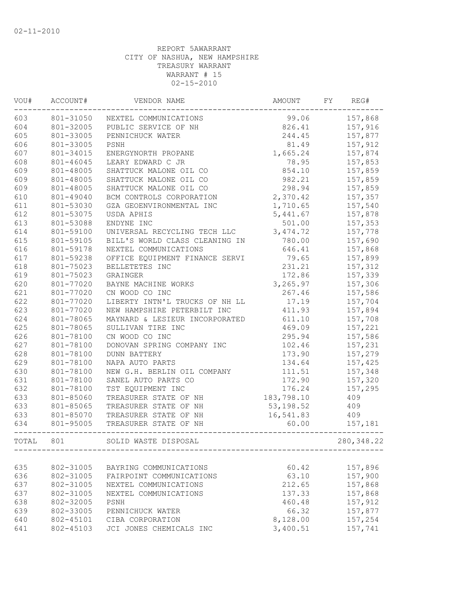| VOU#  | ACCOUNT#  | VENDOR NAME                    | AMOUNT     | FY | REG#        |
|-------|-----------|--------------------------------|------------|----|-------------|
| 603   | 801-31050 | NEXTEL COMMUNICATIONS          | 99.06      |    | 157,868     |
| 604   | 801-32005 | PUBLIC SERVICE OF NH           | 826.41     |    | 157,916     |
| 605   | 801-33005 | PENNICHUCK WATER               | 244.45     |    | 157,877     |
| 606   | 801-33005 | PSNH                           | 81.49      |    | 157,912     |
| 607   | 801-34015 | ENERGYNORTH PROPANE            | 1,665.24   |    | 157,874     |
| 608   | 801-46045 | LEARY EDWARD C JR              | 78.95      |    | 157,853     |
| 609   | 801-48005 | SHATTUCK MALONE OIL CO         | 854.10     |    | 157,859     |
| 609   | 801-48005 | SHATTUCK MALONE OIL CO         | 982.21     |    | 157,859     |
| 609   | 801-48005 | SHATTUCK MALONE OIL CO         | 298.94     |    | 157,859     |
| 610   | 801-49040 | BCM CONTROLS CORPORATION       | 2,370.42   |    | 157,357     |
| 611   | 801-53030 | GZA GEOENVIRONMENTAL INC       | 1,710.65   |    | 157,540     |
| 612   | 801-53075 | USDA APHIS                     | 5,441.67   |    | 157,878     |
| 613   | 801-53088 | ENDYNE INC                     | 501.00     |    | 157,353     |
| 614   | 801-59100 | UNIVERSAL RECYCLING TECH LLC   | 3, 474.72  |    | 157,778     |
| 615   | 801-59105 | BILL'S WORLD CLASS CLEANING IN | 780.00     |    | 157,690     |
| 616   | 801-59178 | NEXTEL COMMUNICATIONS          | 646.41     |    | 157,868     |
| 617   | 801-59238 | OFFICE EQUIPMENT FINANCE SERVI | 79.65      |    | 157,899     |
| 618   | 801-75023 | BELLETETES INC                 | 231.21     |    | 157,312     |
| 619   | 801-75023 | GRAINGER                       | 172.86     |    | 157,339     |
| 620   | 801-77020 | BAYNE MACHINE WORKS            | 3,265.97   |    | 157,306     |
| 621   | 801-77020 | CN WOOD CO INC                 | 267.46     |    | 157,586     |
| 622   | 801-77020 | LIBERTY INTN'L TRUCKS OF NH LL | 17.19      |    | 157,704     |
| 623   | 801-77020 | NEW HAMPSHIRE PETERBILT INC    | 411.93     |    | 157,894     |
| 624   | 801-78065 | MAYNARD & LESIEUR INCORPORATED | 611.10     |    | 157,708     |
| 625   | 801-78065 | SULLIVAN TIRE INC              | 469.09     |    | 157,221     |
| 626   | 801-78100 | CN WOOD CO INC                 | 295.94     |    | 157,586     |
| 627   | 801-78100 | DONOVAN SPRING COMPANY INC     | 102.46     |    | 157,231     |
| 628   | 801-78100 | <b>DUNN BATTERY</b>            | 173.90     |    | 157,279     |
| 629   | 801-78100 | NAPA AUTO PARTS                | 134.64     |    | 157,425     |
| 630   | 801-78100 | NEW G.H. BERLIN OIL COMPANY    | 111.51     |    | 157,348     |
| 631   | 801-78100 | SANEL AUTO PARTS CO            | 172.90     |    | 157,320     |
| 632   | 801-78100 | TST EQUIPMENT INC              | 176.24     |    | 157,295     |
| 633   | 801-85060 | TREASURER STATE OF NH          | 183,798.10 |    | 409         |
| 633   | 801-85065 | TREASURER STATE OF NH          | 53, 198.52 |    | 409         |
| 633   | 801-85070 | TREASURER STATE OF NH          | 16,541.83  |    | 409         |
| 634   | 801-95005 | TREASURER STATE OF NH          | 60.00      |    | 157,181     |
| TOTAL | 801       | SOLID WASTE DISPOSAL           |            |    | 280, 348.22 |
|       |           |                                |            |    |             |
| 635   | 802-31005 | BAYRING COMMUNICATIONS         | 60.42      |    | 157,896     |
| 636   | 802-31005 | FAIRPOINT COMMUNICATIONS       | 63.10      |    | 157,900     |
| 637   | 802-31005 | NEXTEL COMMUNICATIONS          | 212.65     |    | 157,868     |
| 637   | 802-31005 | NEXTEL COMMUNICATIONS          | 137.33     |    | 157,868     |
| 638   | 802-32005 | PSNH                           | 460.48     |    | 157,912     |
| 639   | 802-33005 | PENNICHUCK WATER               | 66.32      |    | 157,877     |
| 640   | 802-45101 | CIBA CORPORATION               | 8,128.00   |    | 157,254     |
| 641   | 802-45103 | JCI JONES CHEMICALS INC        | 3,400.51   |    | 157,741     |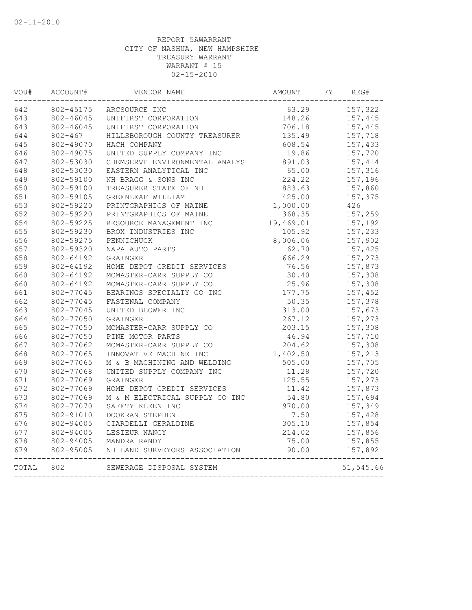| VOU#  | ACCOUNT#    | VENDOR NAME                    | AMOUNT    | FY | REG#      |
|-------|-------------|--------------------------------|-----------|----|-----------|
| 642   | 802-45175   | ARCSOURCE INC                  | 63.29     |    | 157,322   |
| 643   | 802-46045   | UNIFIRST CORPORATION           | 148.26    |    | 157,445   |
| 643   | 802-46045   | UNIFIRST CORPORATION           | 706.18    |    | 157,445   |
| 644   | $802 - 467$ | HILLSBOROUGH COUNTY TREASURER  | 135.49    |    | 157,718   |
| 645   | 802-49070   | HACH COMPANY                   | 608.54    |    | 157,433   |
| 646   | 802-49075   | UNITED SUPPLY COMPANY INC      | 19.86     |    | 157,720   |
| 647   | 802-53030   | CHEMSERVE ENVIRONMENTAL ANALYS | 891.03    |    | 157,414   |
| 648   | 802-53030   | EASTERN ANALYTICAL INC         | 65.00     |    | 157,316   |
| 649   | 802-59100   | NH BRAGG & SONS INC            | 224.22    |    | 157,196   |
| 650   | 802-59100   | TREASURER STATE OF NH          | 883.63    |    | 157,860   |
| 651   | 802-59105   | GREENLEAF WILLIAM              | 425.00    |    | 157,375   |
| 653   | 802-59220   | PRINTGRAPHICS OF MAINE         | 1,000.00  |    | 426       |
| 652   | 802-59220   | PRINTGRAPHICS OF MAINE         | 368.35    |    | 157,259   |
| 654   | 802-59225   | RESOURCE MANAGEMENT INC        | 19,469.01 |    | 157,192   |
| 655   | 802-59230   | BROX INDUSTRIES INC            | 105.92    |    | 157,233   |
| 656   | 802-59275   | PENNICHUCK                     | 8,006.06  |    | 157,902   |
| 657   | 802-59320   | NAPA AUTO PARTS                | 62.70     |    | 157,425   |
| 658   | 802-64192   | GRAINGER                       | 666.29    |    | 157,273   |
| 659   | 802-64192   | HOME DEPOT CREDIT SERVICES     | 76.56     |    | 157,873   |
| 660   | 802-64192   | MCMASTER-CARR SUPPLY CO        | 30.40     |    | 157,308   |
| 660   | 802-64192   | MCMASTER-CARR SUPPLY CO        | 25.96     |    | 157,308   |
| 661   | 802-77045   | BEARINGS SPECIALTY CO INC      | 177.75    |    | 157,452   |
| 662   | 802-77045   | FASTENAL COMPANY               | 50.35     |    | 157,378   |
| 663   | 802-77045   | UNITED BLOWER INC              | 313.00    |    | 157,673   |
| 664   | 802-77050   | GRAINGER                       | 267.12    |    | 157,273   |
| 665   | 802-77050   | MCMASTER-CARR SUPPLY CO        | 203.15    |    | 157,308   |
| 666   | 802-77050   | PINE MOTOR PARTS               | 46.94     |    | 157,710   |
| 667   | 802-77062   | MCMASTER-CARR SUPPLY CO        | 204.62    |    | 157,308   |
| 668   | 802-77065   | INNOVATIVE MACHINE INC         | 1,402.50  |    | 157,213   |
| 669   | 802-77065   | M & B MACHINING AND WELDING    | 505.00    |    | 157,705   |
| 670   | 802-77068   | UNITED SUPPLY COMPANY INC      | 11.28     |    | 157,720   |
| 671   | 802-77069   | GRAINGER                       | 125.55    |    | 157,273   |
| 672   | 802-77069   | HOME DEPOT CREDIT SERVICES     | 11.42     |    | 157,873   |
| 673   | 802-77069   | M & M ELECTRICAL SUPPLY CO INC | 54.80     |    | 157,694   |
| 674   | 802-77070   | SAFETY KLEEN INC               | 970.00    |    | 157,349   |
| 675   | 802-91010   | DOOKRAN STEPHEN                | 7.50      |    | 157,428   |
| 676   | 802-94005   | CIARDELLI GERALDINE            | 305.10    |    | 157,854   |
| 677   | 802-94005   | LESIEUR NANCY                  | 214.02    |    | 157,856   |
| 678   | 802-94005   | MANDRA RANDY                   | 75.00     |    | 157,855   |
| 679   | 802-95005   | NH LAND SURVEYORS ASSOCIATION  | 90.00     |    | 157,892   |
| TOTAL | 802         | SEWERAGE DISPOSAL SYSTEM       |           |    | 51,545.66 |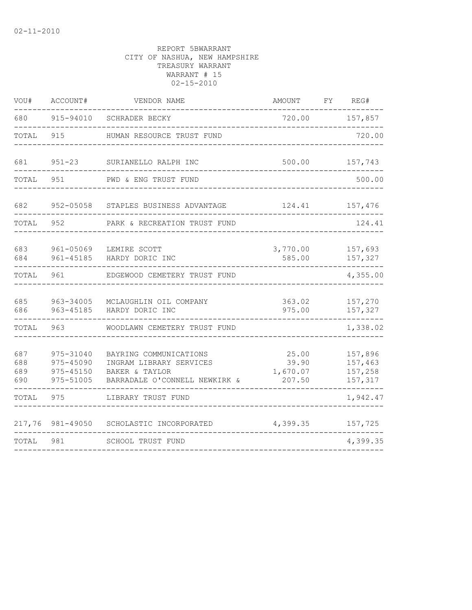| VOU#                     | ACCOUNT#                                         | VENDOR NAME                                                                                          | <b>AMOUNT</b>                        | FY | REG#                                     |
|--------------------------|--------------------------------------------------|------------------------------------------------------------------------------------------------------|--------------------------------------|----|------------------------------------------|
| 680                      | 915-94010                                        | SCHRADER BECKY                                                                                       | 720.00                               |    | 157,857                                  |
| TOTAL                    | 915                                              | HUMAN RESOURCE TRUST FUND                                                                            |                                      |    | 720.00                                   |
| 681                      | $951 - 23$                                       | SURIANELLO RALPH INC                                                                                 | 500.00                               |    | 157,743                                  |
| TOTAL                    | 951                                              | PWD & ENG TRUST FUND                                                                                 |                                      |    | 500.00                                   |
| 682                      | 952-05058                                        | STAPLES BUSINESS ADVANTAGE                                                                           | 124.41                               |    | 157,476                                  |
| TOTAL                    | 952                                              | PARK & RECREATION TRUST FUND                                                                         |                                      |    | 124.41                                   |
| 683<br>684               | 961-05069<br>$961 - 45185$                       | LEMIRE SCOTT<br>HARDY DORIC INC                                                                      | 3,770.00<br>585.00                   |    | 157,693<br>157,327                       |
| TOTAL                    | 961                                              | EDGEWOOD CEMETERY TRUST FUND                                                                         |                                      |    | 4,355.00                                 |
| 685<br>686               | 963-34005<br>963-45185                           | MCLAUGHLIN OIL COMPANY<br>HARDY DORIC INC                                                            | 363.02<br>975.00                     |    | 157,270<br>157,327                       |
| TOTAL                    | 963                                              | WOODLAWN CEMETERY TRUST FUND                                                                         |                                      |    | 1,338.02                                 |
| 687<br>688<br>689<br>690 | 975-31040<br>975-45090<br>975-45150<br>975-51005 | BAYRING COMMUNICATIONS<br>INGRAM LIBRARY SERVICES<br>BAKER & TAYLOR<br>BARRADALE O'CONNELL NEWKIRK & | 25.00<br>39.90<br>1,670.07<br>207.50 |    | 157,896<br>157,463<br>157,258<br>157,317 |
| TOTAL                    | 975                                              | LIBRARY TRUST FUND                                                                                   |                                      |    | 1,942.47                                 |
| 217,76                   | 981-49050                                        | SCHOLASTIC INCORPORATED                                                                              | 4,399.35                             |    | 157,725                                  |
| TOTAL                    | 981                                              | SCHOOL TRUST FUND                                                                                    |                                      |    | 4,399.35                                 |
|                          |                                                  |                                                                                                      |                                      |    |                                          |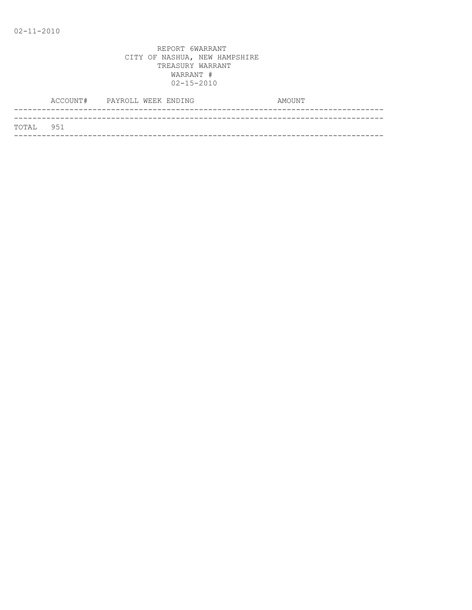|           | ACCOUNT# PAYROLL WEEK ENDING |  | AMOUNT |
|-----------|------------------------------|--|--------|
|           |                              |  |        |
| TOTAL 951 |                              |  |        |
|           |                              |  |        |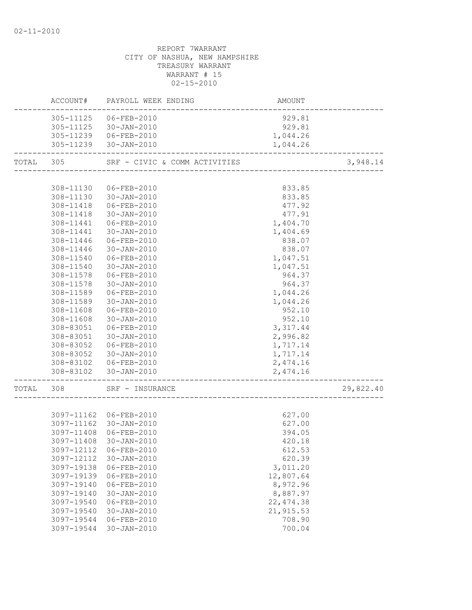|           | ACCOUNT#   | PAYROLL WEEK ENDING     | AMOUNT     |           |
|-----------|------------|-------------------------|------------|-----------|
|           |            | 305-11125 06-FEB-2010   | 929.81     |           |
|           |            | 305-11125 30-JAN-2010   | 929.81     |           |
|           |            | 305-11239   06-FEB-2010 | 1,044.26   |           |
|           |            | 305-11239 30-JAN-2010   | 1,044.26   |           |
| TOTAL 305 |            |                         |            | 3,948.14  |
|           |            |                         |            |           |
|           | 308-11130  | 06-FEB-2010             | 833.85     |           |
|           |            | 308-11130 30-JAN-2010   | 833.85     |           |
|           |            | 308-11418  06-FEB-2010  | 477.92     |           |
|           | 308-11418  | 30-JAN-2010             | 477.91     |           |
|           | 308-11441  | 06-FEB-2010             | 1,404.70   |           |
|           | 308-11441  | 30-JAN-2010             | 1,404.69   |           |
|           | 308-11446  | 06-FEB-2010             | 838.07     |           |
|           | 308-11446  | 30-JAN-2010             | 838.07     |           |
|           | 308-11540  | 06-FEB-2010             | 1,047.51   |           |
|           | 308-11540  | 30-JAN-2010             | 1,047.51   |           |
|           | 308-11578  | 06-FEB-2010             | 964.37     |           |
|           | 308-11578  | 30-JAN-2010             | 964.37     |           |
|           | 308-11589  | 06-FEB-2010             | 1,044.26   |           |
|           | 308-11589  | 30-JAN-2010             | 1,044.26   |           |
|           | 308-11608  | 06-FEB-2010             | 952.10     |           |
|           | 308-11608  | 30-JAN-2010             | 952.10     |           |
|           | 308-83051  | 06-FEB-2010             | 3,317.44   |           |
|           | 308-83051  | 30-JAN-2010             | 2,996.82   |           |
|           | 308-83052  | 06-FEB-2010             | 1,717.14   |           |
|           | 308-83052  | 30-JAN-2010             | 1,717.14   |           |
|           |            | 308-83102 06-FEB-2010   | 2,474.16   |           |
|           |            | 308-83102 30-JAN-2010   | 2,474.16   |           |
|           |            |                         |            |           |
| TOTAL 308 |            | SRF - INSURANCE         |            | 29,822.40 |
|           |            |                         |            |           |
|           |            | 3097-11162 06-FEB-2010  | 627.00     |           |
|           |            | 3097-11162 30-JAN-2010  | 627.00     |           |
|           |            | 3097-11408 06-FEB-2010  | 394.05     |           |
|           |            | 3097-11408 30-JAN-2010  | 420.18     |           |
|           | 3097-12112 | 06-FEB-2010             | 612.53     |           |
|           | 3097-12112 | $30 - JAN - 2010$       | 620.39     |           |
|           | 3097-19138 | $06 - FEB - 2010$       | 3,011.20   |           |
|           | 3097-19139 | 06-FEB-2010             | 12,807.64  |           |
|           | 3097-19140 | $06 - FEB - 2010$       | 8,972.96   |           |
|           | 3097-19140 | $30 - JAN - 2010$       | 8,887.97   |           |
|           | 3097-19540 | 06-FEB-2010             | 22, 474.38 |           |
|           | 3097-19540 | $30 - JAN - 2010$       | 21,915.53  |           |
|           | 3097-19544 | 06-FEB-2010             | 708.90     |           |
|           | 3097-19544 | $30 - JAN - 2010$       | 700.04     |           |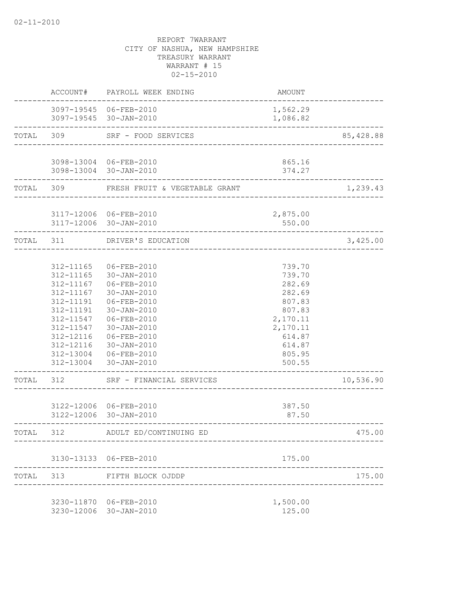|           |                                                                                         | ACCOUNT# PAYROLL WEEK ENDING                                                                                                                                                                                                             | AMOUNT                                                                                                                   |            |
|-----------|-----------------------------------------------------------------------------------------|------------------------------------------------------------------------------------------------------------------------------------------------------------------------------------------------------------------------------------------|--------------------------------------------------------------------------------------------------------------------------|------------|
|           |                                                                                         | 3097-19545 06-FEB-2010<br>3097-19545 30-JAN-2010                                                                                                                                                                                         | 1,562.29<br>1,086.82                                                                                                     |            |
|           | TOTAL 309                                                                               | SRF - FOOD SERVICES                                                                                                                                                                                                                      |                                                                                                                          | 85, 428.88 |
|           |                                                                                         | 3098-13004 06-FEB-2010<br>3098-13004 30-JAN-2010                                                                                                                                                                                         | 865.16<br>374.27                                                                                                         |            |
|           | TOTAL 309                                                                               | FRESH FRUIT & VEGETABLE GRANT                                                                                                                                                                                                            |                                                                                                                          | 1,239.43   |
|           |                                                                                         | 3117-12006 06-FEB-2010<br>3117-12006 30-JAN-2010                                                                                                                                                                                         | 2,875.00<br>550.00                                                                                                       |            |
| TOTAL 311 |                                                                                         | DRIVER'S EDUCATION                                                                                                                                                                                                                       |                                                                                                                          | 3,425.00   |
|           | 312-11165<br>312-11165<br>312-11191<br>312-11191<br>312-11547<br>312-11547<br>312-12116 | 06-FEB-2010<br>30-JAN-2010<br>312-11167 06-FEB-2010<br>312-11167 30-JAN-2010<br>06-FEB-2010<br>$30 - JAN - 2010$<br>06-FEB-2010<br>30-JAN-2010<br>06-FEB-2010<br>312-12116 30-JAN-2010<br>312-13004 06-FEB-2010<br>312-13004 30-JAN-2010 | 739.70<br>739.70<br>282.69<br>282.69<br>807.83<br>807.83<br>2,170.11<br>2,170.11<br>614.87<br>614.87<br>805.95<br>500.55 |            |
| TOTAL 312 |                                                                                         | SRF - FINANCIAL SERVICES                                                                                                                                                                                                                 |                                                                                                                          | 10,536.90  |
|           |                                                                                         | 3122-12006 06-FEB-2010<br>3122-12006 30-JAN-2010                                                                                                                                                                                         | 387.50<br>87.50                                                                                                          |            |
| TOTAL 312 |                                                                                         | ADULT ED/CONTINUING ED                                                                                                                                                                                                                   |                                                                                                                          | 475.00     |
|           |                                                                                         | 3130-13133 06-FEB-2010                                                                                                                                                                                                                   | 175.00                                                                                                                   |            |
| TOTAL     | 313                                                                                     | FIFTH BLOCK OJDDP                                                                                                                                                                                                                        |                                                                                                                          | 175.00     |
|           |                                                                                         | 3230-11870 06-FEB-2010<br>3230-12006 30-JAN-2010                                                                                                                                                                                         | 1,500.00<br>125.00                                                                                                       |            |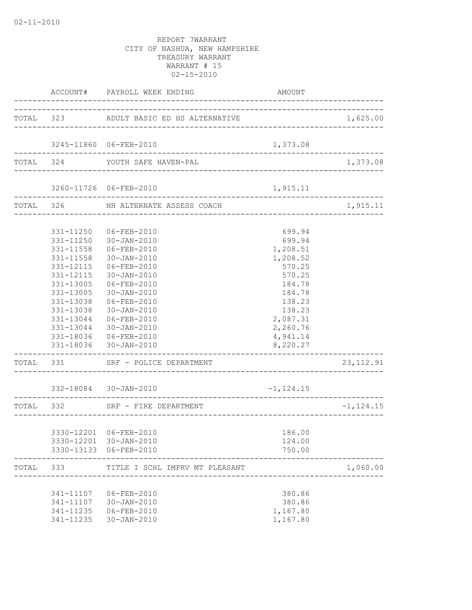|       |                                                                                                                   | ACCOUNT# PAYROLL WEEK ENDING                                                                                                                                                                                                                                     | AMOUNT                                                                                                                                                                  |              |
|-------|-------------------------------------------------------------------------------------------------------------------|------------------------------------------------------------------------------------------------------------------------------------------------------------------------------------------------------------------------------------------------------------------|-------------------------------------------------------------------------------------------------------------------------------------------------------------------------|--------------|
|       |                                                                                                                   | TOTAL 323 ADULT BASIC ED HS ALTERNATIVE                                                                                                                                                                                                                          |                                                                                                                                                                         | 1,625.00     |
|       |                                                                                                                   | 3245-11860 06-FEB-2010                                                                                                                                                                                                                                           | 1,373.08                                                                                                                                                                |              |
|       |                                                                                                                   | TOTAL 324 YOUTH SAFE HAVEN-PAL                                                                                                                                                                                                                                   |                                                                                                                                                                         | 1,373.08     |
|       |                                                                                                                   | 3260-11726 06-FEB-2010<br>----------------------                                                                                                                                                                                                                 | 1,915.11                                                                                                                                                                |              |
|       |                                                                                                                   | TOTAL 326 NH ALTERNATE ASSESS COACH                                                                                                                                                                                                                              |                                                                                                                                                                         | 1,915.11     |
|       | 331-11250<br>331-11558<br>331-11558<br>331-12115<br>331-12115<br>331-13005<br>331-13005<br>331-13038<br>331-13038 | 331-11250 06-FEB-2010<br>30-JAN-2010<br>06-FEB-2010<br>30-JAN-2010<br>06-FEB-2010<br>30-JAN-2010<br>06-FEB-2010<br>30-JAN-2010<br>06-FEB-2010<br>30-JAN-2010<br>331-13044 06-FEB-2010<br>331-13044 30-JAN-2010<br>331-18036 06-FEB-2010<br>331-18036 30-JAN-2010 | 699.94<br>699.94<br>1,208.51<br>1,208.52<br>570.25<br>570.25<br>184.78<br>184.78<br>138.23<br>138.23<br>2,087.31<br>2,260.76<br>4,941.14<br>8,220.27<br>______________. |              |
|       |                                                                                                                   | TOTAL 331 SRF - POLICE DEPARTMENT                                                                                                                                                                                                                                |                                                                                                                                                                         | 23, 112.91   |
|       |                                                                                                                   | 332-18084 30-JAN-2010<br>------------------------------------                                                                                                                                                                                                    | $-1, 124.15$                                                                                                                                                            |              |
|       | TOTAL 332                                                                                                         | SRF - FIRE DEPARTMENT<br>_______________________                                                                                                                                                                                                                 |                                                                                                                                                                         | $-1, 124.15$ |
|       |                                                                                                                   | 3330-12201 06-FEB-2010<br>3330-12201 30-JAN-2010<br>3330-13133 06-FEB-2010                                                                                                                                                                                       | 186.00<br>124.00<br>750.00                                                                                                                                              |              |
| TOTAL | 333                                                                                                               | TITLE I SCHL IMPRV MT PLEASANT                                                                                                                                                                                                                                   |                                                                                                                                                                         | 1,060.00     |
|       | 341-11235<br>341-11235                                                                                            | 341-11107 06-FEB-2010<br>341-11107 30-JAN-2010<br>06-FEB-2010<br>30-JAN-2010                                                                                                                                                                                     | 380.86<br>380.86<br>1,167.80<br>1,167.80                                                                                                                                |              |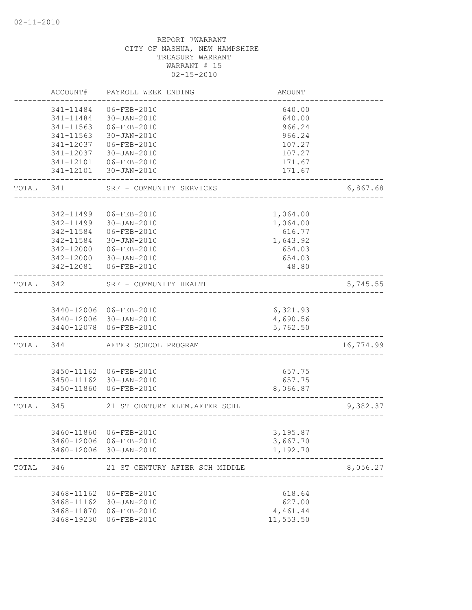|           | ACCOUNT#      | PAYROLL WEEK ENDING            | <b>AMOUNT</b> |           |
|-----------|---------------|--------------------------------|---------------|-----------|
|           | 341-11484     | 06-FEB-2010                    | 640.00        |           |
|           | 341-11484     | 30-JAN-2010                    | 640.00        |           |
|           | 341-11563     | 06-FEB-2010                    | 966.24        |           |
|           | $341 - 11563$ | 30-JAN-2010                    | 966.24        |           |
|           | 341-12037     | 06-FEB-2010                    | 107.27        |           |
|           | 341-12037     | 30-JAN-2010                    | 107.27        |           |
|           | 341-12101     | 06-FEB-2010                    | 171.67        |           |
|           | ------------  | 341-12101 30-JAN-2010          | 171.67        |           |
| TOTAL 341 |               | SRF - COMMUNITY SERVICES       |               | 6,867.68  |
|           |               |                                |               |           |
|           | 342-11499     | 06-FEB-2010                    | 1,064.00      |           |
|           | 342-11499     | 30-JAN-2010                    | 1,064.00      |           |
|           | 342-11584     | 06-FEB-2010                    | 616.77        |           |
|           | 342-11584     | 30-JAN-2010                    | 1,643.92      |           |
|           | 342-12000     | 06-FEB-2010                    | 654.03        |           |
|           |               | 342-12000 30-JAN-2010          | 654.03        |           |
|           |               | 342-12081  06-FEB-2010         | 48.80         |           |
| TOTAL 342 |               | SRF - COMMUNITY HEALTH         |               | 5,745.55  |
|           |               |                                |               |           |
|           |               | 3440-12006 06-FEB-2010         | 6,321.93      |           |
|           |               | 3440-12006 30-JAN-2010         | 4,690.56      |           |
|           |               | 3440-12078 06-FEB-2010         | 5,762.50      |           |
| TOTAL 344 |               | AFTER SCHOOL PROGRAM           |               | 16,774.99 |
|           |               |                                |               |           |
|           |               | 3450-11162 06-FEB-2010         | 657.75        |           |
|           |               | 3450-11162 30-JAN-2010         | 657.75        |           |
|           |               | 3450-11860 06-FEB-2010         | 8,066.87      |           |
| TOTAL 345 |               | 21 ST CENTURY ELEM. AFTER SCHL |               | 9,382.37  |
|           |               |                                |               |           |
|           |               | 3460-11860 06-FEB-2010         | 3,195.87      |           |
|           |               | 3460-12006 06-FEB-2010         | 3,667.70      |           |
|           |               | 3460-12006 30-JAN-2010         | 1,192.70      |           |
| TOTAL     | 346           | 21 ST CENTURY AFTER SCH MIDDLE |               | 8,056.27  |
|           |               |                                |               |           |
|           | 3468-11162    | 06-FEB-2010                    | 618.64        |           |
|           | 3468-11162    | 30-JAN-2010                    | 627.00        |           |
|           | 3468-11870    | 06-FEB-2010                    | 4,461.44      |           |
|           | 3468-19230    | 06-FEB-2010                    | 11,553.50     |           |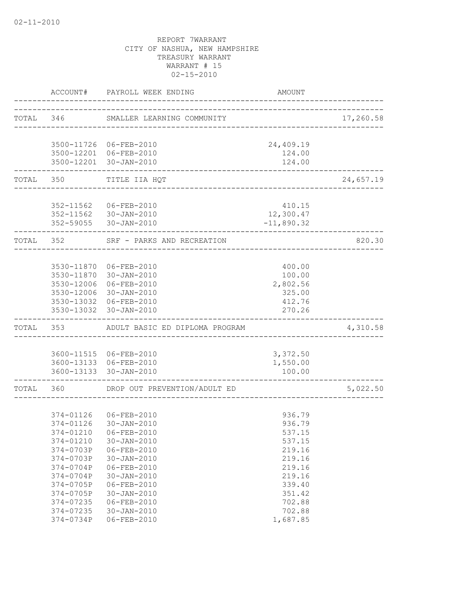|           | ACCOUNT#  | PAYROLL WEEK ENDING                            | <b>AMOUNT</b>                  |           |
|-----------|-----------|------------------------------------------------|--------------------------------|-----------|
|           |           | TOTAL 346 SMALLER LEARNING COMMUNITY           | ______________________________ | 17,260.58 |
|           |           | 3500-11726 06-FEB-2010                         | 24,409.19                      |           |
|           |           | 3500-12201 06-FEB-2010                         | 124.00                         |           |
|           |           | 3500-12201 30-JAN-2010                         | 124.00                         |           |
|           | TOTAL 350 | TITLE IIA HQT<br>_______________________       |                                | 24,657.19 |
|           |           |                                                |                                |           |
|           |           | 352-11562 06-FEB-2010                          | 410.15                         |           |
|           |           | 352-11562 30-JAN-2010<br>352-59055 30-JAN-2010 | 12,300.47<br>$-11,890.32$      |           |
|           | TOTAL 352 | SRF - PARKS AND RECREATION                     |                                | 820.30    |
|           |           |                                                |                                |           |
|           |           | 3530-11870 06-FEB-2010                         | 400.00                         |           |
|           |           | 3530-11870 30-JAN-2010                         | 100.00                         |           |
|           |           | 3530-12006 06-FEB-2010                         | 2,802.56                       |           |
|           |           | 3530-12006 30-JAN-2010                         | 325.00                         |           |
|           |           | 3530-13032 06-FEB-2010                         | 412.76                         |           |
|           |           | 3530-13032 30-JAN-2010                         | 270.26                         |           |
| TOTAL     |           | 353 ADULT BASIC ED DIPLOMA PROGRAM             |                                | 4,310.58  |
|           |           |                                                |                                |           |
|           |           | 3600-11515 06-FEB-2010                         | 3,372.50                       |           |
|           |           | 3600-13133 06-FEB-2010                         | 1,550.00                       |           |
|           |           | 3600-13133 30-JAN-2010                         | 100.00                         |           |
| TOTAL 360 |           | DROP OUT PREVENTION/ADULT ED                   |                                | 5,022.50  |
|           |           |                                                |                                |           |
|           |           | 374-01126 06-FEB-2010                          | 936.79                         |           |
|           |           | 374-01126 30-JAN-2010                          | 936.79                         |           |
|           |           | 374-01210 06-FEB-2010                          | 537.15                         |           |
|           | 374-01210 | $30 - JAN - 2010$                              | 537.15                         |           |
|           | 374-0703P | 06-FEB-2010                                    | 219.16                         |           |
|           | 374-0703P | $30 - JAN - 2010$                              | 219.16                         |           |
|           | 374-0704P | $06 - FEB - 2010$                              | 219.16                         |           |
|           | 374-0704P | $30 - JAN - 2010$                              | 219.16                         |           |
|           | 374-0705P | 06-FEB-2010                                    | 339.40                         |           |
|           | 374-0705P | $30 - JAN - 2010$                              | 351.42                         |           |
|           | 374-07235 | $06 - FEB - 2010$                              | 702.88                         |           |
|           | 374-07235 | $30 - JAN - 2010$                              | 702.88                         |           |
|           | 374-0734P | $06 - FEB - 2010$                              | 1,687.85                       |           |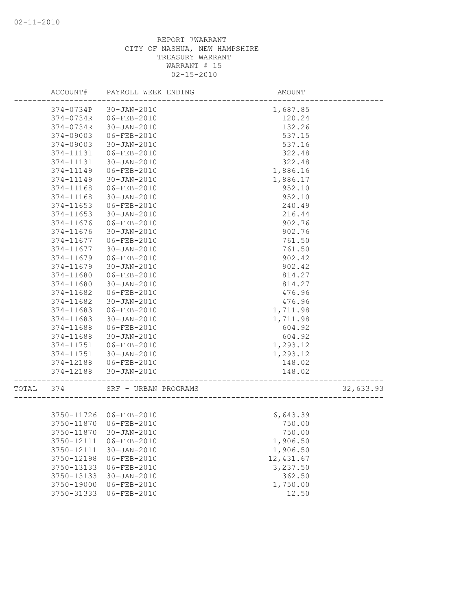|       | ACCOUNT#   | PAYROLL WEEK ENDING    | AMOUNT     |           |
|-------|------------|------------------------|------------|-----------|
|       | 374-0734P  | 30-JAN-2010            | 1,687.85   |           |
|       | 374-0734R  | 06-FEB-2010            | 120.24     |           |
|       | 374-0734R  | $30 - JAN - 2010$      | 132.26     |           |
|       | 374-09003  | 06-FEB-2010            | 537.15     |           |
|       | 374-09003  | 30-JAN-2010            | 537.16     |           |
|       | 374-11131  | 06-FEB-2010            | 322.48     |           |
|       | 374-11131  | $30 - JAN - 2010$      | 322.48     |           |
|       | 374-11149  | 06-FEB-2010            | 1,886.16   |           |
|       | 374-11149  | 30-JAN-2010            | 1,886.17   |           |
|       | 374-11168  | 06-FEB-2010            | 952.10     |           |
|       | 374-11168  | $30 - JAN - 2010$      | 952.10     |           |
|       | 374-11653  | 06-FEB-2010            | 240.49     |           |
|       | 374-11653  | $30 - JAN - 2010$      | 216.44     |           |
|       | 374-11676  | 06-FEB-2010            | 902.76     |           |
|       | 374-11676  | $30 - JAN - 2010$      | 902.76     |           |
|       | 374-11677  | 06-FEB-2010            | 761.50     |           |
|       | 374-11677  | $30 - JAN - 2010$      | 761.50     |           |
|       | 374-11679  | 06-FEB-2010            | 902.42     |           |
|       | 374-11679  | $30 - JAN - 2010$      | 902.42     |           |
|       | 374-11680  | 06-FEB-2010            | 814.27     |           |
|       | 374-11680  | $30 - JAN - 2010$      | 814.27     |           |
|       | 374-11682  | 06-FEB-2010            | 476.96     |           |
|       | 374-11682  | $30 - JAN - 2010$      | 476.96     |           |
|       | 374-11683  | 06-FEB-2010            | 1,711.98   |           |
|       | 374-11683  | $30 - JAN - 2010$      | 1,711.98   |           |
|       | 374-11688  | 06-FEB-2010            | 604.92     |           |
|       | 374-11688  | $30 - JAN - 2010$      | 604.92     |           |
|       | 374-11751  | 06-FEB-2010            | 1,293.12   |           |
|       | 374-11751  | 30-JAN-2010            | 1,293.12   |           |
|       | 374-12188  | 06-FEB-2010            | 148.02     |           |
|       | 374-12188  | $30 - JAN - 2010$      | 148.02     |           |
| TOTAL | 374        | SRF - URBAN PROGRAMS   |            | 32,633.93 |
|       |            |                        |            |           |
|       |            | 3750-11726 06-FEB-2010 | 6,643.39   |           |
|       | 3750-11870 | 06-FEB-2010            | 750.00     |           |
|       |            | 3750-11870 30-JAN-2010 | 750.00     |           |
|       | 3750-12111 | 06-FEB-2010            | 1,906.50   |           |
|       | 3750-12111 | 30-JAN-2010            | 1,906.50   |           |
|       | 3750-12198 | 06-FEB-2010            | 12, 431.67 |           |
|       | 3750-13133 | 06-FEB-2010            | 3,237.50   |           |
|       | 3750-13133 | $30 - JAN - 2010$      | 362.50     |           |
|       | 3750-19000 | 06-FEB-2010            | 1,750.00   |           |
|       | 3750-31333 | 06-FEB-2010            | 12.50      |           |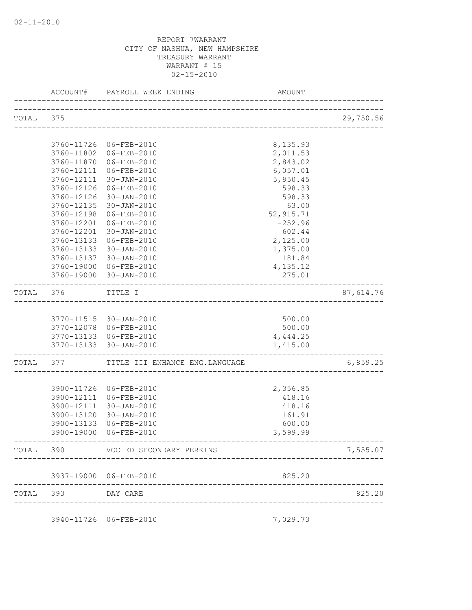| TOTAL 375 |                   |                                                                             |                      | 29,750.56 |
|-----------|-------------------|-----------------------------------------------------------------------------|----------------------|-----------|
|           |                   |                                                                             |                      |           |
|           |                   | 3760-11726 06-FEB-2010                                                      | 8,135.93             |           |
|           |                   | 3760-11802 06-FEB-2010                                                      | 2,011.53             |           |
|           |                   | 3760-11870 06-FEB-2010                                                      | 2,843.02             |           |
|           |                   | 3760-12111 06-FEB-2010<br>3760-12111 30-JAN-2010                            | 6,057.01<br>5,950.45 |           |
|           | 3760-12126        | 06-FEB-2010                                                                 | 598.33               |           |
|           | 3760-12126        | 30-JAN-2010                                                                 | 598.33               |           |
|           | 3760-12135        | 30-JAN-2010                                                                 | 63.00                |           |
|           | 3760-12198        | 06-FEB-2010                                                                 | 52,915.71            |           |
|           | 3760-12201        | 06-FEB-2010                                                                 | $-252.96$            |           |
|           | 3760-12201        | 30-JAN-2010                                                                 | 602.44               |           |
|           | 3760-13133        | 06-FEB-2010                                                                 | 2,125.00             |           |
|           | 3760-13133        | 30-JAN-2010                                                                 | 1,375.00             |           |
|           |                   | 3760-13137 30-JAN-2010                                                      | 181.84               |           |
|           |                   | 3760-19000 06-FEB-2010                                                      | 4,135.12             |           |
|           |                   | 3760-19000 30-JAN-2010                                                      | 275.01               |           |
|           | TOTAL 376 TITLE I |                                                                             |                      | 87,614.76 |
|           |                   |                                                                             |                      |           |
|           |                   | 3770-11515 30-JAN-2010                                                      | 500.00               |           |
|           |                   | 3770-12078 06-FEB-2010                                                      | 500.00               |           |
|           |                   | 3770-13133 06-FEB-2010<br>3770-13133 30-JAN-2010                            | 4,444.25<br>1,415.00 |           |
|           |                   | ------------------------------<br>TOTAL 377 TITLE III ENHANCE ENG. LANGUAGE |                      | 6,859.25  |
|           |                   |                                                                             |                      |           |
|           |                   | 3900-11726 06-FEB-2010                                                      | 2,356.85             |           |
|           |                   | 3900-12111 06-FEB-2010                                                      | 418.16               |           |
|           |                   | 3900-12111 30-JAN-2010                                                      | 418.16               |           |
|           |                   | 3900-13120 30-JAN-2010                                                      | 161.91               |           |
|           | 3900-13133        | 06-FEB-2010                                                                 | 600.00               |           |
|           |                   | 3900-19000 06-FEB-2010                                                      | 3,599.99             |           |
|           |                   | TOTAL 390 VOC ED SECONDARY PERKINS                                          |                      | 7,555.07  |
|           |                   | 3937-19000 06-FEB-2010                                                      | 825.20               |           |
|           | TOTAL 393         | DAY CARE                                                                    |                      | 825.20    |
|           |                   |                                                                             |                      |           |
|           |                   | 3940-11726 06-FEB-2010                                                      | 7,029.73             |           |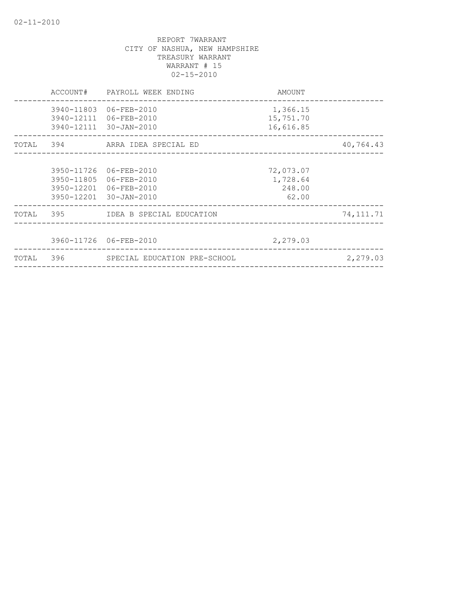|       | ACCOUNT# | PAYROLL WEEK ENDING                                                                                  | AMOUNT                                   |             |
|-------|----------|------------------------------------------------------------------------------------------------------|------------------------------------------|-------------|
|       |          | 3940-11803 06-FEB-2010<br>3940-12111 06-FEB-2010<br>3940-12111 30-JAN-2010                           | 1,366.15<br>15,751.70<br>16,616.85       |             |
|       |          | TOTAL 394 ARRA IDEA SPECIAL ED                                                                       |                                          | 40,764.43   |
|       |          | 3950-11726 06-FEB-2010<br>3950-11805 06-FEB-2010<br>3950-12201 06-FEB-2010<br>3950-12201 30-JAN-2010 | 72,073.07<br>1,728.64<br>248.00<br>62.00 |             |
|       |          | TOTAL 395 IDEA B SPECIAL EDUCATION                                                                   |                                          | 74, 111. 71 |
|       |          | 3960-11726 06-FEB-2010                                                                               | 2,279.03                                 |             |
| TOTAL |          | 396 SPECIAL EDUCATION PRE-SCHOOL                                                                     |                                          | 2,279.03    |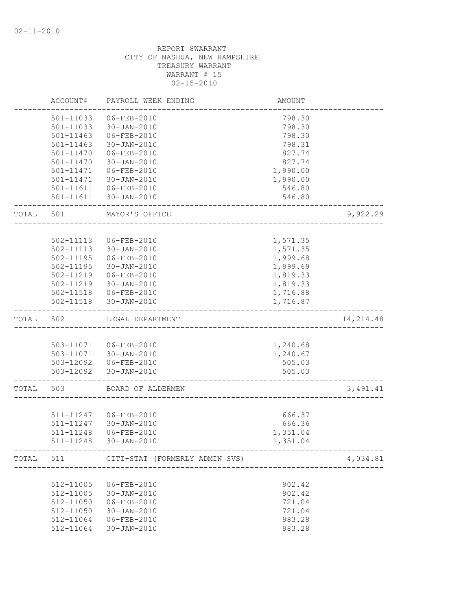|       | ACCOUNT#      | PAYROLL WEEK ENDING                      | AMOUNT   |            |
|-------|---------------|------------------------------------------|----------|------------|
|       | 501-11033     | 06-FEB-2010                              | 798.30   |            |
|       | 501-11033     | 30-JAN-2010                              | 798.30   |            |
|       | 501-11463     | 06-FEB-2010                              | 798.30   |            |
|       | 501-11463     | 30-JAN-2010                              | 798.31   |            |
|       | 501-11470     | 06-FEB-2010                              | 827.74   |            |
|       | 501-11470     | 30-JAN-2010                              | 827.74   |            |
|       | 501-11471     | 06-FEB-2010                              | 1,990.00 |            |
|       | 501-11471     | 30-JAN-2010                              | 1,990.00 |            |
|       |               | 501-11611 06-FEB-2010                    | 546.80   |            |
|       | 501-11611     | 30-JAN-2010                              | 546.80   |            |
| TOTAL | 501           | MAYOR'S OFFICE                           |          | 9,922.29   |
|       |               |                                          |          |            |
|       | 502-11113     | 06-FEB-2010                              | 1,571.35 |            |
|       | 502-11113     | $30 - JAN - 2010$                        | 1,571.35 |            |
|       | 502-11195     | 06-FEB-2010                              | 1,999.68 |            |
|       | 502-11195     | 30-JAN-2010                              | 1,999.69 |            |
|       | 502-11219     | 06-FEB-2010                              | 1,819.33 |            |
|       | 502-11219     | 30-JAN-2010                              | 1,819.33 |            |
|       |               | 502-11518  06-FEB-2010                   | 1,716.88 |            |
|       | $502 - 11518$ | 30-JAN-2010                              | 1,716.87 |            |
| TOTAL | 502           | LEGAL DEPARTMENT                         |          | 14, 214.48 |
|       |               |                                          |          |            |
|       |               | 503-11071  06-FEB-2010                   | 1,240.68 |            |
|       |               | 503-11071 30-JAN-2010                    | 1,240.67 |            |
|       |               | 503-12092    06-FEB-2010                 | 505.03   |            |
|       |               | 503-12092 30-JAN-2010                    | 505.03   |            |
| TOTAL | 503           | BOARD OF ALDERMEN                        |          | 3,491.41   |
|       |               |                                          |          |            |
|       | 511-11247     | 06-FEB-2010                              | 666.37   |            |
|       | 511-11247     | 30-JAN-2010                              | 666.36   |            |
|       | 511-11248     | 06-FEB-2010                              | 1,351.04 |            |
|       | 511-11248     | 30-JAN-2010                              | 1,351.04 |            |
|       |               | TOTAL 511 CITI-STAT (FORMERLY ADMIN SVS) |          | 4,034.81   |
|       |               |                                          |          |            |
|       | 512-11005     | 06-FEB-2010                              | 902.42   |            |
|       | 512-11005     | 30-JAN-2010                              | 902.42   |            |
|       | 512-11050     | 06-FEB-2010                              | 721.04   |            |
|       | 512-11050     | 30-JAN-2010                              | 721.04   |            |
|       | 512-11064     | 06-FEB-2010                              | 983.28   |            |
|       | 512-11064     | $30 - JAN - 2010$                        | 983.28   |            |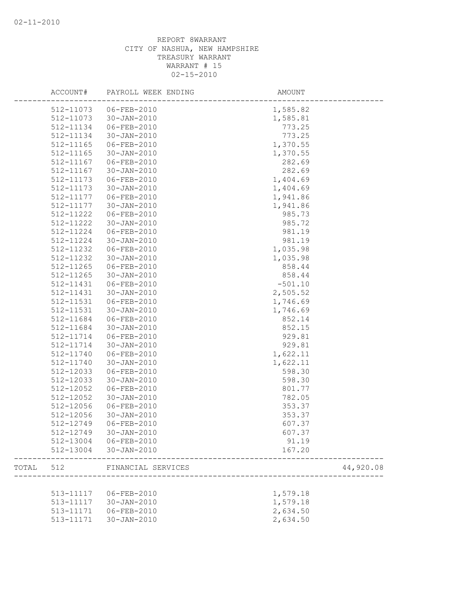|       | ACCOUNT#  | PAYROLL WEEK ENDING | AMOUNT    |           |
|-------|-----------|---------------------|-----------|-----------|
|       | 512-11073 | 06-FEB-2010         | 1,585.82  |           |
|       | 512-11073 | $30 - JAN - 2010$   | 1,585.81  |           |
|       | 512-11134 | 06-FEB-2010         | 773.25    |           |
|       | 512-11134 | $30 - JAN - 2010$   | 773.25    |           |
|       | 512-11165 | 06-FEB-2010         | 1,370.55  |           |
|       | 512-11165 | $30 - JAN - 2010$   | 1,370.55  |           |
|       | 512-11167 | 06-FEB-2010         | 282.69    |           |
|       | 512-11167 | 30-JAN-2010         | 282.69    |           |
|       | 512-11173 | $06 - FEB - 2010$   | 1,404.69  |           |
|       | 512-11173 | $30 - JAN - 2010$   | 1,404.69  |           |
|       | 512-11177 | 06-FEB-2010         | 1,941.86  |           |
|       | 512-11177 | 30-JAN-2010         | 1,941.86  |           |
|       | 512-11222 | 06-FEB-2010         | 985.73    |           |
|       | 512-11222 | 30-JAN-2010         | 985.72    |           |
|       | 512-11224 | 06-FEB-2010         | 981.19    |           |
|       | 512-11224 | 30-JAN-2010         | 981.19    |           |
|       | 512-11232 | $06 - FEB - 2010$   | 1,035.98  |           |
|       | 512-11232 | $30 - JAN - 2010$   | 1,035.98  |           |
|       | 512-11265 | 06-FEB-2010         | 858.44    |           |
|       | 512-11265 | $30 - JAN - 2010$   | 858.44    |           |
|       | 512-11431 | 06-FEB-2010         | $-501.10$ |           |
|       | 512-11431 | $30 - JAN - 2010$   | 2,505.52  |           |
|       | 512-11531 | 06-FEB-2010         | 1,746.69  |           |
|       | 512-11531 | $30 - JAN - 2010$   | 1,746.69  |           |
|       | 512-11684 | 06-FEB-2010         | 852.14    |           |
|       | 512-11684 | $30 - JAN - 2010$   | 852.15    |           |
|       | 512-11714 | $06 - FEB - 2010$   | 929.81    |           |
|       | 512-11714 | 30-JAN-2010         | 929.81    |           |
|       | 512-11740 | 06-FEB-2010         | 1,622.11  |           |
|       | 512-11740 | 30-JAN-2010         | 1,622.11  |           |
|       | 512-12033 | 06-FEB-2010         | 598.30    |           |
|       | 512-12033 | 30-JAN-2010         | 598.30    |           |
|       | 512-12052 | 06-FEB-2010         | 801.77    |           |
|       | 512-12052 | $30 - JAN - 2010$   | 782.05    |           |
|       | 512-12056 | 06-FEB-2010         | 353.37    |           |
|       | 512-12056 | $30 - JAN - 2010$   | 353.37    |           |
|       | 512-12749 | 06-FEB-2010         | 607.37    |           |
|       | 512-12749 | $30 - JAN - 2010$   | 607.37    |           |
|       | 512-13004 | 06-FEB-2010         | 91.19     |           |
|       | 512-13004 | $30 - JAN - 2010$   | 167.20    |           |
|       |           |                     |           |           |
| TOTAL | 512       | FINANCIAL SERVICES  |           | 44,920.08 |
|       |           |                     |           |           |
|       | 513-11117 | 06-FEB-2010         | 1,579.18  |           |
|       | 513-11117 | $30 - JAN - 2010$   | 1,579.18  |           |
|       | 513-11171 | 06-FEB-2010         | 2,634.50  |           |
|       | 513-11171 | 30-JAN-2010         | 2,634.50  |           |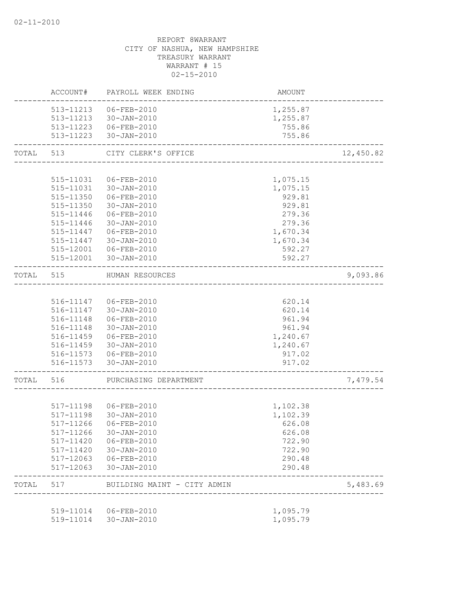|           | ACCOUNT#               | PAYROLL WEEK ENDING                            | AMOUNT           |           |
|-----------|------------------------|------------------------------------------------|------------------|-----------|
|           |                        | 513-11213  06-FEB-2010                         | 1,255.87         |           |
|           |                        | 513-11213 30-JAN-2010                          | 1,255.87         |           |
|           |                        | 513-11223  06-FEB-2010                         | 755.86           |           |
|           |                        | 513-11223 30-JAN-2010                          | 755.86           |           |
| TOTAL     | 513                    | CITY CLERK'S OFFICE<br>_______________________ |                  | 12,450.82 |
|           |                        |                                                |                  |           |
|           | 515-11031              | 06-FEB-2010                                    | 1,075.15         |           |
|           |                        | 515-11031 30-JAN-2010                          | 1,075.15         |           |
|           |                        | 515-11350 06-FEB-2010                          | 929.81           |           |
|           |                        | 515-11350 30-JAN-2010                          | 929.81           |           |
|           | 515-11446              | 06-FEB-2010                                    | 279.36           |           |
|           | 515-11446              | 30-JAN-2010                                    | 279.36           |           |
|           | 515-11447              | 06-FEB-2010                                    | 1,670.34         |           |
|           | 515-11447              | 30-JAN-2010                                    | 1,670.34         |           |
|           | 515-12001              | 06-FEB-2010                                    | 592.27           |           |
|           |                        | 515-12001 30-JAN-2010<br>---------------       | 592.27           |           |
| TOTAL 515 |                        | HUMAN RESOURCES                                |                  | 9,093.86  |
|           |                        |                                                |                  |           |
|           |                        | 516-11147 06-FEB-2010                          | 620.14           |           |
|           |                        | 516-11147 30-JAN-2010                          | 620.14           |           |
|           |                        | 516-11148   06-FEB-2010                        | 961.94           |           |
|           |                        | 516-11148 30-JAN-2010                          | 961.94           |           |
|           |                        | 516-11459 06-FEB-2010                          | 1,240.67         |           |
|           |                        | 516-11459 30-JAN-2010                          | 1,240.67         |           |
|           |                        | 516-11573   06-FEB-2010                        | 917.02           |           |
|           |                        | 516-11573 30-JAN-2010                          | 917.02           |           |
| TOTAL 516 |                        | PURCHASING DEPARTMENT                          |                  | 7,479.54  |
|           |                        |                                                |                  |           |
|           |                        |                                                | 1,102.38         |           |
|           |                        | 517-11198 30-JAN-2010                          | 1,102.39         |           |
|           | 517-11266              | 06-FEB-2010                                    | 626.08           |           |
|           |                        | 517-11266 30-JAN-2010                          | 626.08           |           |
|           | 517-11420              | 06-FEB-2010                                    | 722.90           |           |
|           | 517-11420<br>517-12063 | 30-JAN-2010<br>06-FEB-2010                     | 722.90           |           |
|           | $517 - 12063$          | 30-JAN-2010                                    | 290.48<br>290.48 |           |
| TOTAL     | 517                    | BUILDING MAINT - CITY ADMIN                    |                  | 5,483.69  |
|           |                        |                                                |                  |           |
|           | 519-11014              | 06-FEB-2010                                    | 1,095.79         |           |
|           | 519-11014              | $30 - JAN - 2010$                              | 1,095.79         |           |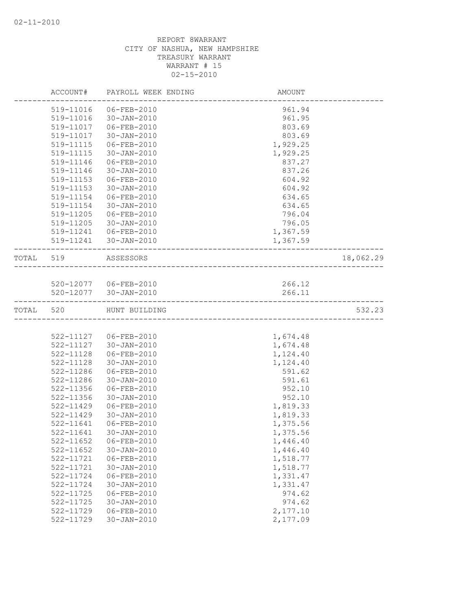|           | ACCOUNT#      | PAYROLL WEEK ENDING   | AMOUNT   |           |
|-----------|---------------|-----------------------|----------|-----------|
|           | 519-11016     | 06-FEB-2010           | 961.94   |           |
|           | 519-11016     | 30-JAN-2010           | 961.95   |           |
|           | 519-11017     | 06-FEB-2010           | 803.69   |           |
|           | 519-11017     | 30-JAN-2010           | 803.69   |           |
|           | 519-11115     | 06-FEB-2010           | 1,929.25 |           |
|           | 519-11115     | $30 - JAN - 2010$     | 1,929.25 |           |
|           | 519-11146     | 06-FEB-2010           | 837.27   |           |
|           | 519-11146     | $30 - JAN - 2010$     | 837.26   |           |
|           | 519-11153     | 06-FEB-2010           | 604.92   |           |
|           | 519-11153     | 30-JAN-2010           | 604.92   |           |
|           | 519-11154     | 06-FEB-2010           | 634.65   |           |
|           | 519-11154     | 30-JAN-2010           | 634.65   |           |
|           | 519-11205     | 06-FEB-2010           | 796.04   |           |
|           | 519-11205     | 30-JAN-2010           | 796.05   |           |
|           | 519-11241     | $06 - FEB - 2010$     | 1,367.59 |           |
|           |               | 519-11241 30-JAN-2010 | 1,367.59 |           |
| TOTAL 519 |               | ASSESSORS             |          | 18,062.29 |
|           |               |                       |          |           |
|           |               | 520-12077 06-FEB-2010 | 266.12   |           |
|           |               | 520-12077 30-JAN-2010 | 266.11   |           |
| TOTAL 520 |               | HUNT BUILDING         |          | 532.23    |
|           |               |                       |          |           |
|           |               | 522-11127 06-FEB-2010 | 1,674.48 |           |
|           | 522-11127     | $30 - JAN - 2010$     | 1,674.48 |           |
|           | 522-11128     | 06-FEB-2010           | 1,124.40 |           |
|           | 522-11128     | 30-JAN-2010           | 1,124.40 |           |
|           | 522-11286     | 06-FEB-2010           | 591.62   |           |
|           | 522-11286     | $30 - JAN - 2010$     | 591.61   |           |
|           | 522-11356     | 06-FEB-2010           | 952.10   |           |
|           | 522-11356     | $30 - JAN - 2010$     | 952.10   |           |
|           | 522-11429     | 06-FEB-2010           | 1,819.33 |           |
|           | $522 - 11429$ | 30-JAN-2010           | 1,819.33 |           |
|           | 522-11641     | 06-FEB-2010           | 1,375.56 |           |
|           | 522-11641     | 30-JAN-2010           | 1,375.56 |           |
|           | 522-11652     | 06-FEB-2010           | 1,446.40 |           |
|           | 522-11652     | $30 - JAN - 2010$     | 1,446.40 |           |
|           | 522-11721     | 06-FEB-2010           | 1,518.77 |           |
|           | 522-11721     | $30 - JAN - 2010$     | 1,518.77 |           |
|           | 522-11724     | 06-FEB-2010           | 1,331.47 |           |
|           | 522-11724     | $30 - JAN - 2010$     | 1,331.47 |           |
|           | 522-11725     | $06 - FEB - 2010$     | 974.62   |           |
|           | 522-11725     | $30 - JAN - 2010$     | 974.62   |           |
|           | 522-11729     | 06-FEB-2010           | 2,177.10 |           |
|           | 522-11729     | $30 - JAN - 2010$     | 2,177.09 |           |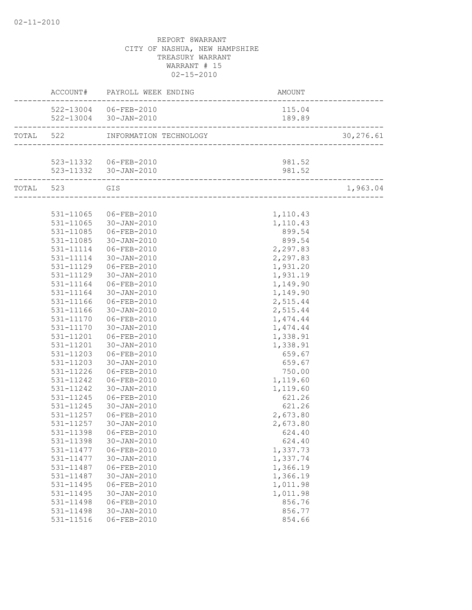|                   | ACCOUNT# PAYROLL WEEK ENDING | AMOUNT<br>------------------------ |           |
|-------------------|------------------------------|------------------------------------|-----------|
|                   | 522-13004 06-FEB-2010        | 115.04                             |           |
|                   | 522-13004 30-JAN-2010        | 189.89                             |           |
|                   |                              |                                    | 30,276.61 |
|                   |                              |                                    |           |
|                   | 523-11332   06-FEB-2010      | 981.52                             |           |
| _________________ | 523-11332 30-JAN-2010        | 981.52                             |           |
| TOTAL 523 GIS     |                              |                                    | 1,963.04  |
|                   |                              |                                    |           |
|                   | 531-11065 06-FEB-2010        | 1,110.43                           |           |
|                   | 531-11065 30-JAN-2010        | 1,110.43                           |           |
| 531-11085         | 06-FEB-2010                  | 899.54                             |           |
| 531-11085         | 30-JAN-2010                  | 899.54                             |           |
| 531-11114         | 06-FEB-2010                  | 2,297.83                           |           |
| 531-11114         | 30-JAN-2010                  | 2,297.83                           |           |
|                   | 531-11129 06-FEB-2010        | 1,931.20                           |           |
|                   | 531-11129 30-JAN-2010        | 1,931.19                           |           |
| 531-11164         | 06-FEB-2010                  | 1,149.90                           |           |
| 531-11164         | $30 - JAN - 2010$            | 1,149.90                           |           |
| 531-11166         | 06-FEB-2010                  | 2,515.44                           |           |
| 531-11166         | 30-JAN-2010                  | 2,515.44                           |           |
|                   | 531-11170 06-FEB-2010        | 1,474.44                           |           |
| 531-11170         | $30 - JAN - 2010$            | 1,474.44                           |           |
|                   |                              | 1,338.91                           |           |
|                   | 531-11201 30-JAN-2010        | 1,338.91                           |           |
|                   | 531-11203 06-FEB-2010        | 659.67                             |           |
| 531-11203         | 30-JAN-2010                  | 659.67                             |           |
| 531-11226         | 06-FEB-2010                  | 750.00                             |           |
| 531-11242         | 06-FEB-2010                  | 1,119.60                           |           |
| 531-11242         | 30-JAN-2010                  | 1,119.60                           |           |
| 531-11245         | 06-FEB-2010                  | 621.26                             |           |
| 531-11245         | 30-JAN-2010                  | 621.26                             |           |
|                   | 531-11257 06-FEB-2010        | 2,673.80                           |           |
| 531-11257         | $30 - JAN - 2010$            | 2,673.80                           |           |
|                   |                              | 624.40                             |           |
| 531-11398         | $30 - JAN - 2010$            | 624.40                             |           |
| 531-11477         | $06 - FEB - 2010$            | 1,337.73                           |           |
| 531-11477         | $30 - JAN - 2010$            | 1,337.74                           |           |
| 531-11487         | $06 - FEB - 2010$            | 1,366.19                           |           |
| 531-11487         | $30 - JAN - 2010$            | 1,366.19                           |           |
| 531-11495         | $06 - FEB - 2010$            | 1,011.98                           |           |
| 531-11495         | $30 - JAN - 2010$            | 1,011.98                           |           |
| 531-11498         | $06 - FEB - 2010$            | 856.76                             |           |
| 531-11498         | $30 - JAN - 2010$            | 856.77                             |           |
| 531-11516         | $06 - FEB - 2010$            | 854.66                             |           |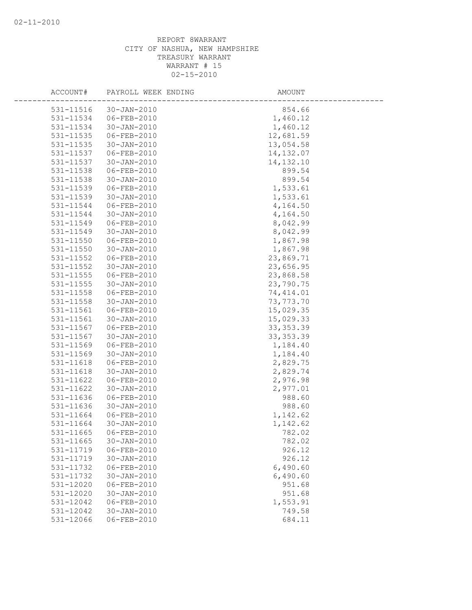| ACCOUNT#      | PAYROLL WEEK ENDING | AMOUNT     |
|---------------|---------------------|------------|
| 531-11516     | $30 - JAN - 2010$   | 854.66     |
| 531-11534     | 06-FEB-2010         | 1,460.12   |
| 531-11534     | $30 - JAN - 2010$   | 1,460.12   |
| 531-11535     | 06-FEB-2010         | 12,681.59  |
| 531-11535     | $30 - JAN - 2010$   | 13,054.58  |
| 531-11537     | 06-FEB-2010         | 14, 132.07 |
| 531-11537     | $30 - JAN - 2010$   | 14, 132.10 |
| 531-11538     | 06-FEB-2010         | 899.54     |
| 531-11538     | $30 - JAN - 2010$   | 899.54     |
| 531-11539     | 06-FEB-2010         | 1,533.61   |
| 531-11539     | $30 - JAN - 2010$   | 1,533.61   |
| 531-11544     | 06-FEB-2010         | 4,164.50   |
| 531-11544     | $30 - JAN - 2010$   | 4,164.50   |
| 531-11549     | 06-FEB-2010         | 8,042.99   |
| 531-11549     | $30 - JAN - 2010$   | 8,042.99   |
| 531-11550     | 06-FEB-2010         | 1,867.98   |
| 531-11550     | $30 - JAN - 2010$   | 1,867.98   |
| 531-11552     | 06-FEB-2010         | 23,869.71  |
| 531-11552     | $30 - JAN - 2010$   | 23,656.95  |
| 531-11555     | 06-FEB-2010         | 23,868.58  |
| 531-11555     | $30 - JAN - 2010$   | 23,790.75  |
| 531-11558     | 06-FEB-2010         | 74, 414.01 |
| 531-11558     | $30 - JAN - 2010$   | 73,773.70  |
| 531-11561     | 06-FEB-2010         | 15,029.35  |
| $531 - 11561$ | $30 - JAN - 2010$   | 15,029.33  |
| 531-11567     | $06 - FEB - 2010$   | 33, 353.39 |
| 531-11567     | $30 - JAN - 2010$   | 33, 353.39 |
| 531-11569     | 06-FEB-2010         | 1,184.40   |
| 531-11569     | $30 - JAN - 2010$   | 1,184.40   |
| 531-11618     | 06-FEB-2010         | 2,829.75   |
| 531-11618     | $30 - JAN - 2010$   | 2,829.74   |
| 531-11622     | $06 - FEB - 2010$   | 2,976.98   |
| 531-11622     | $30 - JAN - 2010$   | 2,977.01   |
| 531-11636     | 06-FEB-2010         | 988.60     |
| 531-11636     | $30 - JAN - 2010$   | 988.60     |
| 531-11664     | 06-FEB-2010         | 1,142.62   |
| 531-11664     | $30 - JAN - 2010$   | 1,142.62   |
| 531-11665     | 06-FEB-2010         | 782.02     |
| 531-11665     | 30-JAN-2010         | 782.02     |
| 531-11719     | $06 - FEB - 2010$   | 926.12     |
| 531-11719     | $30 - JAN - 2010$   | 926.12     |
| 531-11732     | $06 - FEB - 2010$   | 6,490.60   |
| 531-11732     | 30-JAN-2010         | 6,490.60   |
| 531-12020     | 06-FEB-2010         | 951.68     |
| 531-12020     | $30 - JAN - 2010$   | 951.68     |
| 531-12042     | $06 - FEB - 2010$   | 1,553.91   |
| 531-12042     | $30 - JAN - 2010$   | 749.58     |
| 531-12066     | $06 - FEB - 2010$   | 684.11     |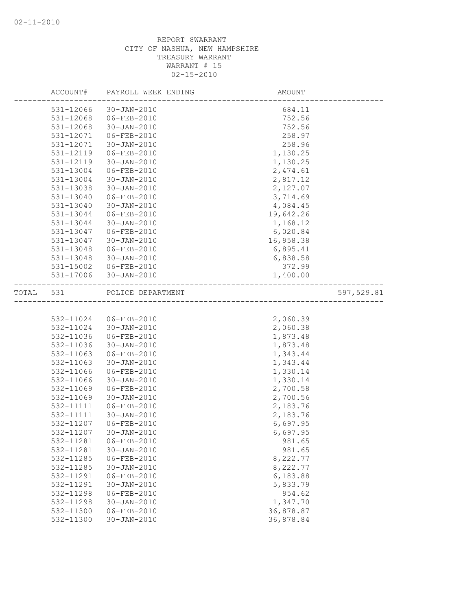|           | ACCOUNT#  | PAYROLL WEEK ENDING   | AMOUNT    |            |
|-----------|-----------|-----------------------|-----------|------------|
|           | 531-12066 | $30 - JAN - 2010$     | 684.11    |            |
|           | 531-12068 | 06-FEB-2010           | 752.56    |            |
|           | 531-12068 | 30-JAN-2010           | 752.56    |            |
|           | 531-12071 | 06-FEB-2010           | 258.97    |            |
|           | 531-12071 | 30-JAN-2010           | 258.96    |            |
|           | 531-12119 | 06-FEB-2010           | 1,130.25  |            |
|           | 531-12119 | $30 - JAN - 2010$     | 1,130.25  |            |
|           | 531-13004 | 06-FEB-2010           | 2,474.61  |            |
|           | 531-13004 | 30-JAN-2010           | 2,817.12  |            |
|           | 531-13038 | 30-JAN-2010           | 2,127.07  |            |
|           | 531-13040 | 06-FEB-2010           | 3,714.69  |            |
|           | 531-13040 | 30-JAN-2010           | 4,084.45  |            |
|           | 531-13044 | 06-FEB-2010           | 19,642.26 |            |
|           | 531-13044 | 30-JAN-2010           | 1,168.12  |            |
|           | 531-13047 | 06-FEB-2010           | 6,020.84  |            |
|           | 531-13047 | $30 - JAN - 2010$     | 16,958.38 |            |
|           | 531-13048 | 06-FEB-2010           | 6,895.41  |            |
|           | 531-13048 | 30-JAN-2010           | 6,838.58  |            |
|           | 531-15002 | 06-FEB-2010           | 372.99    |            |
|           | 531-17006 | 30-JAN-2010           | 1,400.00  |            |
| TOTAL 531 |           | POLICE DEPARTMENT     |           | 597,529.81 |
|           |           |                       |           |            |
|           |           | 532-11024 06-FEB-2010 | 2,060.39  |            |
|           | 532-11024 | 30-JAN-2010           | 2,060.38  |            |
|           | 532-11036 | 06-FEB-2010           | 1,873.48  |            |
|           | 532-11036 | $30 - JAN - 2010$     | 1,873.48  |            |
|           | 532-11063 | 06-FEB-2010           | 1,343.44  |            |
|           | 532-11063 | $30 - JAN - 2010$     | 1,343.44  |            |
|           | 532-11066 | 06-FEB-2010           | 1,330.14  |            |
|           | 532-11066 | 30-JAN-2010           | 1,330.14  |            |
|           | 532-11069 | 06-FEB-2010           | 2,700.58  |            |
|           | 532-11069 | $30 - JAN - 2010$     | 2,700.56  |            |
|           | 532-11111 | 06-FEB-2010           | 2,183.76  |            |
|           | 532-11111 | 30-JAN-2010           | 2,183.76  |            |
|           | 532-11207 | 06-FEB-2010           | 6,697.95  |            |
|           | 532-11207 | 30-JAN-2010           | 6,697.95  |            |
|           | 532-11281 | 06-FEB-2010           | 981.65    |            |
|           | 532-11281 | 30-JAN-2010           | 981.65    |            |
|           | 532-11285 | 06-FEB-2010           | 8,222.77  |            |
|           | 532-11285 | $30 - JAN - 2010$     | 8,222.77  |            |
|           | 532-11291 | $06 - FEB - 2010$     | 6,183.88  |            |
|           | 532-11291 | $30 - JAN - 2010$     | 5,833.79  |            |
|           | 532-11298 | 06-FEB-2010           | 954.62    |            |
|           | 532-11298 | $30 - JAN - 2010$     | 1,347.70  |            |
|           | 532-11300 | $06 - FEB - 2010$     | 36,878.87 |            |
|           | 532-11300 | $30 - JAN - 2010$     | 36,878.84 |            |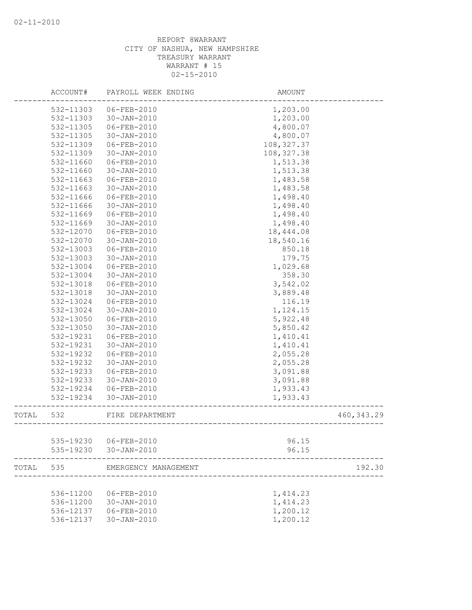|       | ACCOUNT#  | PAYROLL WEEK ENDING  | AMOUNT      |             |
|-------|-----------|----------------------|-------------|-------------|
|       | 532-11303 | 06-FEB-2010          | 1,203.00    |             |
|       | 532-11303 | $30 - JAN - 2010$    | 1,203.00    |             |
|       | 532-11305 | 06-FEB-2010          | 4,800.07    |             |
|       | 532-11305 | $30 - JAN - 2010$    | 4,800.07    |             |
|       | 532-11309 | 06-FEB-2010          | 108, 327.37 |             |
|       | 532-11309 | $30 - JAN - 2010$    | 108, 327.38 |             |
|       | 532-11660 | 06-FEB-2010          | 1,513.38    |             |
|       | 532-11660 | $30 - JAN - 2010$    | 1,513.38    |             |
|       | 532-11663 | 06-FEB-2010          | 1,483.58    |             |
|       | 532-11663 | $30 - JAN - 2010$    | 1,483.58    |             |
|       | 532-11666 | 06-FEB-2010          | 1,498.40    |             |
|       | 532-11666 | 30-JAN-2010          | 1,498.40    |             |
|       | 532-11669 | $06 - FEB - 2010$    | 1,498.40    |             |
|       | 532-11669 | 30-JAN-2010          | 1,498.40    |             |
|       | 532-12070 | 06-FEB-2010          | 18,444.08   |             |
|       | 532-12070 | $30 - JAN - 2010$    | 18,540.16   |             |
|       | 532-13003 | 06-FEB-2010          | 850.18      |             |
|       | 532-13003 | 30-JAN-2010          | 179.75      |             |
|       | 532-13004 | 06-FEB-2010          | 1,029.68    |             |
|       | 532-13004 | $30 - JAN - 2010$    | 358.30      |             |
|       | 532-13018 | 06-FEB-2010          | 3,542.02    |             |
|       | 532-13018 | 30-JAN-2010          | 3,889.48    |             |
|       | 532-13024 | 06-FEB-2010          | 116.19      |             |
|       | 532-13024 | $30 - JAN - 2010$    | 1,124.15    |             |
|       | 532-13050 | 06-FEB-2010          | 5,922.48    |             |
|       | 532-13050 | $30 - JAN - 2010$    | 5,850.42    |             |
|       | 532-19231 | $06 - FEB - 2010$    | 1,410.41    |             |
|       | 532-19231 | $30 - JAN - 2010$    | 1,410.41    |             |
|       | 532-19232 | 06-FEB-2010          | 2,055.28    |             |
|       | 532-19232 | $30 - JAN - 2010$    | 2,055.28    |             |
|       | 532-19233 | 06-FEB-2010          | 3,091.88    |             |
|       | 532-19233 | 30-JAN-2010          | 3,091.88    |             |
|       | 532-19234 | 06-FEB-2010          | 1,933.43    |             |
|       | 532-19234 | 30-JAN-2010          | 1,933.43    |             |
| TOTAL | 532       | FIRE DEPARTMENT      |             | 460, 343.29 |
|       |           |                      |             |             |
|       | 535-19230 | 06-FEB-2010          | 96.15       |             |
|       | 535-19230 | $30 - JAN - 2010$    | 96.15       |             |
| TOTAL | 535       | EMERGENCY MANAGEMENT |             | 192.30      |
|       |           |                      |             |             |
|       | 536-11200 | 06-FEB-2010          | 1,414.23    |             |
|       | 536-11200 | $30 - JAN - 2010$    | 1,414.23    |             |
|       | 536-12137 | 06-FEB-2010          | 1,200.12    |             |
|       | 536-12137 | 30-JAN-2010          | 1,200.12    |             |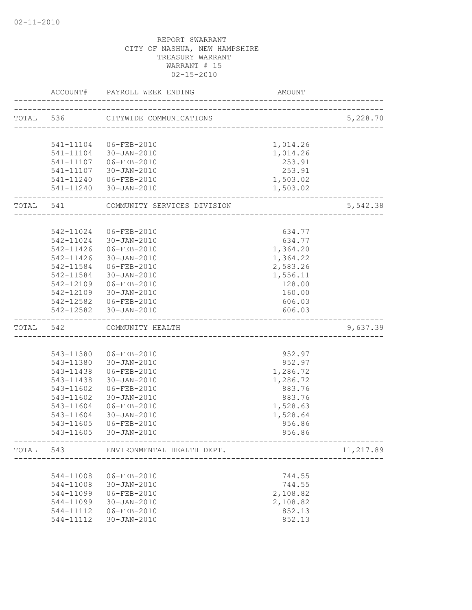|           | ACCOUNT#  | PAYROLL WEEK ENDING                                 | AMOUNT                        |           |
|-----------|-----------|-----------------------------------------------------|-------------------------------|-----------|
|           | TOTAL 536 | CITYWIDE COMMUNICATIONS                             | ----------------------------- | 5,228.70  |
|           |           |                                                     |                               |           |
|           |           | 541-11104 06-FEB-2010                               | 1,014.26                      |           |
|           |           | 541-11104 30-JAN-2010                               | 1,014.26                      |           |
|           |           | 541-11107 06-FEB-2010                               | 253.91                        |           |
|           |           | 541-11107 30-JAN-2010                               | 253.91                        |           |
|           |           | 541-11240 06-FEB-2010                               | 1,503.02                      |           |
|           |           | 541-11240 30-JAN-2010                               | 1,503.02                      |           |
| TOTAL 541 |           | COMMUNITY SERVICES DIVISION                         |                               | 5,542.38  |
|           |           |                                                     |                               |           |
|           |           | 542-11024 06-FEB-2010                               | 634.77                        |           |
|           | 542-11024 | 30-JAN-2010                                         | 634.77                        |           |
|           | 542-11426 | 06-FEB-2010                                         | 1,364.20                      |           |
|           |           | 542-11426 30-JAN-2010                               | 1,364.22                      |           |
|           |           | 542-11584 06-FEB-2010                               | 2,583.26                      |           |
|           |           | 542-11584 30-JAN-2010                               | 1,556.11                      |           |
|           |           | 542-12109 06-FEB-2010                               | 128.00                        |           |
|           |           | 542-12109 30-JAN-2010                               | 160.00                        |           |
|           |           | 542-12582 06-FEB-2010                               | 606.03                        |           |
|           |           | 542-12582 30-JAN-2010                               | 606.03                        |           |
| TOTAL 542 |           | COMMUNITY HEALTH<br>_______________________________ |                               | 9,637.39  |
|           |           |                                                     |                               |           |
|           |           | 543-11380 06-FEB-2010                               | 952.97                        |           |
|           |           | 543-11380 30-JAN-2010                               | 952.97                        |           |
|           | 543-11438 | 06-FEB-2010                                         | 1,286.72                      |           |
|           | 543-11438 | 30-JAN-2010                                         | 1,286.72                      |           |
|           | 543-11602 | 06-FEB-2010                                         | 883.76                        |           |
|           | 543-11602 | 30-JAN-2010                                         | 883.76                        |           |
|           | 543-11604 | 06-FEB-2010                                         | 1,528.63                      |           |
|           | 543-11604 | 30-JAN-2010                                         | 1,528.64                      |           |
|           | 543-11605 | $06 - FEB - 2010$                                   | 956.86                        |           |
|           | 543-11605 | 30-JAN-2010                                         | 956.86                        |           |
| TOTAL     | 543       | ENVIRONMENTAL HEALTH DEPT.                          |                               | 11,217.89 |
|           |           |                                                     |                               |           |
|           | 544-11008 | 06-FEB-2010                                         | 744.55                        |           |
|           | 544-11008 | 30-JAN-2010                                         | 744.55                        |           |
|           | 544-11099 | 06-FEB-2010                                         | 2,108.82                      |           |
|           | 544-11099 | 30-JAN-2010                                         | 2,108.82                      |           |
|           | 544-11112 | 06-FEB-2010                                         | 852.13                        |           |
|           | 544-11112 | 30-JAN-2010                                         | 852.13                        |           |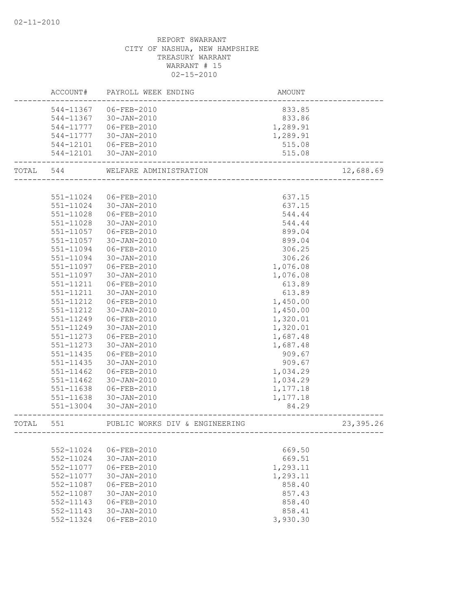|       |           | ACCOUNT# PAYROLL WEEK ENDING<br>AMOUNT<br>------------------------ |                              |            |
|-------|-----------|--------------------------------------------------------------------|------------------------------|------------|
|       |           | 544-11367 06-FEB-2010                                              | 833.85                       |            |
|       |           | 544-11367 30-JAN-2010                                              | 833.86                       |            |
|       |           | 544-11777   06-FEB-2010                                            | 1,289.91                     |            |
|       |           | 544-11777 30-JAN-2010                                              | 1,289.91                     |            |
|       |           |                                                                    | 515.08                       |            |
|       |           |                                                                    | 515.08                       |            |
|       | TOTAL 544 | WELFARE ADMINISTRATION                                             |                              | 12,688.69  |
|       |           |                                                                    |                              |            |
|       |           | 551-11024 06-FEB-2010                                              | 637.15                       |            |
|       |           | 551-11024 30-JAN-2010                                              | 637.15                       |            |
|       | 551-11028 | $06 - FEB - 2010$                                                  | 544.44                       |            |
|       | 551-11028 | 30-JAN-2010                                                        | 544.44                       |            |
|       | 551-11057 | 06-FEB-2010                                                        | 899.04                       |            |
|       | 551-11057 | 30-JAN-2010                                                        | 899.04                       |            |
|       | 551-11094 | 06-FEB-2010                                                        | 306.25                       |            |
|       | 551-11094 | 30-JAN-2010                                                        | 306.26                       |            |
|       | 551-11097 | $06 - FEB - 2010$                                                  | 1,076.08                     |            |
|       | 551-11097 | 30-JAN-2010                                                        | 1,076.08                     |            |
|       | 551-11211 | 06-FEB-2010                                                        | 613.89                       |            |
|       | 551-11211 | 30-JAN-2010                                                        | 613.89                       |            |
|       | 551-11212 | 06-FEB-2010                                                        | 1,450.00                     |            |
|       | 551-11212 | 30-JAN-2010                                                        | 1,450.00                     |            |
|       | 551-11249 | 06-FEB-2010                                                        | 1,320.01                     |            |
|       | 551-11249 | 30-JAN-2010                                                        | 1,320.01                     |            |
|       | 551-11273 | 06-FEB-2010                                                        | 1,687.48                     |            |
|       | 551-11273 | 30-JAN-2010                                                        | 1,687.48                     |            |
|       | 551-11435 | 06-FEB-2010                                                        | 909.67                       |            |
|       | 551-11435 | 30-JAN-2010                                                        | 909.67                       |            |
|       | 551-11462 | 06-FEB-2010                                                        | 1,034.29                     |            |
|       | 551-11462 | 30-JAN-2010                                                        | 1,034.29                     |            |
|       | 551-11638 | 06-FEB-2010                                                        | 1,177.18                     |            |
|       | 551-11638 | 30-JAN-2010                                                        | 1,177.18                     |            |
|       |           | 551-13004 30-JAN-2010                                              | 84.29<br>. _ _ _ _ _ _ _ _ _ |            |
| TOTAL | 551       | PUBLIC WORKS DIV & ENGINEERING                                     |                              | 23, 395.26 |
|       |           |                                                                    |                              |            |
|       | 552-11024 | 06-FEB-2010                                                        | 669.50                       |            |
|       | 552-11024 | $30 - JAN - 2010$                                                  | 669.51                       |            |
|       | 552-11077 | $06 - FEB - 2010$                                                  | 1,293.11                     |            |
|       | 552-11077 | $30 - JAN - 2010$                                                  | 1,293.11                     |            |
|       | 552-11087 | $06 - FEB - 2010$                                                  | 858.40                       |            |
|       | 552-11087 | $30 - JAN - 2010$                                                  | 857.43                       |            |
|       | 552-11143 | 06-FEB-2010                                                        | 858.40                       |            |
|       | 552-11143 | $30 - JAN - 2010$                                                  | 858.41                       |            |
|       | 552-11324 | $06 - FEB - 2010$                                                  | 3,930.30                     |            |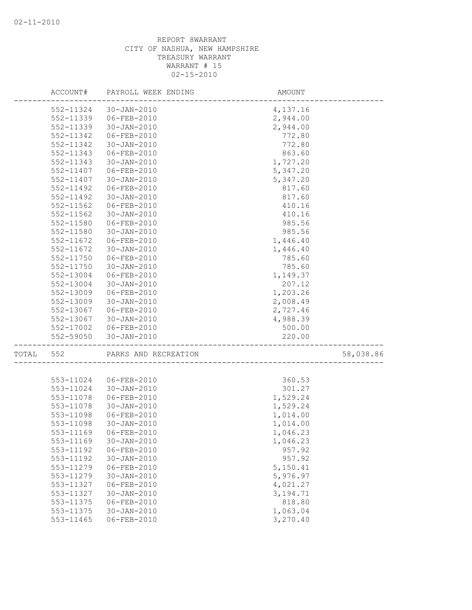|       | ACCOUNT#  | PAYROLL WEEK ENDING   | AMOUNT     |           |
|-------|-----------|-----------------------|------------|-----------|
|       | 552-11324 | 30-JAN-2010           | 4,137.16   |           |
|       | 552-11339 | 06-FEB-2010           | 2,944.00   |           |
|       | 552-11339 | 30-JAN-2010           | 2,944.00   |           |
|       | 552-11342 | 06-FEB-2010           | 772.80     |           |
|       | 552-11342 | 30-JAN-2010           | 772.80     |           |
|       | 552-11343 | 06-FEB-2010           | 863.60     |           |
|       | 552-11343 | $30 - JAN - 2010$     | 1,727.20   |           |
|       | 552-11407 | 06-FEB-2010           | 5,347.20   |           |
|       | 552-11407 | 30-JAN-2010           | 5,347.20   |           |
|       | 552-11492 | 06-FEB-2010           | 817.60     |           |
|       | 552-11492 | $30 - JAN - 2010$     | 817.60     |           |
|       | 552-11562 | 06-FEB-2010           | 410.16     |           |
|       | 552-11562 | 30-JAN-2010           | 410.16     |           |
|       | 552-11580 | $06 - FEB - 2010$     | 985.56     |           |
|       | 552-11580 | 30-JAN-2010           | 985.56     |           |
|       | 552-11672 | 06-FEB-2010           | 1,446.40   |           |
|       | 552-11672 | $30 - JAN - 2010$     | 1,446.40   |           |
|       | 552-11750 | 06-FEB-2010           | 785.60     |           |
|       | 552-11750 | $30 - JAN - 2010$     | 785.60     |           |
|       | 552-13004 | 06-FEB-2010           | 1,149.37   |           |
|       | 552-13004 | $30 - JAN - 2010$     | 207.12     |           |
|       | 552-13009 | 06-FEB-2010           | 1,203.26   |           |
|       | 552-13009 | 30-JAN-2010           | 2,008.49   |           |
|       | 552-13067 | 06-FEB-2010           | 2,727.46   |           |
|       | 552-13067 | 30-JAN-2010           | 4,988.39   |           |
|       | 552-17002 | 06-FEB-2010           | 500.00     |           |
|       | 552-59050 | 30-JAN-2010           | 220.00     |           |
| TOTAL | 552       | PARKS AND RECREATION  |            | 58,038.86 |
|       |           |                       |            |           |
|       | 553-11024 | 06-FEB-2010           | 360.53     |           |
|       | 553-11024 | 30-JAN-2010           | 301.27     |           |
|       | 553-11078 | 06-FEB-2010           | 1,529.24   |           |
|       | 553-11078 | 30-JAN-2010           | 1,529.24   |           |
|       | 553-11098 | 06-FEB-2010           | 1,014.00   |           |
|       | 553-11098 | $30 - JAN - 2010$     | 1,014.00   |           |
|       |           | 553-11169 06-FEB-2010 | 1,046.23   |           |
|       | 553-11169 | $30 - JAN - 2010$     | 1,046.23   |           |
|       | 553-11192 | 06-FEB-2010           | 957.92     |           |
|       | 553-11192 | 30-JAN-2010           | 957.92     |           |
|       | 553-11279 | 06-FEB-2010           | 5,150.41   |           |
|       | 553-11279 | $30 - JAN - 2010$     | 5,976.97   |           |
|       | 553-11327 | $06 - FEB - 2010$     | 4,021.27   |           |
|       | 553-11327 | $30 - JAN - 2010$     | 3, 194. 71 |           |
|       | 553-11375 | 06-FEB-2010           | 818.80     |           |
|       | 553-11375 | $30 - JAN - 2010$     | 1,063.04   |           |
|       | 553-11465 | 06-FEB-2010           | 3,270.40   |           |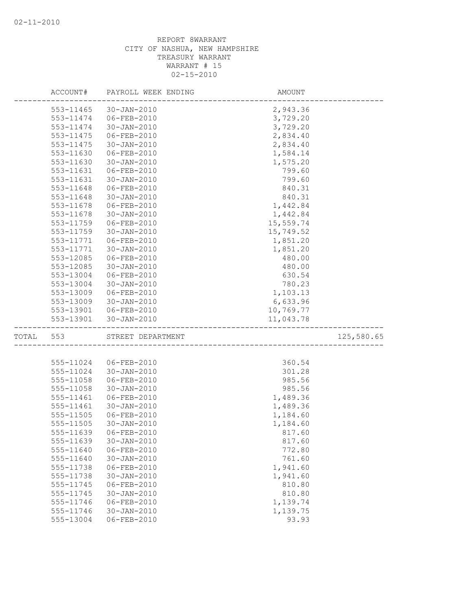|       | ACCOUNT#      | PAYROLL WEEK ENDING | AMOUNT    |            |
|-------|---------------|---------------------|-----------|------------|
|       | 553-11465     | 30-JAN-2010         | 2,943.36  |            |
|       | 553-11474     | 06-FEB-2010         | 3,729.20  |            |
|       | 553-11474     | 30-JAN-2010         | 3,729.20  |            |
|       | 553-11475     | 06-FEB-2010         | 2,834.40  |            |
|       | 553-11475     | 30-JAN-2010         | 2,834.40  |            |
|       | 553-11630     | 06-FEB-2010         | 1,584.14  |            |
|       | 553-11630     | $30 - JAN - 2010$   | 1,575.20  |            |
|       | 553-11631     | $06 - FEB - 2010$   | 799.60    |            |
|       | 553-11631     | 30-JAN-2010         | 799.60    |            |
|       | 553-11648     | 06-FEB-2010         | 840.31    |            |
|       | 553-11648     | 30-JAN-2010         | 840.31    |            |
|       | 553-11678     | 06-FEB-2010         | 1,442.84  |            |
|       | 553-11678     | 30-JAN-2010         | 1,442.84  |            |
|       | 553-11759     | 06-FEB-2010         | 15,559.74 |            |
|       | 553-11759     | 30-JAN-2010         | 15,749.52 |            |
|       | 553-11771     | 06-FEB-2010         | 1,851.20  |            |
|       | 553-11771     | $30 - JAN - 2010$   | 1,851.20  |            |
|       | 553-12085     | 06-FEB-2010         | 480.00    |            |
|       | 553-12085     | $30 - JAN - 2010$   | 480.00    |            |
|       | 553-13004     | 06-FEB-2010         | 630.54    |            |
|       | 553-13004     | $30 - JAN - 2010$   | 780.23    |            |
|       | 553-13009     | 06-FEB-2010         | 1,103.13  |            |
|       | 553-13009     | 30-JAN-2010         | 6,633.96  |            |
|       | 553-13901     | 06-FEB-2010         | 10,769.77 |            |
|       | 553-13901     | $30 - JAN - 2010$   | 11,043.78 |            |
| TOTAL | 553           | STREET DEPARTMENT   |           | 125,580.65 |
|       |               |                     |           |            |
|       | 555-11024     | 06-FEB-2010         | 360.54    |            |
|       | 555-11024     | 30-JAN-2010         | 301.28    |            |
|       | 555-11058     | $06 - FEB - 2010$   | 985.56    |            |
|       | 555-11058     | 30-JAN-2010         | 985.56    |            |
|       | 555-11461     | 06-FEB-2010         | 1,489.36  |            |
|       | 555-11461     | $30 - JAN - 2010$   | 1,489.36  |            |
|       | 555-11505     | 06-FEB-2010         | 1,184.60  |            |
|       | $555 - 11505$ | $30 - JAN - 2010$   | 1,184.60  |            |
|       | 555-11639     | $06 - FEB - 2010$   | 817.60    |            |
|       | 555-11639     | $30 - JAN - 2010$   | 817.60    |            |
|       | 555-11640     | $06 - FEB - 2010$   | 772.80    |            |
|       | 555-11640     | $30 - JAN - 2010$   | 761.60    |            |
|       | 555-11738     | 06-FEB-2010         | 1,941.60  |            |
|       | 555-11738     | $30 - JAN - 2010$   | 1,941.60  |            |
|       | 555-11745     | 06-FEB-2010         | 810.80    |            |
|       | 555-11745     | $30 - JAN - 2010$   | 810.80    |            |
|       | 555-11746     | $06 - FEB - 2010$   | 1,139.74  |            |
|       | 555-11746     | $30 - JAN - 2010$   | 1,139.75  |            |
|       | 555-13004     | 06-FEB-2010         | 93.93     |            |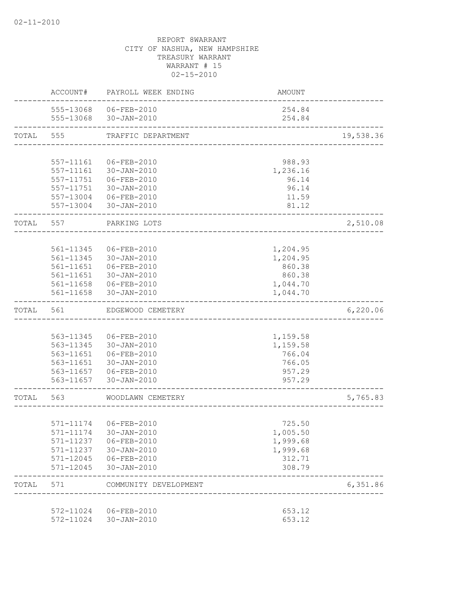|       | ACCOUNT#  | PAYROLL WEEK ENDING                            | AMOUNT           |           |
|-------|-----------|------------------------------------------------|------------------|-----------|
|       |           | 555-13068 06-FEB-2010<br>555-13068 30-JAN-2010 | 254.84<br>254.84 |           |
| TOTAL | 555       | TRAFFIC DEPARTMENT                             |                  | 19,538.36 |
|       |           |                                                |                  |           |
|       | 557-11161 | 06-FEB-2010                                    | 988.93           |           |
|       | 557-11161 | 30-JAN-2010                                    | 1,236.16         |           |
|       | 557-11751 | 06-FEB-2010                                    | 96.14            |           |
|       |           | 557-11751 30-JAN-2010                          | 96.14            |           |
|       |           | 557-13004 06-FEB-2010<br>557-13004 30-JAN-2010 | 11.59<br>81.12   |           |
| TOTAL | 557       | PARKING LOTS                                   |                  | 2,510.08  |
|       |           |                                                |                  |           |
|       | 561-11345 | 06-FEB-2010                                    | 1,204.95         |           |
|       | 561-11345 | $30 - JAN - 2010$                              | 1,204.95         |           |
|       | 561-11651 | 06-FEB-2010                                    | 860.38           |           |
|       |           | 561-11651 30-JAN-2010                          | 860.38           |           |
|       |           | 561-11658 06-FEB-2010                          | 1,044.70         |           |
|       |           | 561-11658 30-JAN-2010                          | 1,044.70         |           |
| TOTAL | 561       | EDGEWOOD CEMETERY                              |                  | 6,220.06  |
|       |           |                                                |                  |           |
|       | 563-11345 | 06-FEB-2010                                    | 1,159.58         |           |
|       |           | 563-11345 30-JAN-2010                          | 1,159.58         |           |
|       |           | 563-11651   06-FEB-2010                        | 766.04           |           |
|       |           | 563-11651 30-JAN-2010                          | 766.05           |           |
|       |           | 563-11657 06-FEB-2010<br>563-11657 30-JAN-2010 | 957.29<br>957.29 |           |
|       |           |                                                |                  |           |
| TOTAL | 563       | WOODLAWN CEMETERY                              |                  | 5,765.83  |
|       |           |                                                |                  |           |
|       |           | 571-11174 06-FEB-2010                          | 725.50           |           |
|       |           | 571-11174 30-JAN-2010                          | 1,005.50         |           |
|       |           | 571-11237 06-FEB-2010                          | 1,999.68         |           |
|       |           | 571-11237 30-JAN-2010                          | 1,999.68         |           |
|       |           | 571-12045 06-FEB-2010                          | 312.71           |           |
|       | 571-12045 | 30-JAN-2010                                    | 308.79           |           |
| TOTAL | 571       | COMMUNITY DEVELOPMENT                          |                  | 6,351.86  |
|       |           | 572-11024 06-FEB-2010                          | 653.12           |           |
|       |           | 572-11024 30-JAN-2010                          | 653.12           |           |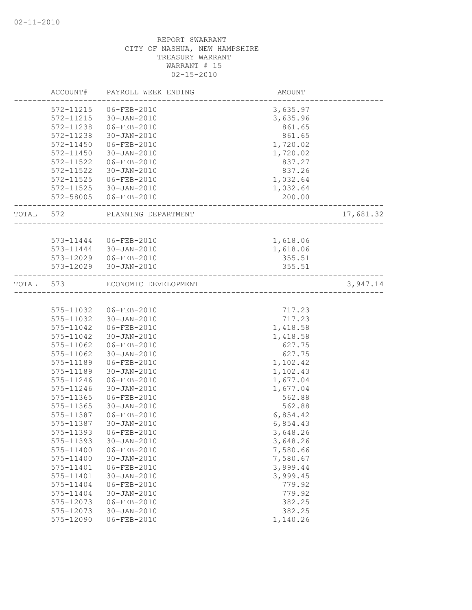|       | ACCOUNT#  | PAYROLL WEEK ENDING   | <b>AMOUNT</b>                 |           |
|-------|-----------|-----------------------|-------------------------------|-----------|
|       | 572-11215 | 06-FEB-2010           | 3,635.97                      |           |
|       | 572-11215 | 30-JAN-2010           | 3,635.96                      |           |
|       | 572-11238 | 06-FEB-2010           | 861.65                        |           |
|       | 572-11238 | 30-JAN-2010           | 861.65                        |           |
|       | 572-11450 | 06-FEB-2010           | 1,720.02                      |           |
|       | 572-11450 | $30 - JAN - 2010$     | 1,720.02                      |           |
|       | 572-11522 | 06-FEB-2010           | 837.27                        |           |
|       | 572-11522 | 30-JAN-2010           | 837.26                        |           |
|       | 572-11525 | 06-FEB-2010           | 1,032.64                      |           |
|       | 572-11525 | 30-JAN-2010           | 1,032.64                      |           |
|       | 572-58005 | 06-FEB-2010           | 200.00                        |           |
| TOTAL | 572       | PLANNING DEPARTMENT   |                               | 17,681.32 |
|       |           |                       |                               |           |
|       |           | 573-11444 06-FEB-2010 | 1,618.06                      |           |
|       | 573-11444 | 30-JAN-2010           | 1,618.06                      |           |
|       |           | 573-12029 06-FEB-2010 | 355.51                        |           |
|       | 573-12029 | 30-JAN-2010           | 355.51                        |           |
| TOTAL | 573       | ECONOMIC DEVELOPMENT  |                               | 3,947.14  |
|       |           |                       | _____________________________ |           |
|       | 575-11032 | 06-FEB-2010           | 717.23                        |           |
|       | 575-11032 | 30-JAN-2010           | 717.23                        |           |
|       | 575-11042 | 06-FEB-2010           | 1,418.58                      |           |
|       | 575-11042 | $30 - JAN - 2010$     | 1,418.58                      |           |
|       | 575-11062 | 06-FEB-2010           | 627.75                        |           |
|       | 575-11062 | $30 - JAN - 2010$     | 627.75                        |           |
|       | 575-11189 | 06-FEB-2010           | 1,102.42                      |           |
|       | 575-11189 | 30-JAN-2010           | 1,102.43                      |           |
|       | 575-11246 | 06-FEB-2010           | 1,677.04                      |           |
|       | 575-11246 | $30 - JAN - 2010$     | 1,677.04                      |           |
|       | 575-11365 | 06-FEB-2010           | 562.88                        |           |
|       | 575-11365 | 30-JAN-2010           | 562.88                        |           |
|       | 575-11387 | 06-FEB-2010           | 6,854.42                      |           |
|       | 575-11387 | 30-JAN-2010           | 6,854.43                      |           |
|       | 575-11393 | 06-FEB-2010           | 3,648.26                      |           |
|       | 575-11393 | $30 - JAN - 2010$     | 3,648.26                      |           |
|       | 575-11400 | 06-FEB-2010           | 7,580.66                      |           |
|       | 575-11400 | $30 - JAN - 2010$     | 7,580.67                      |           |
|       | 575-11401 | 06-FEB-2010           | 3,999.44                      |           |
|       | 575-11401 | $30 - JAN - 2010$     | 3,999.45                      |           |
|       | 575-11404 | 06-FEB-2010           | 779.92                        |           |
|       | 575-11404 | $30 - JAN - 2010$     | 779.92                        |           |
|       | 575-12073 | $06 - FEB - 2010$     | 382.25                        |           |
|       | 575-12073 | 30-JAN-2010           | 382.25                        |           |
|       | 575-12090 | 06-FEB-2010           | 1,140.26                      |           |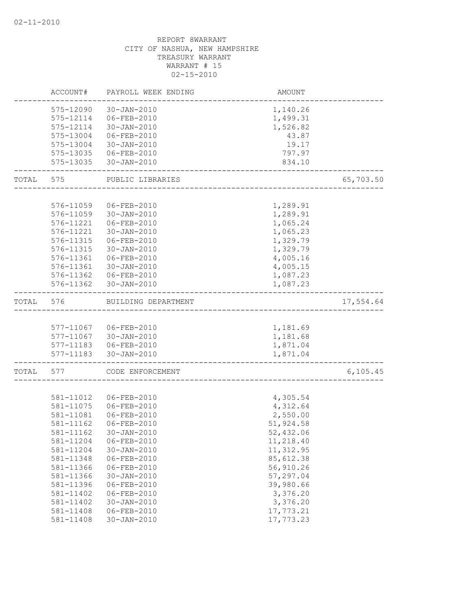|       | ACCOUNT#  | PAYROLL WEEK ENDING    | AMOUNT               |           |
|-------|-----------|------------------------|----------------------|-----------|
|       | 575-12090 | 30-JAN-2010            | 1,140.26             |           |
|       | 575-12114 | 06-FEB-2010            | 1,499.31             |           |
|       | 575-12114 | 30-JAN-2010            | 1,526.82             |           |
|       | 575-13004 | 06-FEB-2010            | 43.87                |           |
|       | 575-13004 | 30-JAN-2010            | 19.17                |           |
|       |           | 575-13035 06-FEB-2010  | 797.97               |           |
|       | 575-13035 | 30-JAN-2010            | 834.10               |           |
| TOTAL | 575       | PUBLIC LIBRARIES       |                      | 65,703.50 |
|       |           |                        | ____________________ |           |
|       | 576-11059 | 06-FEB-2010            | 1,289.91             |           |
|       | 576-11059 | 30-JAN-2010            | 1,289.91             |           |
|       | 576-11221 | 06-FEB-2010            | 1,065.24             |           |
|       | 576-11221 | 30-JAN-2010            | 1,065.23             |           |
|       | 576-11315 | 06-FEB-2010            | 1,329.79             |           |
|       | 576-11315 | 30-JAN-2010            | 1,329.79             |           |
|       | 576-11361 | 06-FEB-2010            | 4,005.16             |           |
|       | 576-11361 | 30-JAN-2010            | 4,005.15             |           |
|       |           | 576-11362 06-FEB-2010  | 1,087.23             |           |
|       |           | 576-11362 30-JAN-2010  | 1,087.23             |           |
| TOTAL | 576       | BUILDING DEPARTMENT    |                      | 17,554.64 |
|       |           |                        |                      |           |
|       |           | 577-11067 06-FEB-2010  | 1,181.69             |           |
|       |           | 577-11067 30-JAN-2010  | 1,181.68             |           |
|       |           | 577-11183  06-FEB-2010 | 1,871.04             |           |
|       |           | 577-11183 30-JAN-2010  | 1,871.04             |           |
| TOTAL | 577       | CODE ENFORCEMENT       |                      | 6, 105.45 |
|       |           |                        |                      |           |
|       | 581-11012 | 06-FEB-2010            | 4,305.54             |           |
|       | 581-11075 | 06-FEB-2010            | 4,312.64             |           |
|       | 581-11081 | 06-FEB-2010            | 2,550.00             |           |
|       | 581-11162 | 06-FEB-2010            | 51,924.58            |           |
|       | 581-11162 | 30-JAN-2010            | 52,432.06            |           |
|       | 581-11204 | 06-FEB-2010            | 11,218.40            |           |
|       | 581-11204 | $30 - JAN - 2010$      | 11, 312.95           |           |
|       | 581-11348 | 06-FEB-2010            | 85,612.38            |           |
|       | 581-11366 | 06-FEB-2010            | 56,910.26            |           |
|       | 581-11366 | $30 - JAN - 2010$      | 57,297.04            |           |
|       | 581-11396 | 06-FEB-2010            | 39,980.66            |           |
|       | 581-11402 | 06-FEB-2010            | 3,376.20             |           |
|       | 581-11402 | $30 - JAN - 2010$      | 3,376.20             |           |
|       | 581-11408 | 06-FEB-2010            | 17,773.21            |           |
|       | 581-11408 | 30-JAN-2010            | 17,773.23            |           |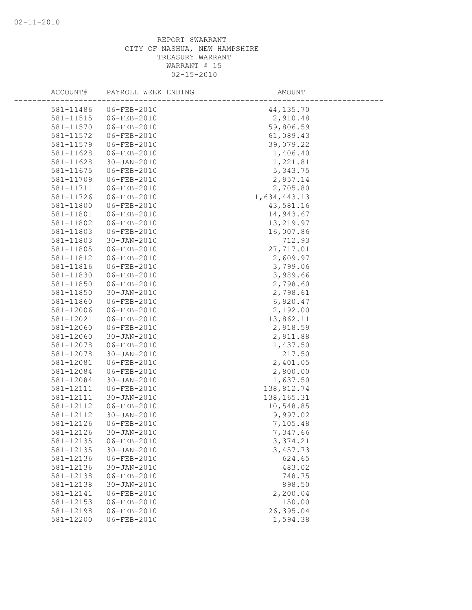| ACCOUNT#  | PAYROLL WEEK ENDING        | AMOUNT       |
|-----------|----------------------------|--------------|
|           |                            |              |
| 581-11486 | 06-FEB-2010<br>06-FEB-2010 | 44, 135. 70  |
| 581-11515 | 06-FEB-2010                | 2,910.48     |
| 581-11570 |                            | 59,806.59    |
| 581-11572 | 06-FEB-2010                | 61,089.43    |
| 581-11579 | 06-FEB-2010                | 39,079.22    |
| 581-11628 | 06-FEB-2010                | 1,406.40     |
| 581-11628 | 30-JAN-2010                | 1,221.81     |
| 581-11675 | 06-FEB-2010                | 5,343.75     |
| 581-11709 | 06-FEB-2010                | 2,957.14     |
| 581-11711 | 06-FEB-2010                | 2,705.80     |
| 581-11726 | 06-FEB-2010                | 1,634,443.13 |
| 581-11800 | 06-FEB-2010                | 43,581.16    |
| 581-11801 | 06-FEB-2010                | 14,943.67    |
| 581-11802 | 06-FEB-2010                | 13,219.97    |
| 581-11803 | 06-FEB-2010                | 16,007.86    |
| 581-11803 | 30-JAN-2010                | 712.93       |
| 581-11805 | 06-FEB-2010                | 27,717.01    |
| 581-11812 | 06-FEB-2010                | 2,609.97     |
| 581-11816 | 06-FEB-2010                | 3,799.06     |
| 581-11830 | 06-FEB-2010                | 3,989.66     |
| 581-11850 | 06-FEB-2010                | 2,798.60     |
| 581-11850 | 30-JAN-2010                | 2,798.61     |
| 581-11860 | 06-FEB-2010                | 6,920.47     |
| 581-12006 | 06-FEB-2010                | 2,192.00     |
| 581-12021 | 06-FEB-2010                | 13,862.11    |
| 581-12060 | 06-FEB-2010                | 2,918.59     |
| 581-12060 | 30-JAN-2010                | 2,911.88     |
| 581-12078 | 06-FEB-2010                | 1,437.50     |
| 581-12078 | $30 - JAN - 2010$          | 217.50       |
| 581-12081 | 06-FEB-2010                | 2,401.05     |
| 581-12084 | 06-FEB-2010                | 2,800.00     |
| 581-12084 | 30-JAN-2010                | 1,637.50     |
| 581-12111 | 06-FEB-2010                | 138,812.74   |
| 581-12111 | 30-JAN-2010                | 138, 165. 31 |
| 581-12112 | 06-FEB-2010                | 10,548.85    |
| 581-12112 | $30 - JAN - 2010$          | 9,997.02     |
| 581-12126 | 06-FEB-2010                | 7,105.48     |
| 581-12126 | $30 - JAN - 2010$          | 7,347.66     |
| 581-12135 | 06-FEB-2010                | 3,374.21     |
| 581-12135 | $30 - JAN - 2010$          | 3,457.73     |
| 581-12136 | 06-FEB-2010                | 624.65       |
| 581-12136 | $30 - JAN - 2010$          | 483.02       |
| 581-12138 | $06 - FEB - 2010$          | 748.75       |
| 581-12138 | $30 - JAN - 2010$          | 898.50       |
| 581-12141 | $06 - FEB - 2010$          | 2,200.04     |
| 581-12153 | 06-FEB-2010                | 150.00       |
| 581-12198 | 06-FEB-2010                | 26,395.04    |
| 581-12200 | $06 - FEB - 2010$          | 1,594.38     |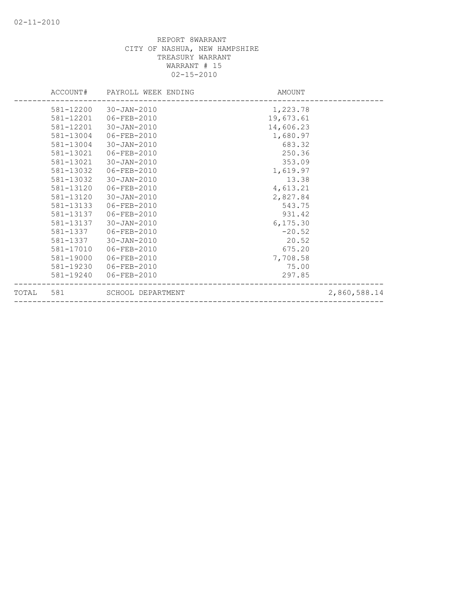|       | ACCOUNT#  | PAYROLL WEEK ENDING | AMOUNT    |              |
|-------|-----------|---------------------|-----------|--------------|
|       | 581-12200 | 30-JAN-2010         | 1,223.78  |              |
|       | 581-12201 | 06-FEB-2010         | 19,673.61 |              |
|       | 581-12201 | 30-JAN-2010         | 14,606.23 |              |
|       | 581-13004 | 06-FEB-2010         | 1,680.97  |              |
|       | 581-13004 | 30-JAN-2010         | 683.32    |              |
|       | 581-13021 | 06-FEB-2010         | 250.36    |              |
|       | 581-13021 | 30-JAN-2010         | 353.09    |              |
|       | 581-13032 | 06-FEB-2010         | 1,619.97  |              |
|       | 581-13032 | 30-JAN-2010         | 13.38     |              |
|       | 581-13120 | 06-FEB-2010         | 4,613.21  |              |
|       | 581-13120 | $30 - JAN - 2010$   | 2,827.84  |              |
|       | 581-13133 | 06-FEB-2010         | 543.75    |              |
|       | 581-13137 | 06-FEB-2010         | 931.42    |              |
|       | 581-13137 | $30 - JAN - 2010$   | 6, 175.30 |              |
|       | 581-1337  | 06-FEB-2010         | $-20.52$  |              |
|       | 581-1337  | 30-JAN-2010         | 20.52     |              |
|       | 581-17010 | 06-FEB-2010         | 675.20    |              |
|       | 581-19000 | 06-FEB-2010         | 7,708.58  |              |
|       | 581-19230 | 06-FEB-2010         | 75.00     |              |
|       | 581-19240 | 06-FEB-2010         | 297.85    |              |
| TOTAL | 581       | SCHOOL DEPARTMENT   |           | 2,860,588.14 |
|       |           |                     |           |              |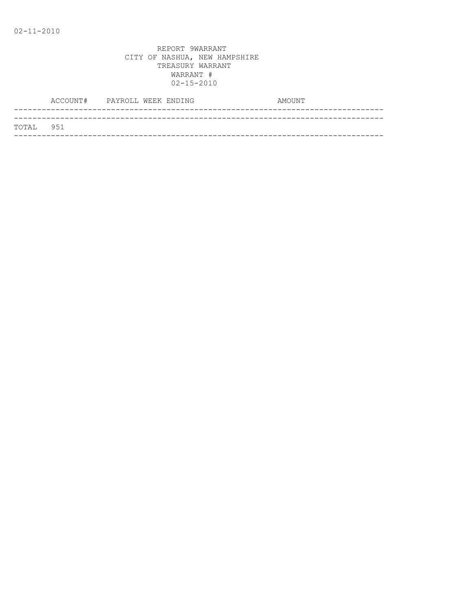|           | ACCOUNT# PAYROLL WEEK ENDING |  | AMOUNT |
|-----------|------------------------------|--|--------|
|           |                              |  |        |
| TOTAL 951 |                              |  |        |
|           |                              |  |        |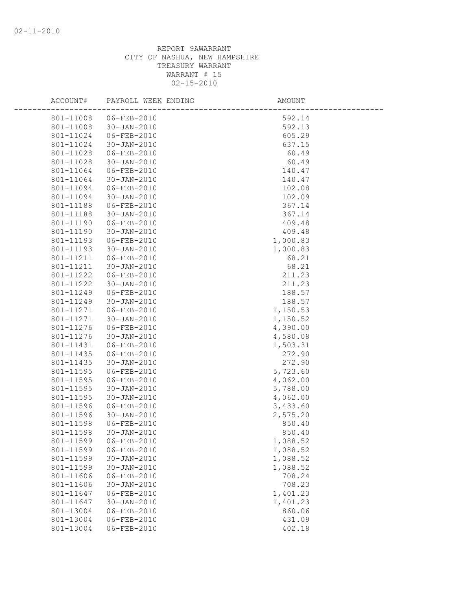| ACCOUNT#               | PAYROLL WEEK ENDING                    | AMOUNT               |  |
|------------------------|----------------------------------------|----------------------|--|
| 801-11008              | 06-FEB-2010                            | 592.14               |  |
| 801-11008              | 30-JAN-2010                            | 592.13               |  |
| 801-11024              | 06-FEB-2010                            | 605.29               |  |
| 801-11024              | 30-JAN-2010                            | 637.15               |  |
| 801-11028              | 06-FEB-2010                            | 60.49                |  |
| 801-11028              | 30-JAN-2010                            | 60.49                |  |
| 801-11064              | 06-FEB-2010                            | 140.47               |  |
| 801-11064              | 30-JAN-2010                            | 140.47               |  |
| 801-11094              | 06-FEB-2010                            | 102.08               |  |
| 801-11094              | 30-JAN-2010                            | 102.09               |  |
| 801-11188              | 06-FEB-2010                            | 367.14               |  |
| 801-11188              | 30-JAN-2010                            | 367.14               |  |
| 801-11190              | 06-FEB-2010                            | 409.48               |  |
| 801-11190              | 30-JAN-2010                            | 409.48               |  |
| 801-11193              | 06-FEB-2010                            | 1,000.83             |  |
| 801-11193              | 30-JAN-2010                            | 1,000.83             |  |
| 801-11211              | 06-FEB-2010                            | 68.21                |  |
| 801-11211              | 30-JAN-2010                            | 68.21                |  |
| 801-11222              | $06 - FEB - 2010$                      | 211.23               |  |
| 801-11222              | 30-JAN-2010                            | 211.23               |  |
| 801-11249              | 06-FEB-2010                            | 188.57               |  |
| 801-11249              | 30-JAN-2010                            | 188.57               |  |
| 801-11271              | 06-FEB-2010                            | 1,150.53             |  |
| 801-11271              | 30-JAN-2010                            | 1,150.52             |  |
| 801-11276              | 06-FEB-2010                            | 4,390.00             |  |
| 801-11276              | 30-JAN-2010                            | 4,580.08             |  |
| 801-11431              | 06-FEB-2010                            | 1,503.31             |  |
| 801-11435              | 06-FEB-2010                            | 272.90               |  |
| 801-11435              | 30-JAN-2010                            | 272.90               |  |
| 801-11595              | 06-FEB-2010                            | 5,723.60             |  |
| 801-11595              | 06-FEB-2010                            | 4,062.00             |  |
| 801-11595              | $30 - JAN - 2010$                      | 5,788.00             |  |
| 801-11595              | 30-JAN-2010                            | 4,062.00             |  |
| 801-11596              | 06-FEB-2010                            | 3,433.60             |  |
| 801-11596              | $30 - JAN - 2010$                      | 2,575.20             |  |
| 801-11598              | 06-FEB-2010<br>$30 - JAN - 2010$       | 850.40               |  |
| 801-11598              |                                        | 850.40               |  |
| 801-11599              | 06-FEB-2010                            | 1,088.52             |  |
| 801-11599<br>801-11599 | 06-FEB-2010                            | 1,088.52             |  |
| 801-11599              | $30 - JAN - 2010$                      | 1,088.52<br>1,088.52 |  |
| 801-11606              | $30 - JAN - 2010$<br>$06 - FEB - 2010$ | 708.24               |  |
| 801-11606              | $30 - JAN - 2010$                      | 708.23               |  |
| 801-11647              | 06-FEB-2010                            | 1,401.23             |  |
| 801-11647              | $30 - JAN - 2010$                      | 1,401.23             |  |
| 801-13004              | 06-FEB-2010                            | 860.06               |  |
| 801-13004              | 06-FEB-2010                            | 431.09               |  |
| 801-13004              | $06 - FEB - 2010$                      | 402.18               |  |
|                        |                                        |                      |  |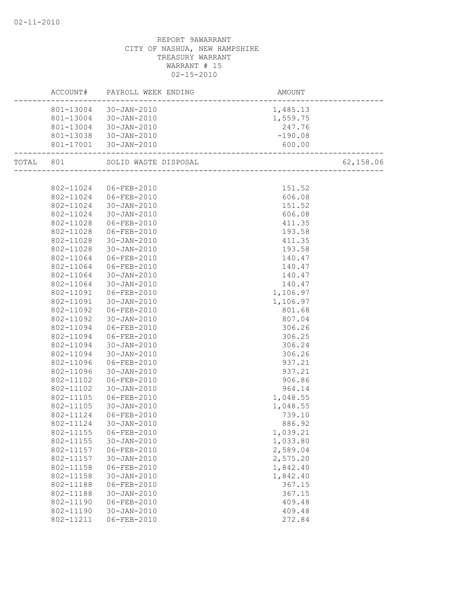|           | ACCOUNT#  | PAYROLL WEEK ENDING   | AMOUNT<br>------------------------ |           |
|-----------|-----------|-----------------------|------------------------------------|-----------|
|           |           | 801-13004 30-JAN-2010 | 1,485.13                           |           |
|           |           | 801-13004 30-JAN-2010 | 1,559.75                           |           |
|           |           | 801-13004 30-JAN-2010 |                                    |           |
|           |           | 801-13038 30-JAN-2010 | $247.76$<br>-190.08                |           |
|           |           | 801-17001 30-JAN-2010 | 600.00<br>_______________________  |           |
| TOTAL 801 |           | SOLID WASTE DISPOSAL  | —<br>————————————————————————      | 62,158.06 |
|           |           |                       |                                    |           |
|           | 802-11024 | 06-FEB-2010           | 151.52                             |           |
|           |           | 802-11024 06-FEB-2010 | 606.08                             |           |
|           | 802-11024 | $30 - JAN - 2010$     | 151.52                             |           |
|           | 802-11024 | 30-JAN-2010           | 606.08                             |           |
|           | 802-11028 | 06-FEB-2010           | 411.35                             |           |
|           | 802-11028 | 06-FEB-2010           | 193.58                             |           |
|           | 802-11028 | 30-JAN-2010           | 411.35                             |           |
|           | 802-11028 | 30-JAN-2010           | 193.58                             |           |
|           | 802-11064 | 06-FEB-2010           | 140.47                             |           |
|           | 802-11064 | 06-FEB-2010           | 140.47                             |           |
|           | 802-11064 | 30-JAN-2010           | 140.47                             |           |
|           | 802-11064 | 30-JAN-2010           | 140.47                             |           |
|           | 802-11091 | 06-FEB-2010           | 1,106.97                           |           |
|           | 802-11091 | 30-JAN-2010           | 1,106.97                           |           |
|           | 802-11092 | 06-FEB-2010           | 801.68                             |           |
|           | 802-11092 | 30-JAN-2010           | 807.04                             |           |
|           | 802-11094 | 06-FEB-2010           | 306.26                             |           |
|           | 802-11094 | 06-FEB-2010           | 306.25                             |           |
|           | 802-11094 | 30-JAN-2010           | 306.24                             |           |
|           | 802-11094 | 30-JAN-2010           | 306.26                             |           |
|           | 802-11096 | 06-FEB-2010           | 937.21                             |           |
|           | 802-11096 | 30-JAN-2010           | 937.21                             |           |
|           | 802-11102 | 06-FEB-2010           | 906.86                             |           |
|           | 802-11102 | 30-JAN-2010           | 964.14                             |           |
|           | 802-11105 | 06-FEB-2010           | 1,048.55                           |           |
|           | 802-11105 | 30-JAN-2010           | 1,048.55                           |           |
|           | 802-11124 | 06-FEB-2010           | 739.10                             |           |
|           | 802-11124 | 30-JAN-2010           | 886.92                             |           |
|           | 802-11155 | 06-FEB-2010           | 1,039.21                           |           |
|           | 802-11155 | $30 - JAN - 2010$     | 1,033.80                           |           |
|           | 802-11157 | 06-FEB-2010           | 2,589.04                           |           |
|           | 802-11157 | $30 - JAN - 2010$     | 2,575.20                           |           |
|           | 802-11158 | $06 - FEB - 2010$     | 1,842.40                           |           |
|           | 802-11158 | $30 - JAN - 2010$     | 1,842.40                           |           |
|           | 802-11188 | $06 - FEB - 2010$     | 367.15                             |           |
|           | 802-11188 | $30 - JAN - 2010$     | 367.15                             |           |
|           | 802-11190 | 06-FEB-2010           | 409.48                             |           |
|           | 802-11190 | $30 - JAN - 2010$     | 409.48                             |           |
|           | 802-11211 | 06-FEB-2010           | 272.84                             |           |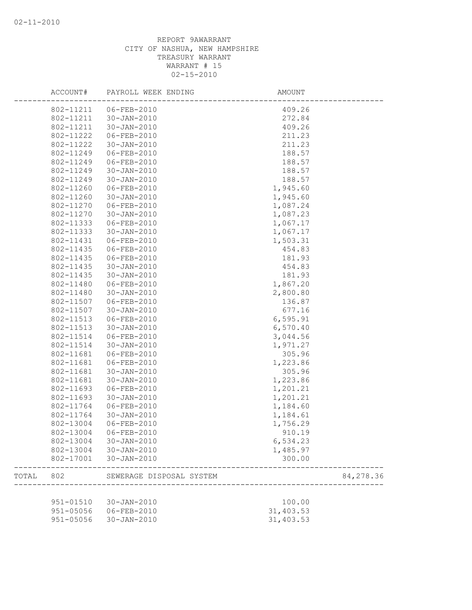|       | ACCOUNT#  | PAYROLL WEEK ENDING      | <b>AMOUNT</b> |           |
|-------|-----------|--------------------------|---------------|-----------|
|       | 802-11211 | 06-FEB-2010              | 409.26        |           |
|       | 802-11211 | $30 - JAN - 2010$        | 272.84        |           |
|       | 802-11211 | $30 - JAN - 2010$        | 409.26        |           |
|       | 802-11222 | 06-FEB-2010              | 211.23        |           |
|       | 802-11222 | $30 - JAN - 2010$        | 211.23        |           |
|       | 802-11249 | 06-FEB-2010              | 188.57        |           |
|       | 802-11249 | 06-FEB-2010              | 188.57        |           |
|       | 802-11249 | $30 - JAN - 2010$        | 188.57        |           |
|       | 802-11249 | $30 - JAN - 2010$        | 188.57        |           |
|       | 802-11260 | 06-FEB-2010              | 1,945.60      |           |
|       | 802-11260 | $30 - JAN - 2010$        | 1,945.60      |           |
|       | 802-11270 | 06-FEB-2010              | 1,087.24      |           |
|       | 802-11270 | $30 - JAN - 2010$        | 1,087.23      |           |
|       | 802-11333 | 06-FEB-2010              | 1,067.17      |           |
|       | 802-11333 | $30 - JAN - 2010$        | 1,067.17      |           |
|       | 802-11431 | 06-FEB-2010              | 1,503.31      |           |
|       | 802-11435 | 06-FEB-2010              | 454.83        |           |
|       | 802-11435 | 06-FEB-2010              | 181.93        |           |
|       | 802-11435 | $30 - JAN - 2010$        | 454.83        |           |
|       | 802-11435 | $30 - JAN - 2010$        | 181.93        |           |
|       | 802-11480 | 06-FEB-2010              | 1,867.20      |           |
|       | 802-11480 | $30 - JAN - 2010$        | 2,800.80      |           |
|       | 802-11507 | 06-FEB-2010              | 136.87        |           |
|       | 802-11507 | $30 - JAN - 2010$        | 677.16        |           |
|       | 802-11513 | 06-FEB-2010              | 6, 595.91     |           |
|       | 802-11513 | $30 - JAN - 2010$        | 6,570.40      |           |
|       | 802-11514 | $06 - FEB - 2010$        | 3,044.56      |           |
|       | 802-11514 | $30 - JAN - 2010$        | 1,971.27      |           |
|       | 802-11681 | 06-FEB-2010              | 305.96        |           |
|       | 802-11681 | 06-FEB-2010              | 1,223.86      |           |
|       | 802-11681 | $30 - JAN - 2010$        | 305.96        |           |
|       | 802-11681 | $30 - JAN - 2010$        | 1,223.86      |           |
|       | 802-11693 | $06 - FEB - 2010$        | 1,201.21      |           |
|       | 802-11693 | $30 - JAN - 2010$        | 1,201.21      |           |
|       | 802-11764 | 06-FEB-2010              | 1,184.60      |           |
|       | 802-11764 | $30 - JAN - 2010$        | 1,184.61      |           |
|       | 802-13004 | 06-FEB-2010              | 1,756.29      |           |
|       | 802-13004 | $06 - FEB - 2010$        | 910.19        |           |
|       | 802-13004 | 30-JAN-2010              |               |           |
|       |           |                          | 6,534.23      |           |
|       | 802-13004 | 30-JAN-2010              | 1,485.97      |           |
|       | 802-17001 | 30-JAN-2010              | 300.00        |           |
| TOTAL | 802       | SEWERAGE DISPOSAL SYSTEM |               | 84,278.36 |
|       |           |                          |               |           |
|       | 951-01510 | 30-JAN-2010              | 100.00        |           |
|       | 951-05056 | 06-FEB-2010              | 31,403.53     |           |
|       | 951-05056 | 30-JAN-2010              | 31,403.53     |           |